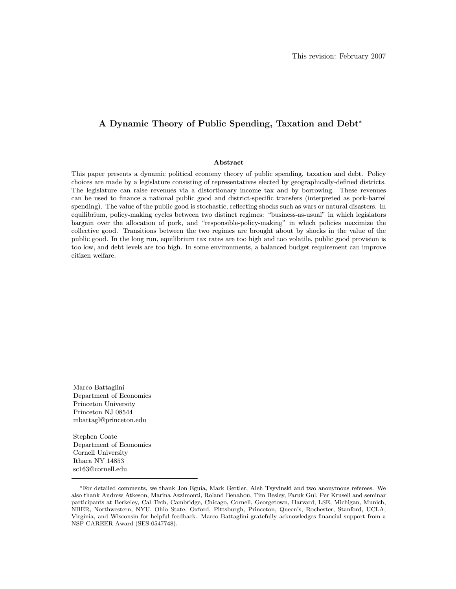### A Dynamic Theory of Public Spending, Taxation and Debt<sup>∗</sup>

#### Abstract

This paper presents a dynamic political economy theory of public spending, taxation and debt. Policy choices are made by a legislature consisting of representatives elected by geographically-defined districts. The legislature can raise revenues via a distortionary income tax and by borrowing. These revenues can be used to finance a national public good and district-specific transfers (interpreted as pork-barrel spending). The value of the public good is stochastic, reflecting shocks such as wars or natural disasters. In equilibrium, policy-making cycles between two distinct regimes: "business-as-usual" in which legislators bargain over the allocation of pork, and "responsible-policy-making" in which policies maximize the collective good. Transitions between the two regimes are brought about by shocks in the value of the public good. In the long run, equilibrium tax rates are too high and too volatile, public good provision is too low, and debt levels are too high. In some environments, a balanced budget requirement can improve citizen welfare.

Marco Battaglini Department of Economics Princeton University Princeton NJ 08544 mbattagl@princeton.edu

Stephen Coate Department of Economics Cornell University Ithaca NY 14853 sc163@cornell.edu

<sup>∗</sup>For detailed comments, we thank Jon Eguia, Mark Gertler, Aleh Tsyvinski and two anonymous referees. We also thank Andrew Atkeson, Marina Azzimonti, Roland Benabou, Tim Besley, Faruk Gul, Per Krusell and seminar participants at Berkeley, Cal Tech, Cambridge, Chicago, Cornell, Georgetown, Harvard, LSE, Michigan, Munich, NBER, Northwestern, NYU, Ohio State, Oxford, Pittsburgh, Princeton, Queen's, Rochester, Stanford, UCLA, Virginia, and Wisconsin for helpful feedback. Marco Battaglini gratefully acknowledges financial support from a NSF CAREER Award (SES 0547748).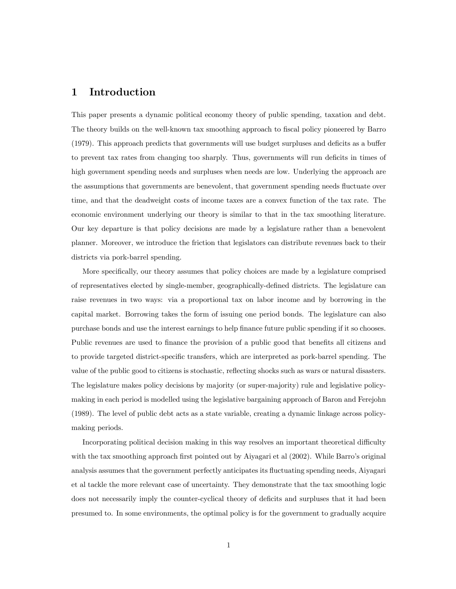## 1 Introduction

This paper presents a dynamic political economy theory of public spending, taxation and debt. The theory builds on the well-known tax smoothing approach to fiscal policy pioneered by Barro (1979). This approach predicts that governments will use budget surpluses and deficits as a buffer to prevent tax rates from changing too sharply. Thus, governments will run deficits in times of high government spending needs and surpluses when needs are low. Underlying the approach are the assumptions that governments are benevolent, that government spending needs fluctuate over time, and that the deadweight costs of income taxes are a convex function of the tax rate. The economic environment underlying our theory is similar to that in the tax smoothing literature. Our key departure is that policy decisions are made by a legislature rather than a benevolent planner. Moreover, we introduce the friction that legislators can distribute revenues back to their districts via pork-barrel spending.

More specifically, our theory assumes that policy choices are made by a legislature comprised of representatives elected by single-member, geographically-defined districts. The legislature can raise revenues in two ways: via a proportional tax on labor income and by borrowing in the capital market. Borrowing takes the form of issuing one period bonds. The legislature can also purchase bonds and use the interest earnings to help finance future public spending if it so chooses. Public revenues are used to finance the provision of a public good that benefits all citizens and to provide targeted district-specific transfers, which are interpreted as pork-barrel spending. The value of the public good to citizens is stochastic, reflecting shocks such as wars or natural disasters. The legislature makes policy decisions by majority (or super-majority) rule and legislative policymaking in each period is modelled using the legislative bargaining approach of Baron and Ferejohn (1989). The level of public debt acts as a state variable, creating a dynamic linkage across policymaking periods.

Incorporating political decision making in this way resolves an important theoretical difficulty with the tax smoothing approach first pointed out by Aiyagari et al  $(2002)$ . While Barro's original analysis assumes that the government perfectly anticipates its fluctuating spending needs, Aiyagari et al tackle the more relevant case of uncertainty. They demonstrate that the tax smoothing logic does not necessarily imply the counter-cyclical theory of deficits and surpluses that it had been presumed to. In some environments, the optimal policy is for the government to gradually acquire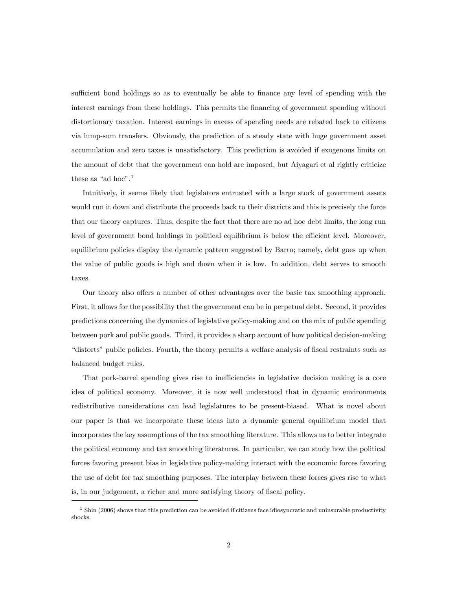sufficient bond holdings so as to eventually be able to finance any level of spending with the interest earnings from these holdings. This permits the financing of government spending without distortionary taxation. Interest earnings in excess of spending needs are rebated back to citizens via lump-sum transfers. Obviously, the prediction of a steady state with huge government asset accumulation and zero taxes is unsatisfactory. This prediction is avoided if exogenous limits on the amount of debt that the government can hold are imposed, but Aiyagari et al rightly criticize these as "ad hoc".<sup>1</sup>

Intuitively, it seems likely that legislators entrusted with a large stock of government assets would run it down and distribute the proceeds back to their districts and this is precisely the force that our theory captures. Thus, despite the fact that there are no ad hoc debt limits, the long run level of government bond holdings in political equilibrium is below the efficient level. Moreover, equilibrium policies display the dynamic pattern suggested by Barro; namely, debt goes up when the value of public goods is high and down when it is low. In addition, debt serves to smooth taxes.

Our theory also offers a number of other advantages over the basic tax smoothing approach. First, it allows for the possibility that the government can be in perpetual debt. Second, it provides predictions concerning the dynamics of legislative policy-making and on the mix of public spending between pork and public goods. Third, it provides a sharp account of how political decision-making "distorts" public policies. Fourth, the theory permits a welfare analysis of fiscal restraints such as balanced budget rules.

That pork-barrel spending gives rise to inefficiencies in legislative decision making is a core idea of political economy. Moreover, it is now well understood that in dynamic environments redistributive considerations can lead legislatures to be present-biased. What is novel about our paper is that we incorporate these ideas into a dynamic general equilibrium model that incorporates the key assumptions of the tax smoothing literature. This allows us to better integrate the political economy and tax smoothing literatures. In particular, we can study how the political forces favoring present bias in legislative policy-making interact with the economic forces favoring the use of debt for tax smoothing purposes. The interplay between these forces gives rise to what is, in our judgement, a richer and more satisfying theory of fiscal policy.

<sup>1</sup> Shin (2006) shows that this prediction can be avoided if citizens face idiosyncratic and uninsurable productivity shocks.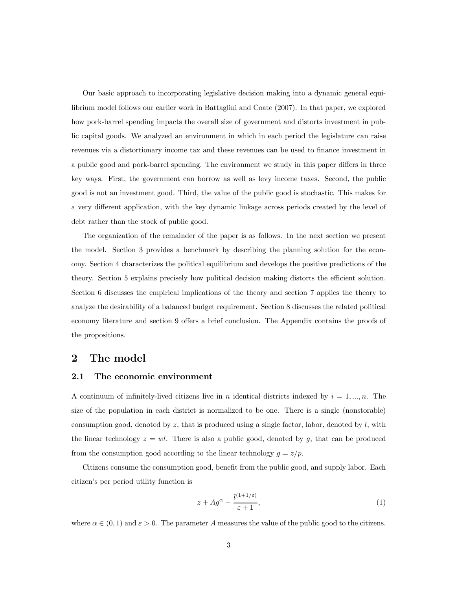Our basic approach to incorporating legislative decision making into a dynamic general equilibrium model follows our earlier work in Battaglini and Coate (2007). In that paper, we explored how pork-barrel spending impacts the overall size of government and distorts investment in public capital goods. We analyzed an environment in which in each period the legislature can raise revenues via a distortionary income tax and these revenues can be used to finance investment in a public good and pork-barrel spending. The environment we study in this paper differs in three key ways. First, the government can borrow as well as levy income taxes. Second, the public good is not an investment good. Third, the value of the public good is stochastic. This makes for a very different application, with the key dynamic linkage across periods created by the level of debt rather than the stock of public good.

The organization of the remainder of the paper is as follows. In the next section we present the model. Section 3 provides a benchmark by describing the planning solution for the economy. Section 4 characterizes the political equilibrium and develops the positive predictions of the theory. Section 5 explains precisely how political decision making distorts the efficient solution. Section 6 discusses the empirical implications of the theory and section 7 applies the theory to analyze the desirability of a balanced budget requirement. Section 8 discusses the related political economy literature and section 9 offers a brief conclusion. The Appendix contains the proofs of the propositions.

## 2 The model

### 2.1 The economic environment

A continuum of infinitely-lived citizens live in n identical districts indexed by  $i = 1, ..., n$ . The size of the population in each district is normalized to be one. There is a single (nonstorable) consumption good, denoted by  $z$ , that is produced using a single factor, labor, denoted by  $l$ , with the linear technology  $z = w l$ . There is also a public good, denoted by g, that can be produced from the consumption good according to the linear technology  $g = z/p$ .

Citizens consume the consumption good, benefit from the public good, and supply labor. Each citizen's per period utility function is

$$
z + Ag^{\alpha} - \frac{l^{(1+1/\varepsilon)}}{\varepsilon + 1},\tag{1}
$$

where  $\alpha \in (0,1)$  and  $\varepsilon > 0$ . The parameter A measures the value of the public good to the citizens.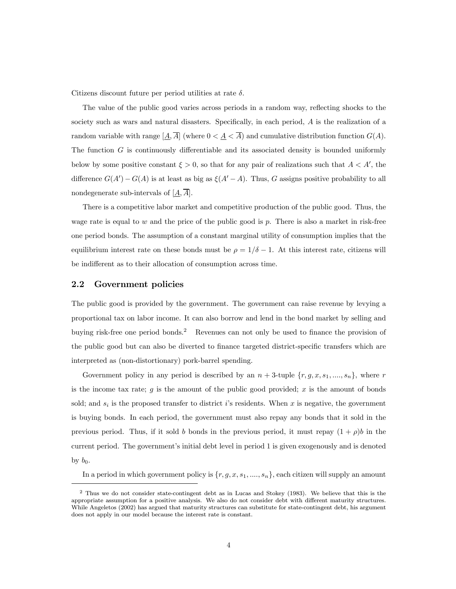Citizens discount future per period utilities at rate  $\delta$ .

The value of the public good varies across periods in a random way, reflecting shocks to the society such as wars and natural disasters. Specifically, in each period, A is the realization of a random variable with range  $[\underline{A}, \overline{A}]$  (where  $0 < \underline{A} < \overline{A}$ ) and cumulative distribution function  $G(A)$ . The function  $G$  is continuously differentiable and its associated density is bounded uniformly below by some positive constant  $\xi > 0$ , so that for any pair of realizations such that  $A < A'$ , the difference  $G(A') - G(A)$  is at least as big as  $\xi(A' - A)$ . Thus, G assigns positive probability to all nondegenerate sub-intervals of  $[\underline{A}, \overline{A}]$ .

There is a competitive labor market and competitive production of the public good. Thus, the wage rate is equal to w and the price of the public good is  $p$ . There is also a market in risk-free one period bonds. The assumption of a constant marginal utility of consumption implies that the equilibrium interest rate on these bonds must be  $\rho = 1/\delta - 1$ . At this interest rate, citizens will be indifferent as to their allocation of consumption across time.

### 2.2 Government policies

The public good is provided by the government. The government can raise revenue by levying a proportional tax on labor income. It can also borrow and lend in the bond market by selling and buying risk-free one period bonds.<sup>2</sup> Revenues can not only be used to finance the provision of the public good but can also be diverted to finance targeted district-specific transfers which are interpreted as (non-distortionary) pork-barrel spending.

Government policy in any period is described by an  $n + 3$ -tuple  $\{r, g, x, s_1, ..., s_n\}$ , where r is the income tax rate;  $g$  is the amount of the public good provided;  $x$  is the amount of bonds sold; and  $s_i$  is the proposed transfer to district i's residents. When x is negative, the government is buying bonds. In each period, the government must also repay any bonds that it sold in the previous period. Thus, if it sold b bonds in the previous period, it must repay  $(1 + \rho)b$  in the current period. The government's initial debt level in period 1 is given exogenously and is denoted by  $b_0$ .

In a period in which government policy is  $\{r, g, x, s_1, ..., s_n\}$ , each citizen will supply an amount

<sup>2</sup> Thus we do not consider state-contingent debt as in Lucas and Stokey (1983). We believe that this is the appropriate assumption for a positive analysis. We also do not consider debt with different maturity structures. While Angeletos (2002) has argued that maturity structures can substitute for state-contingent debt, his argument does not apply in our model because the interest rate is constant.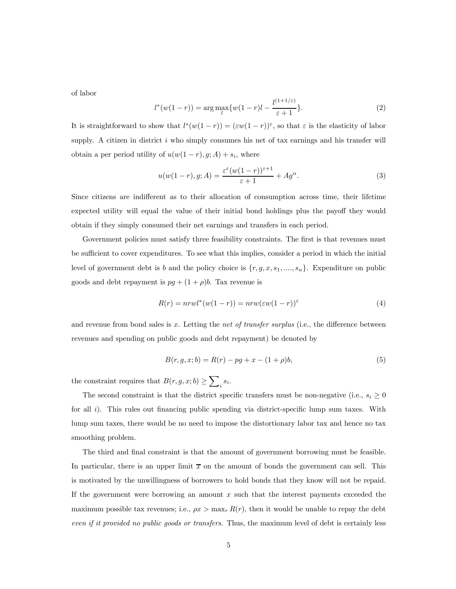of labor

$$
l^*(w(1-r)) = \arg\max_{l} \{w(1-r)l - \frac{l^{(1+1/\varepsilon)}}{\varepsilon + 1}\}.
$$
 (2)

It is straightforward to show that  $l^*(w(1-r)) = (\varepsilon w(1-r))^{\varepsilon}$ , so that  $\varepsilon$  is the elasticity of labor supply. A citizen in district  $i$  who simply consumes his net of tax earnings and his transfer will obtain a per period utility of  $u(w(1 - r), g; A) + s_i$ , where

$$
u(w(1-r), g; A) = \frac{\varepsilon^{\varepsilon}(w(1-r))^{\varepsilon+1}}{\varepsilon+1} + Ag^{\alpha}.
$$
 (3)

Since citizens are indifferent as to their allocation of consumption across time, their lifetime expected utility will equal the value of their initial bond holdings plus the payoff they would obtain if they simply consumed their net earnings and transfers in each period.

Government policies must satisfy three feasibility constraints. The first is that revenues must be sufficient to cover expenditures. To see what this implies, consider a period in which the initial level of government debt is b and the policy choice is  $\{r, g, x, s_1, ..., s_n\}$ . Expenditure on public goods and debt repayment is  $pg + (1 + \rho)b$ . Tax revenue is

$$
R(r) = nrwl^{*}(w(1-r)) = nrw(\varepsilon w(1-r))^{\varepsilon}
$$
\n(4)

and revenue from bond sales is x. Letting the net of transfer surplus (i.e., the difference between revenues and spending on public goods and debt repayment) be denoted by

$$
B(r, g, x; b) = R(r) - pg + x - (1 + \rho)b,
$$
\n(5)

the constraint requires that  $B(r, g, x; b) \ge \sum_i s_i$ .

The second constraint is that the district specific transfers must be non-negative (i.e.,  $s_i \geq 0$ for all i). This rules out financing public spending via district-specific lump sum taxes. With lump sum taxes, there would be no need to impose the distortionary labor tax and hence no tax smoothing problem.

The third and final constraint is that the amount of government borrowing must be feasible. In particular, there is an upper limit  $\bar{x}$  on the amount of bonds the government can sell. This is motivated by the unwillingness of borrowers to hold bonds that they know will not be repaid. If the government were borrowing an amount  $x$  such that the interest payments exceeded the maximum possible tax revenues; i.e.,  $\rho x > \max_{r} R(r)$ , then it would be unable to repay the debt even if it provided no public goods or transfers. Thus, the maximum level of debt is certainly less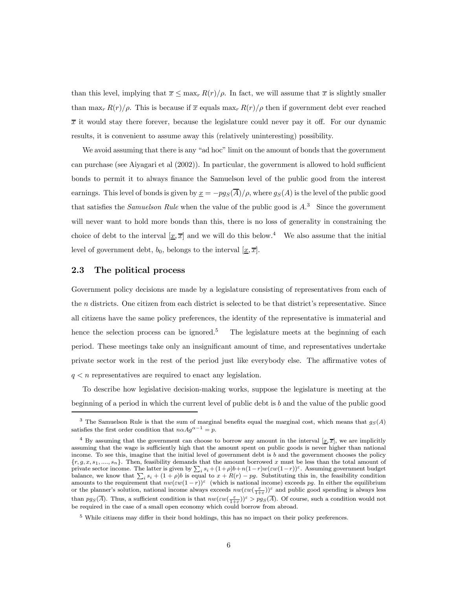than this level, implying that  $\overline{x} \le \max_r R(r)/\rho$ . In fact, we will assume that  $\overline{x}$  is slightly smaller than  $\max_r R(r)/\rho$ . This is because if  $\bar{x}$  equals  $\max_r R(r)/\rho$  then if government debt ever reached  $\bar{x}$  it would stay there forever, because the legislature could never pay it off. For our dynamic results, it is convenient to assume away this (relatively uninteresting) possibility.

We avoid assuming that there is any "ad hoc" limit on the amount of bonds that the government can purchase (see Aiyagari et al (2002)). In particular, the government is allowed to hold sufficient bonds to permit it to always finance the Samuelson level of the public good from the interest earnings. This level of bonds is given by  $\underline{x} = -pg_S(\overline{A})/\rho$ , where  $g_S(A)$  is the level of the public good that satisfies the *Samuelson Rule* when the value of the public good is  $A$ <sup>3</sup>. Since the government will never want to hold more bonds than this, there is no loss of generality in constraining the choice of debt to the interval  $[x,\overline{x}]$  and we will do this below.<sup>4</sup> We also assume that the initial level of government debt,  $b_0$ , belongs to the interval  $[\underline{x}, \overline{x}]$ .

### 2.3 The political process

Government policy decisions are made by a legislature consisting of representatives from each of the n districts. One citizen from each district is selected to be that district's representative. Since all citizens have the same policy preferences, the identity of the representative is immaterial and hence the selection process can be ignored.<sup>5</sup> The legislature meets at the beginning of each period. These meetings take only an insignificant amount of time, and representatives undertake private sector work in the rest of the period just like everybody else. The affirmative votes of  $q < n$  representatives are required to enact any legislation.

To describe how legislative decision-making works, suppose the legislature is meeting at the beginning of a period in which the current level of public debt is  $b$  and the value of the public good

<sup>&</sup>lt;sup>3</sup> The Samuelson Rule is that the sum of marginal benefits equal the marginal cost, which means that  $g_S(A)$ satisfies the first order condition that  $n \alpha A g^{\alpha-1} = p$ .

<sup>&</sup>lt;sup>4</sup> By assuming that the government can choose to borrow any amount in the interval  $[\underline{x}, \overline{x}]$ , we are implicitly assuming that the wage is sufficiently high that the amount spent on public goods is never higher than national income. To see this, imagine that the initial level of government debt is  $b$  and the government chooses the policy  $\{r, g, x, s_1, \ldots, s_n\}$ . Then, feasibility demands that the amount borrowed x must be less than the total amount of private sector income. The latter is given by  $\sum_i s_i + (1+\rho)b + n(1-r)w(\varepsilon w(1-r))^{\varepsilon}$ . Assuming government budget balance, we know that  $\sum_i s_i + (1+\rho)b$  is equal to  $x + R(r) - pg$ . Substituting this in, the feasibility condition amounts to the requirement that  $nw(\varepsilon w(1-r))^{\varepsilon}$  (which is national income) exceeds pg. In either the equilibrium or the planner's solution, national income always exceeds  $nw(\epsilon w(\frac{\epsilon}{1+\epsilon}))^{\epsilon}$  and public good spending is always less than  $pg_S(\overline{A})$ . Thus, a sufficient condition is that  $nw(\varepsilon w(\frac{\varepsilon}{1+\varepsilon}))^{\varepsilon} > pg_S(\overline{A})$ . Of course, such a condition would not be required in the case of a small open economy which could borrow from abroad.

<sup>5</sup> While citizens may differ in their bond holdings, this has no impact on their policy preferences.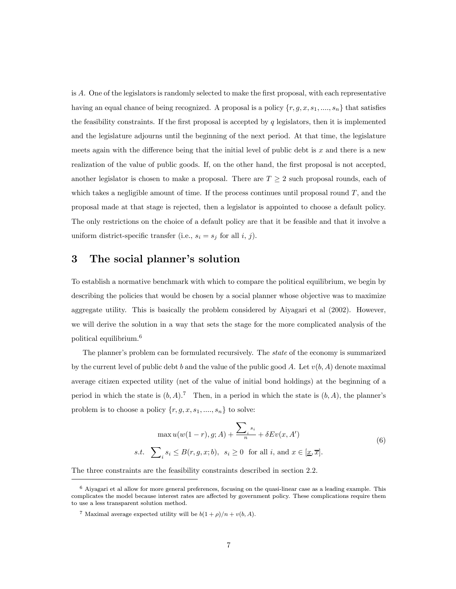is A. One of the legislators is randomly selected to make the first proposal, with each representative having an equal chance of being recognized. A proposal is a policy  $\{r, g, x, s_1, ..., s_n\}$  that satisfies the feasibility constraints. If the first proposal is accepted by  $q$  legislators, then it is implemented and the legislature adjourns until the beginning of the next period. At that time, the legislature meets again with the difference being that the initial level of public debt is  $x$  and there is a new realization of the value of public goods. If, on the other hand, the first proposal is not accepted, another legislator is chosen to make a proposal. There are  $T \geq 2$  such proposal rounds, each of which takes a negligible amount of time. If the process continues until proposal round  $T$ , and the proposal made at that stage is rejected, then a legislator is appointed to choose a default policy. The only restrictions on the choice of a default policy are that it be feasible and that it involve a uniform district-specific transfer (i.e.,  $s_i = s_j$  for all i, j).

# 3 The social planner's solution

To establish a normative benchmark with which to compare the political equilibrium, we begin by describing the policies that would be chosen by a social planner whose objective was to maximize aggregate utility. This is basically the problem considered by Aiyagari et al (2002). However, we will derive the solution in a way that sets the stage for the more complicated analysis of the political equilibrium.<sup>6</sup>

The planner's problem can be formulated recursively. The state of the economy is summarized by the current level of public debt b and the value of the public good A. Let  $v(b, A)$  denote maximal average citizen expected utility (net of the value of initial bond holdings) at the beginning of a period in which the state is  $(b, A)$ .<sup>7</sup> Then, in a period in which the state is  $(b, A)$ , the planner's problem is to choose a policy  $\{r, g, x, s_1, ..., s_n\}$  to solve:

$$
\max u(w(1-r), g; A) + \frac{\sum_{i} s_i}{n} + \delta Ev(x, A')
$$
  
s.t.  $\sum_{i} s_i \le B(r, g, x; b), s_i \ge 0$  for all  $i$ , and  $x \in [\underline{x}, \overline{x}].$  (6)

The three constraints are the feasibility constraints described in section 2.2.

 $6$  Aiyagari et al allow for more general preferences, focusing on the quasi-linear case as a leading example. This complicates the model because interest rates are affected by government policy. These complications require them to use a less transparent solution method.

<sup>&</sup>lt;sup>7</sup> Maximal average expected utility will be  $b(1 + \rho)/n + v(b, A)$ .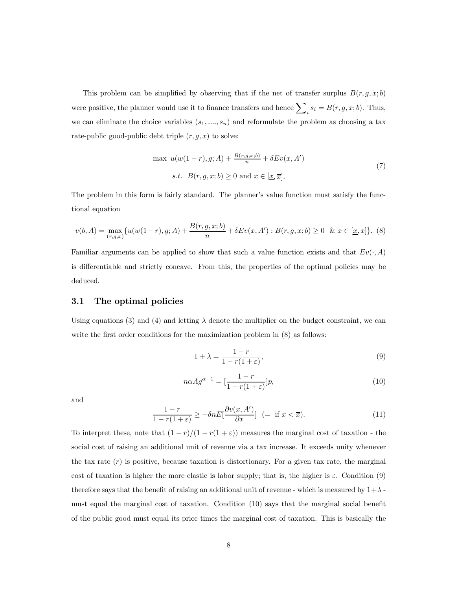This problem can be simplified by observing that if the net of transfer surplus  $B(r, g, x; b)$ were positive, the planner would use it to finance transfers and hence  $\sum_i s_i = B(r, g, x; b)$ . Thus, we can eliminate the choice variables  $(s_1, ..., s_n)$  and reformulate the problem as choosing a tax rate-public good-public debt triple  $(r, g, x)$  to solve:

$$
\max u(w(1-r), g; A) + \frac{B(r, g, x; b)}{n} + \delta Ev(x, A')
$$
  
s.t.  $B(r, g, x; b) \ge 0$  and  $x \in [\underline{x}, \overline{x}].$  (7)

The problem in this form is fairly standard. The planner's value function must satisfy the functional equation

$$
v(b, A) = \max_{(r, g, x)} \{ u(w(1-r), g; A) + \frac{B(r, g, x; b)}{n} + \delta Ev(x, A') : B(r, g, x; b) \ge 0 \quad \& \ x \in [\underline{x}, \overline{x}] \}. \tag{8}
$$

Familiar arguments can be applied to show that such a value function exists and that  $Ev(\cdot, A)$ is differentiable and strictly concave. From this, the properties of the optimal policies may be deduced.

#### 3.1 The optimal policies

Using equations (3) and (4) and letting  $\lambda$  denote the multiplier on the budget constraint, we can write the first order conditions for the maximization problem in  $(8)$  as follows:

$$
1 + \lambda = \frac{1 - r}{1 - r(1 + \varepsilon)},\tag{9}
$$

$$
n\alpha A g^{\alpha - 1} = \left[\frac{1 - r}{1 - r(1 + \varepsilon)}\right] p,\tag{10}
$$

and

$$
\frac{1-r}{1-r(1+\varepsilon)} \ge -\delta n E[\frac{\partial v(x, A')}{\partial x}] \quad (= \text{if } x < \overline{x}).\tag{11}
$$

To interpret these, note that  $(1 - r)/(1 - r(1 + \varepsilon))$  measures the marginal cost of taxation - the social cost of raising an additional unit of revenue via a tax increase. It exceeds unity whenever the tax rate  $(r)$  is positive, because taxation is distortionary. For a given tax rate, the marginal cost of taxation is higher the more elastic is labor supply; that is, the higher is  $\varepsilon$ . Condition (9) therefore says that the benefit of raising an additional unit of revenue - which is measured by  $1+\lambda$ . must equal the marginal cost of taxation. Condition (10) says that the marginal social benefit of the public good must equal its price times the marginal cost of taxation. This is basically the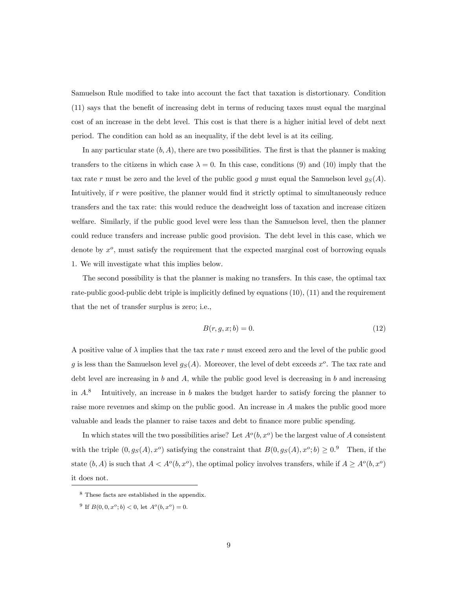Samuelson Rule modified to take into account the fact that taxation is distortionary. Condition (11) says that the benefit of increasing debt in terms of reducing taxes must equal the marginal cost of an increase in the debt level. This cost is that there is a higher initial level of debt next period. The condition can hold as an inequality, if the debt level is at its ceiling.

In any particular state  $(b, A)$ , there are two possibilities. The first is that the planner is making transfers to the citizens in which case  $\lambda = 0$ . In this case, conditions (9) and (10) imply that the tax rate r must be zero and the level of the public good g must equal the Samuelson level  $g_S(A)$ . Intuitively, if r were positive, the planner would find it strictly optimal to simultaneously reduce transfers and the tax rate: this would reduce the deadweight loss of taxation and increase citizen welfare. Similarly, if the public good level were less than the Samuelson level, then the planner could reduce transfers and increase public good provision. The debt level in this case, which we denote by  $x^o$ , must satisfy the requirement that the expected marginal cost of borrowing equals 1. We will investigate what this implies below.

The second possibility is that the planner is making no transfers. In this case, the optimal tax rate-public good-public debt triple is implicitly defined by equations (10), (11) and the requirement that the net of transfer surplus is zero; i.e.,

$$
B(r, g, x; b) = 0.\t\t(12)
$$

A positive value of  $\lambda$  implies that the tax rate r must exceed zero and the level of the public good g is less than the Samuelson level  $g_S(A)$ . Moreover, the level of debt exceeds  $x^o$ . The tax rate and debt level are increasing in b and  $A$ , while the public good level is decreasing in b and increasing in  $A.^8$ Intuitively, an increase in  $b$  makes the budget harder to satisfy forcing the planner to raise more revenues and skimp on the public good. An increase in A makes the public good more valuable and leads the planner to raise taxes and debt to finance more public spending.

In which states will the two possibilities arise? Let  $A^o(b, x^o)$  be the largest value of A consistent with the triple  $(0, g_S(A), x^o)$  satisfying the constraint that  $B(0, g_S(A), x^o; b) \ge 0.9$  Then, if the state  $(b, A)$  is such that  $A < A^o(b, x^o)$ , the optimal policy involves transfers, while if  $A \geq A^o(b, x^o)$ it does not.

<sup>8</sup> These facts are established in the appendix.

<sup>&</sup>lt;sup>9</sup> If  $B(0, 0, x^o; b) < 0$ , let  $A^o(b, x^o) = 0$ .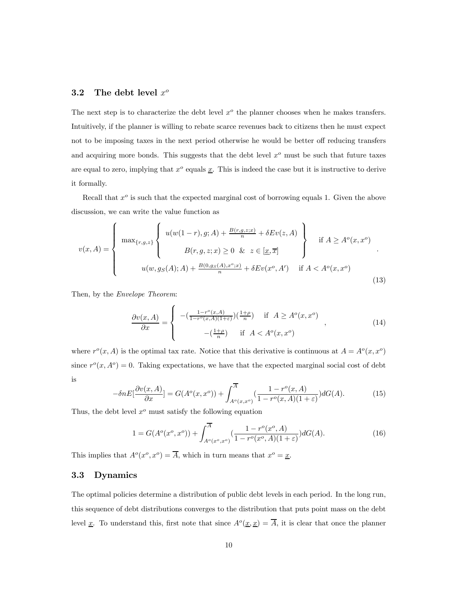### 3.2 The debt level  $x^{\circ}$

The next step is to characterize the debt level  $x^{\circ}$  the planner chooses when he makes transfers. Intuitively, if the planner is willing to rebate scarce revenues back to citizens then he must expect not to be imposing taxes in the next period otherwise he would be better off reducing transfers and acquiring more bonds. This suggests that the debt level  $x<sup>o</sup>$  must be such that future taxes are equal to zero, implying that  $x^o$  equals  $\underline{x}$ . This is indeed the case but it is instructive to derive it formally.

Recall that  $x^{\circ}$  is such that the expected marginal cost of borrowing equals 1. Given the above discussion, we can write the value function as

$$
v(x, A) = \begin{cases} \max_{\{r, g, z\}} \left\{ u(w(1-r), g; A) + \frac{B(r, g, z; x)}{n} + \delta Ev(z, A) \atop B(r, g, z; x) \ge 0 \& z \in [\underline{x}, \overline{x}] \right\} & \text{if } A \ge A^o(x, x^o) \\ u(w, g_S(A); A) + \frac{B(0, g_S(A), x^o; x)}{n} + \delta Ev(x^o, A') & \text{if } A < A^o(x, x^o) \end{cases}
$$
(13)

Then, by the Envelope Theorem:

$$
\frac{\partial v(x,A)}{\partial x} = \begin{cases}\n-(\frac{1-r^o(x,A)}{1-r^o(x,A)(1+\varepsilon)})(\frac{1+\rho}{n}) & \text{if } A \ge A^o(x,x^o) \\
-(\frac{1+\rho}{n}) & \text{if } A < A^o(x,x^o)\n\end{cases}
$$
\n(14)

where  $r^{o}(x, A)$  is the optimal tax rate. Notice that this derivative is continuous at  $A = A^{o}(x, x^{o})$ since  $r^o(x, A^o) = 0$ . Taking expectations, we have that the expected marginal social cost of debt is

$$
-\delta nE\left[\frac{\partial v(x,A)}{\partial x}\right] = G(A^o(x,x^o)) + \int_{A^o(x,x^o)}^{\overline{A}} \left(\frac{1 - r^o(x,A)}{1 - r^o(x,A)(1+\varepsilon)}\right) dG(A). \tag{15}
$$

Thus, the debt level  $x^o$  must satisfy the following equation

$$
1 = G(A^o(x^o, x^o)) + \int_{A^o(x^o, x^o)}^{\overline{A}} \left(\frac{1 - r^o(x^o, A)}{1 - r^o(x^o, A)(1 + \varepsilon)}\right) dG(A). \tag{16}
$$

This implies that  $A^o(x^o, x^o) = \overline{A}$ , which in turn means that  $x^o = \underline{x}$ .

### 3.3 Dynamics

The optimal policies determine a distribution of public debt levels in each period. In the long run, this sequence of debt distributions converges to the distribution that puts point mass on the debt level <u>x</u>. To understand this, first note that since  $A^o(\underline{x}, \underline{x}) = \overline{A}$ , it is clear that once the planner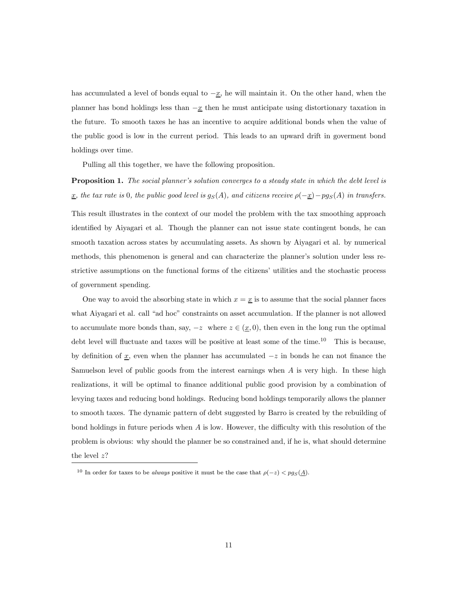has accumulated a level of bonds equal to  $-\underline{x}$ , he will maintain it. On the other hand, when the planner has bond holdings less than  $-\underline{x}$  then he must anticipate using distortionary taxation in the future. To smooth taxes he has an incentive to acquire additional bonds when the value of the public good is low in the current period. This leads to an upward drift in goverment bond holdings over time.

Pulling all this together, we have the following proposition.

**Proposition 1.** The social planner's solution converges to a steady state in which the debt level is  $\underline{x}$ , the tax rate is 0, the public good level is  $g_S(A)$ , and citizens receive  $\rho(-\underline{x}) - pg_S(A)$  in transfers. This result illustrates in the context of our model the problem with the tax smoothing approach identified by Aiyagari et al. Though the planner can not issue state contingent bonds, he can smooth taxation across states by accumulating assets. As shown by Aiyagari et al. by numerical methods, this phenomenon is general and can characterize the planner's solution under less restrictive assumptions on the functional forms of the citizens' utilities and the stochastic process of government spending.

One way to avoid the absorbing state in which  $x = \underline{x}$  is to assume that the social planner faces what Aiyagari et al. call "ad hoc" constraints on asset accumulation. If the planner is not allowed to accumulate more bonds than, say,  $-z$  where  $z \in (\underline{x}, 0)$ , then even in the long run the optimal debt level will fluctuate and taxes will be positive at least some of the time.<sup>10</sup> This is because, by definition of  $\underline{x}$ , even when the planner has accumulated  $-z$  in bonds he can not finance the Samuelson level of public goods from the interest earnings when A is very high. In these high realizations, it will be optimal to finance additional public good provision by a combination of levying taxes and reducing bond holdings. Reducing bond holdings temporarily allows the planner to smooth taxes. The dynamic pattern of debt suggested by Barro is created by the rebuilding of bond holdings in future periods when A is low. However, the difficulty with this resolution of the problem is obvious: why should the planner be so constrained and, if he is, what should determine the level z?

<sup>&</sup>lt;sup>10</sup> In order for taxes to be *always* positive it must be the case that  $\rho(-z) < pgs(\underline{A})$ .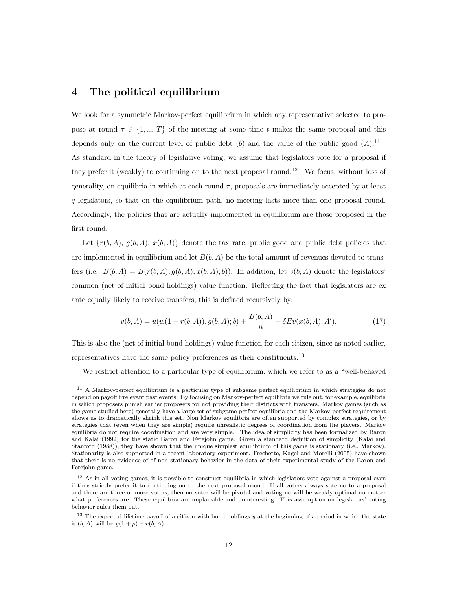## 4 The political equilibrium

We look for a symmetric Markov-perfect equilibrium in which any representative selected to propose at round  $\tau \in \{1, ..., T\}$  of the meeting at some time t makes the same proposal and this depends only on the current level of public debt (b) and the value of the public good  $(A).^{11}$ As standard in the theory of legislative voting, we assume that legislators vote for a proposal if they prefer it (weakly) to continuing on to the next proposal round.<sup>12</sup> We focus, without loss of generality, on equilibria in which at each round  $\tau$ , proposals are immediately accepted by at least q legislators, so that on the equilibrium path, no meeting lasts more than one proposal round. Accordingly, the policies that are actually implemented in equilibrium are those proposed in the first round.

Let  $\{r(b, A), q(b, A), x(b, A)\}\$  denote the tax rate, public good and public debt policies that are implemented in equilibrium and let  $B(b, A)$  be the total amount of revenues devoted to transfers (i.e.,  $B(b, A) = B(r(b, A), g(b, A), x(b, A); b)$ ). In addition, let  $v(b, A)$  denote the legislators' common (net of initial bond holdings) value function. Reflecting the fact that legislators are ex ante equally likely to receive transfers, this is defined recursively by:

$$
v(b, A) = u(w(1 - r(b, A)), g(b, A); b) + \frac{B(b, A)}{n} + \delta Ev(x(b, A), A').
$$
 (17)

This is also the (net of initial bond holdings) value function for each citizen, since as noted earlier, representatives have the same policy preferences as their constituents.<sup>13</sup>

We restrict attention to a particular type of equilibrium, which we refer to as a "well-behaved"

<sup>&</sup>lt;sup>11</sup> A Markov-perfect equilibrium is a particular type of subgame perfect equilibrium in which strategies do not depend on payoff irrelevant past events. By focusing on Markov-perfect equilibria we rule out, for example, equilibria in which proposers punish earlier proposers for not providing their districts with transfers. Markov games (such as the game studied here) generally have a large set of subgame perfect equilibria and the Markov-perfect requirement allows us to dramatically shrink this set. Non Markov equilibria are often supported by complex strategies, or by strategies that (even when they are simple) require unrealistic degrees of coordination from the players. Markov equilibria do not require coordination and are very simple. The idea of simplicity has been formalized by Baron and Kalai (1992) for the static Baron and Ferejohn game. Given a standard definition of simplicity (Kalai and Stanford (1988)), they have shown that the unique simplest equilibrium of this game is stationary (i.e., Markov). Stationarity is also supported in a recent laboratory experiment. Frechette, Kagel and Morelli (2005) have shown that there is no evidence of of non stationary behavior in the data of their experimental study of the Baron and Ferejohn game.

<sup>&</sup>lt;sup>12</sup> As in all voting games, it is possible to construct equilibria in which legislators vote against a proposal even if they strictly prefer it to continuing on to the next proposal round. If all voters always vote no to a proposal and there are three or more voters, then no voter will be pivotal and voting no will be weakly optimal no matter what preferences are. These equilibria are implausible and uninteresting. This assumption on legislators' voting behavior rules them out.

 $13$  The expected lifetime payoff of a citizen with bond holdings  $y$  at the beginning of a period in which the state is  $(b, A)$  will be  $y(1 + \rho) + v(b, A)$ .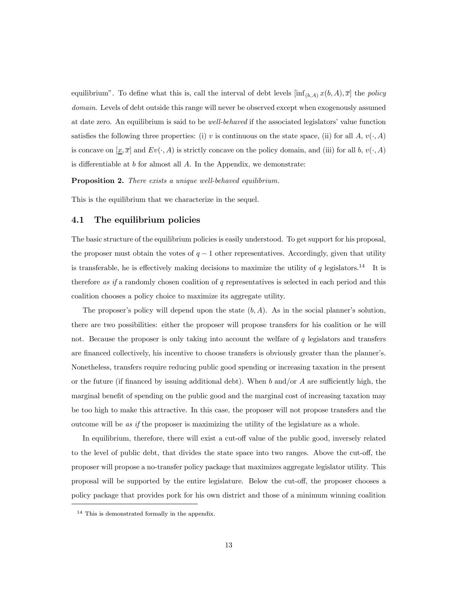equilibrium". To define what this is, call the interval of debt levels  $\left\lfloor \inf_{(b,A)} x(b,A), \overline{x} \right\rfloor$  the policy domain. Levels of debt outside this range will never be observed except when exogenously assumed at date zero. An equilibrium is said to be well-behaved if the associated legislators' value function satisfies the following three properties: (i) v is continuous on the state space, (ii) for all A,  $v(\cdot, A)$ is concave on  $[\underline{x}, \overline{x}]$  and  $Ev(\cdot, A)$  is strictly concave on the policy domain, and (iii) for all b,  $v(\cdot, A)$ is differentiable at b for almost all  $A$ . In the Appendix, we demonstrate:

**Proposition 2.** There exists a unique well-behaved equilibrium.

This is the equilibrium that we characterize in the sequel.

### 4.1 The equilibrium policies

The basic structure of the equilibrium policies is easily understood. To get support for his proposal, the proposer must obtain the votes of  $q-1$  other representatives. Accordingly, given that utility is transferable, he is effectively making decisions to maximize the utility of  $q$  legislators.<sup>14</sup> It is therefore as if a randomly chosen coalition of q representatives is selected in each period and this coalition chooses a policy choice to maximize its aggregate utility.

The proposer's policy will depend upon the state  $(b, A)$ . As in the social planner's solution, there are two possibilities: either the proposer will propose transfers for his coalition or he will not. Because the proposer is only taking into account the welfare of  $q$  legislators and transfers are financed collectively, his incentive to choose transfers is obviously greater than the planner's. Nonetheless, transfers require reducing public good spending or increasing taxation in the present or the future (if financed by issuing additional debt). When b and/or A are sufficiently high, the marginal benefit of spending on the public good and the marginal cost of increasing taxation may be too high to make this attractive. In this case, the proposer will not propose transfers and the outcome will be as if the proposer is maximizing the utility of the legislature as a whole.

In equilibrium, therefore, there will exist a cut-off value of the public good, inversely related to the level of public debt, that divides the state space into two ranges. Above the cut-off, the proposer will propose a no-transfer policy package that maximizes aggregate legislator utility. This proposal will be supported by the entire legislature. Below the cut-off, the proposer chooses a policy package that provides pork for his own district and those of a minimum winning coalition

<sup>&</sup>lt;sup>14</sup> This is demonstrated formally in the appendix.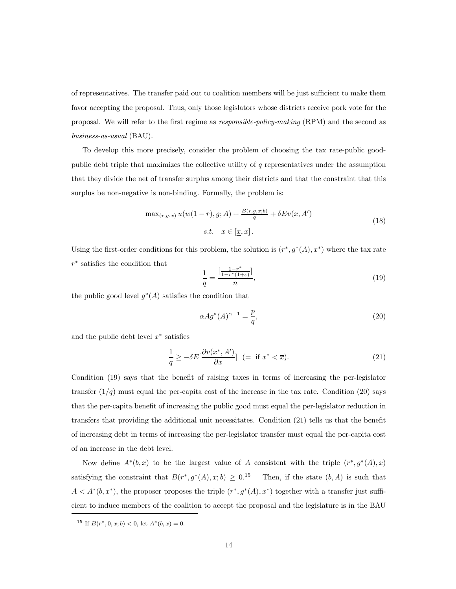of representatives. The transfer paid out to coalition members will be just sufficient to make them favor accepting the proposal. Thus, only those legislators whose districts receive pork vote for the proposal. We will refer to the first regime as *responsible-policy-making* (RPM) and the second as business-as-usual (BAU).

To develop this more precisely, consider the problem of choosing the tax rate-public goodpublic debt triple that maximizes the collective utility of  $q$  representatives under the assumption that they divide the net of transfer surplus among their districts and that the constraint that this surplus be non-negative is non-binding. Formally, the problem is:

$$
\max_{(r,g,x)} u(w(1-r),g;A) + \frac{B(r,g,x;b)}{q} + \delta Ev(x,A')
$$
\n
$$
s.t. \quad x \in [\underline{x}, \overline{x}].
$$
\n
$$
(18)
$$

Using the first-order conditions for this problem, the solution is  $(r^*, g^*(A), x^*)$  where the tax rate r<sup>∗</sup> satisfies the condition that

$$
\frac{1}{q} = \frac{\left[\frac{1-r^*}{1-r^*(1+\varepsilon)}\right]}{n},\tag{19}
$$

the public good level  $g^*(A)$  satisfies the condition that

$$
\alpha A g^*(A)^{\alpha - 1} = \frac{p}{q},\tag{20}
$$

and the public debt level  $x^*$  satisfies

$$
\frac{1}{q} \ge -\delta E[\frac{\partial v(x^*, A')}{\partial x}] \quad (= \text{if } x^* < \overline{x}).\tag{21}
$$

Condition (19) says that the benefit of raising taxes in terms of increasing the per-legislator transfer  $(1/q)$  must equal the per-capita cost of the increase in the tax rate. Condition (20) says that the per-capita benefit of increasing the public good must equal the per-legislator reduction in transfers that providing the additional unit necessitates. Condition (21) tells us that the benefit of increasing debt in terms of increasing the per-legislator transfer must equal the per-capita cost of an increase in the debt level.

Now define  $A^*(b, x)$  to be the largest value of A consistent with the triple  $(r^*, g^*(A), x)$ satisfying the constraint that  $B(r^*, g^*(A), x; b) \geq 0.15$  Then, if the state  $(b, A)$  is such that  $A \langle A^*(b, x^*)$ , the proposer proposes the triple  $(r^*, g^*(A), x^*)$  together with a transfer just sufficient to induce members of the coalition to accept the proposal and the legislature is in the BAU

<sup>&</sup>lt;sup>15</sup> If  $B(r^*, 0, x; b) < 0$ , let  $A^*(b, x) = 0$ .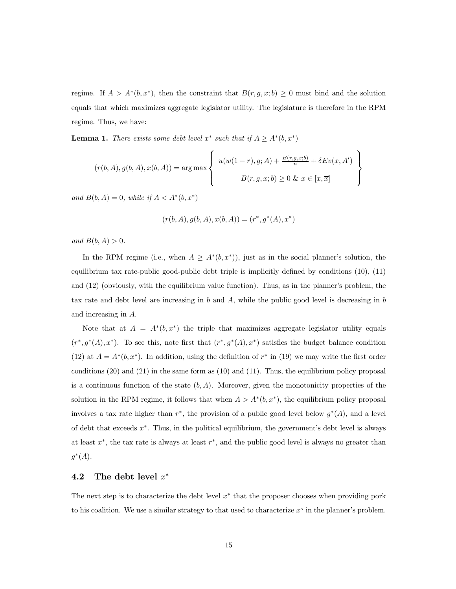regime. If  $A > A^*(b, x^*)$ , then the constraint that  $B(r, g, x; b) \ge 0$  must bind and the solution equals that which maximizes aggregate legislator utility. The legislature is therefore in the RPM regime. Thus, we have:

**Lemma 1.** There exists some debt level  $x^*$  such that if  $A \geq A^*(b, x^*)$ 

$$
(r(b, A), g(b, A), x(b, A)) = \arg \max \left\{ u(w(1-r), g; A) + \frac{B(r, g, x; b)}{n} + \delta Ev(x, A') \right\}
$$

$$
B(r, g, x; b) \ge 0 \& x \in [\underline{x}, \overline{x}]
$$

and  $B(b, A)=0$ , while if  $A < A^*(b, x^*)$ 

$$
(r(b, A), g(b, A), x(b, A)) = (r^*, g^*(A), x^*)
$$

and  $B(b, A) > 0$ .

In the RPM regime (i.e., when  $A \geq A^*(b, x^*))$ , just as in the social planner's solution, the equilibrium tax rate-public good-public debt triple is implicitly defined by conditions (10), (11) and (12) (obviously, with the equilibrium value function). Thus, as in the planner's problem, the tax rate and debt level are increasing in b and A, while the public good level is decreasing in b and increasing in A.

Note that at  $A = A^*(b, x^*)$  the triple that maximizes aggregate legislator utility equals  $(r^*, g^*(A), x^*)$ . To see this, note first that  $(r^*, g^*(A), x^*)$  satisfies the budget balance condition (12) at  $A = A^*(b, x^*)$ . In addition, using the definition of  $r^*$  in (19) we may write the first order conditions  $(20)$  and  $(21)$  in the same form as  $(10)$  and  $(11)$ . Thus, the equilibrium policy proposal is a continuous function of the state  $(b, A)$ . Moreover, given the monotonicity properties of the solution in the RPM regime, it follows that when  $A > A<sup>*</sup>(b, x<sup>*</sup>)$ , the equilibrium policy proposal involves a tax rate higher than  $r^*$ , the provision of a public good level below  $g^*(A)$ , and a level of debt that exceeds  $x^*$ . Thus, in the political equilibrium, the government's debt level is always at least x∗, the tax rate is always at least r∗, and the public good level is always no greater than  $g^*(A)$ .

### 4.2 The debt level  $x^*$

The next step is to characterize the debt level  $x^*$  that the proposer chooses when providing pork to his coalition. We use a similar strategy to that used to characterize  $x^o$  in the planner's problem.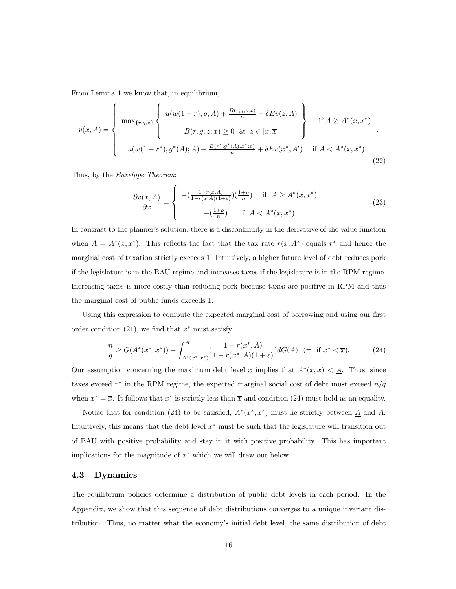From Lemma 1 we know that, in equilibrium,

$$
v(x, A) = \begin{cases} \max_{\{r, g, z\}} \left\{ u(w(1-r), g; A) + \frac{B(r, g, z; x)}{n} + \delta Ev(z, A) \atop B(r, g, z; x) \ge 0 \& z \in [\underline{x}, \overline{x}] \right\} & \text{if } A \ge A^*(x, x^*) \\ u(w(1-r^*), g^*(A); A) + \frac{B(r^*, g^*(A), x^*; x)}{n} + \delta Ev(x^*, A') & \text{if } A < A^*(x, x^*) \end{cases}
$$
(22)

Thus, by the *Envelope Theorem*:

$$
\frac{\partial v(x,A)}{\partial x} = \begin{cases}\n-(\frac{1-r(x,A)}{1-r(x,A)(1+\varepsilon)})(\frac{1+\rho}{n}) & \text{if } A \ge A^*(x,x^*) \\
-(\frac{1+\rho}{n}) & \text{if } A < A^*(x,x^*)\n\end{cases}
$$
\n(23)

In contrast to the planner's solution, there is a discontinuity in the derivative of the value function when  $A = A^*(x, x^*)$ . This reflects the fact that the tax rate  $r(x, A^*)$  equals  $r^*$  and hence the marginal cost of taxation strictly exceeds 1. Intuitively, a higher future level of debt reduces pork if the legislature is in the BAU regime and increases taxes if the legislature is in the RPM regime. Increasing taxes is more costly than reducing pork because taxes are positive in RPM and thus the marginal cost of public funds exceeds 1.

Using this expression to compute the expected marginal cost of borrowing and using our first order condition  $(21)$ , we find that  $x^*$  must satisfy

$$
\frac{n}{q} \ge G(A^*(x^*, x^*)) + \int_{A^*(x^*, x^*)}^{\overline{A}} \left(\frac{1 - r(x^*, A)}{1 - r(x^*, A)(1 + \varepsilon)}\right) dG(A) \quad (= \text{if } x^* < \overline{x}).\tag{24}
$$

Our assumption concerning the maximum debt level  $\bar{x}$  implies that  $A^*(\bar{x}, \bar{x}) < \underline{A}$ . Thus, since taxes exceed  $r^*$  in the RPM regime, the expected marginal social cost of debt must exceed  $n/q$ when  $x^* = \overline{x}$ . It follows that  $x^*$  is strictly less than  $\overline{x}$  and condition (24) must hold as an equality.

Notice that for condition (24) to be satisfied,  $A^*(x^*, x^*)$  must lie strictly between  $\underline{A}$  and  $\overline{A}$ . Intuitively, this means that the debt level  $x^*$  must be such that the legislature will transition out of BAU with positive probability and stay in it with positive probability. This has important implications for the magnitude of  $x^*$  which we will draw out below.

### 4.3 Dynamics

The equilibrium policies determine a distribution of public debt levels in each period. In the Appendix, we show that this sequence of debt distributions converges to a unique invariant distribution. Thus, no matter what the economy's initial debt level, the same distribution of debt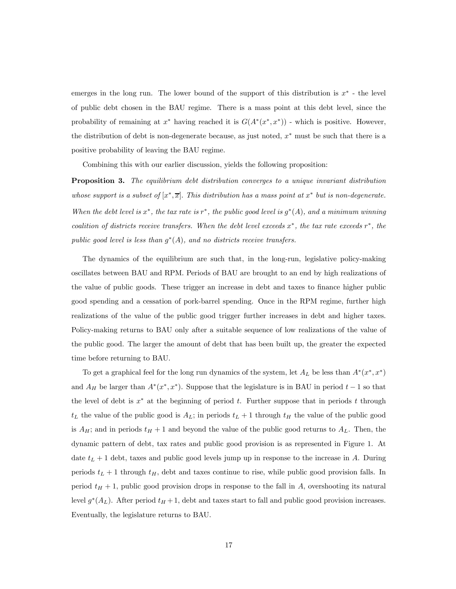emerges in the long run. The lower bound of the support of this distribution is  $x^*$  - the level of public debt chosen in the BAU regime. There is a mass point at this debt level, since the probability of remaining at  $x^*$  having reached it is  $G(A^*(x^*, x^*))$  - which is positive. However, the distribution of debt is non-degenerate because, as just noted,  $x^*$  must be such that there is a positive probability of leaving the BAU regime.

Combining this with our earlier discussion, yields the following proposition:

**Proposition 3.** The equilibrium debt distribution converges to a unique invariant distribution whose support is a subset of  $[x^*, \overline{x}]$ . This distribution has a mass point at  $x^*$  but is non-degenerate. When the debt level is  $x^*$ , the tax rate is  $r^*$ , the public good level is  $g^*(A)$ , and a minimum winning coalition of districts receive transfers. When the debt level exceeds  $x^*$ , the tax rate exceeds  $r^*$ , the public good level is less than  $g^*(A)$ , and no districts receive transfers.

The dynamics of the equilibrium are such that, in the long-run, legislative policy-making oscillates between BAU and RPM. Periods of BAU are brought to an end by high realizations of the value of public goods. These trigger an increase in debt and taxes to finance higher public good spending and a cessation of pork-barrel spending. Once in the RPM regime, further high realizations of the value of the public good trigger further increases in debt and higher taxes. Policy-making returns to BAU only after a suitable sequence of low realizations of the value of the public good. The larger the amount of debt that has been built up, the greater the expected time before returning to BAU.

To get a graphical feel for the long run dynamics of the system, let  $A_L$  be less than  $A^*(x^*, x^*)$ and  $A_H$  be larger than  $A^*(x^*, x^*)$ . Suppose that the legislature is in BAU in period  $t-1$  so that the level of debt is  $x^*$  at the beginning of period t. Further suppose that in periods t through  $t_L$  the value of the public good is  $A_L$ ; in periods  $t_L + 1$  through  $t_H$  the value of the public good is  $A_H$ ; and in periods  $t_H + 1$  and beyond the value of the public good returns to  $A_L$ . Then, the dynamic pattern of debt, tax rates and public good provision is as represented in Figure 1. At date  $t_L + 1$  debt, taxes and public good levels jump up in response to the increase in A. During periods  $t_L + 1$  through  $t_H$ , debt and taxes continue to rise, while public good provision falls. In period  $t_H + 1$ , public good provision drops in response to the fall in A, overshooting its natural level  $g^*(A_L)$ . After period  $t_H + 1$ , debt and taxes start to fall and public good provision increases. Eventually, the legislature returns to BAU.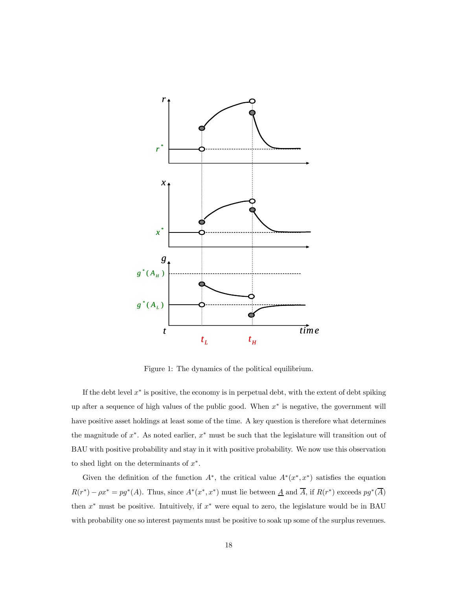

Figure 1: The dynamics of the political equilibrium.

If the debt level  $x^*$  is positive, the economy is in perpetual debt, with the extent of debt spiking up after a sequence of high values of the public good. When  $x^*$  is negative, the government will have positive asset holdings at least some of the time. A key question is therefore what determines the magnitude of x∗. As noted earlier, x<sup>∗</sup> must be such that the legislature will transition out of BAU with positive probability and stay in it with positive probability. We now use this observation to shed light on the determinants of  $x^*$ .

Given the definition of the function  $A^*$ , the critical value  $A^*(x^*, x^*)$  satisfies the equation  $R(r^*) - \rho x^* = pg^*(A)$ . Thus, since  $A^*(x^*, x^*)$  must lie between  $\underline{A}$  and  $\overline{A}$ , if  $R(r^*)$  exceeds  $pg^*(\overline{A})$ then  $x^*$  must be positive. Intuitively, if  $x^*$  were equal to zero, the legislature would be in BAU with probability one so interest payments must be positive to soak up some of the surplus revenues.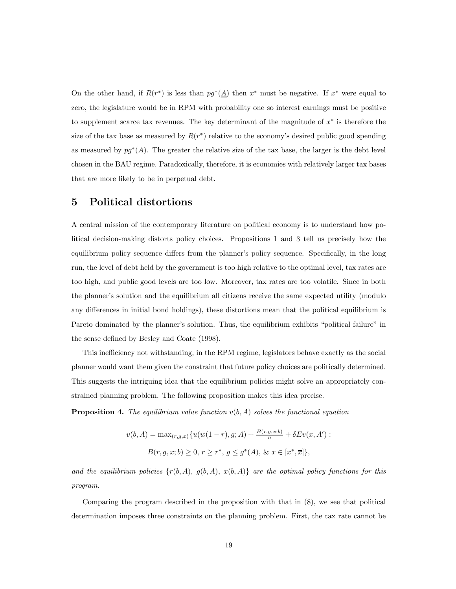On the other hand, if  $R(r^*)$  is less than  $pg^*(\underline{A})$  then  $x^*$  must be negative. If  $x^*$  were equal to zero, the legislature would be in RPM with probability one so interest earnings must be positive to supplement scarce tax revenues. The key determinant of the magnitude of  $x^*$  is therefore the size of the tax base as measured by  $R(r^*)$  relative to the economy's desired public good spending as measured by  $pg^*(A)$ . The greater the relative size of the tax base, the larger is the debt level chosen in the BAU regime. Paradoxically, therefore, it is economies with relatively larger tax bases that are more likely to be in perpetual debt.

## 5 Political distortions

A central mission of the contemporary literature on political economy is to understand how political decision-making distorts policy choices. Propositions 1 and 3 tell us precisely how the equilibrium policy sequence differs from the planner's policy sequence. Specifically, in the long run, the level of debt held by the government is too high relative to the optimal level, tax rates are too high, and public good levels are too low. Moreover, tax rates are too volatile. Since in both the planner's solution and the equilibrium all citizens receive the same expected utility (modulo any differences in initial bond holdings), these distortions mean that the political equilibrium is Pareto dominated by the planner's solution. Thus, the equilibrium exhibits "political failure" in the sense defined by Besley and Coate (1998).

This inefficiency not withstanding, in the RPM regime, legislators behave exactly as the social planner would want them given the constraint that future policy choices are politically determined. This suggests the intriguing idea that the equilibrium policies might solve an appropriately constrained planning problem. The following proposition makes this idea precise.

**Proposition 4.** The equilibrium value function  $v(b, A)$  solves the functional equation

$$
v(b, A) = \max_{(r, g, x)} \{ u(w(1 - r), g; A) + \frac{B(r, g, x; b)}{n} + \delta Ev(x, A') :
$$
  

$$
B(r, g, x; b) \ge 0, r \ge r^*, g \le g^*(A), \& x \in [x^*, \overline{x}]\},
$$

and the equilibrium policies  $\{r(b, A), g(b, A), x(b, A)\}\$ are the optimal policy functions for this program.

Comparing the program described in the proposition with that in (8), we see that political determination imposes three constraints on the planning problem. First, the tax rate cannot be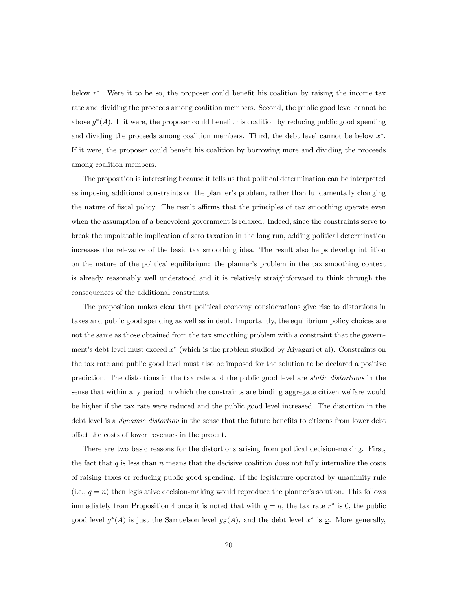below r∗. Were it to be so, the proposer could benefit his coalition by raising the income tax rate and dividing the proceeds among coalition members. Second, the public good level cannot be above  $g^*(A)$ . If it were, the proposer could benefit his coalition by reducing public good spending and dividing the proceeds among coalition members. Third, the debt level cannot be below  $x^*$ . If it were, the proposer could benefit his coalition by borrowing more and dividing the proceeds among coalition members.

The proposition is interesting because it tells us that political determination can be interpreted as imposing additional constraints on the planner's problem, rather than fundamentally changing the nature of fiscal policy. The result affirms that the principles of tax smoothing operate even when the assumption of a benevolent government is relaxed. Indeed, since the constraints serve to break the unpalatable implication of zero taxation in the long run, adding political determination increases the relevance of the basic tax smoothing idea. The result also helps develop intuition on the nature of the political equilibrium: the planner's problem in the tax smoothing context is already reasonably well understood and it is relatively straightforward to think through the consequences of the additional constraints.

The proposition makes clear that political economy considerations give rise to distortions in taxes and public good spending as well as in debt. Importantly, the equilibrium policy choices are not the same as those obtained from the tax smoothing problem with a constraint that the government's debt level must exceed  $x^*$  (which is the problem studied by Aiyagari et al). Constraints on the tax rate and public good level must also be imposed for the solution to be declared a positive prediction. The distortions in the tax rate and the public good level are static distortions in the sense that within any period in which the constraints are binding aggregate citizen welfare would be higher if the tax rate were reduced and the public good level increased. The distortion in the debt level is a *dynamic distortion* in the sense that the future benefits to citizens from lower debt offset the costs of lower revenues in the present.

There are two basic reasons for the distortions arising from political decision-making. First, the fact that  $q$  is less than  $n$  means that the decisive coalition does not fully internalize the costs of raising taxes or reducing public good spending. If the legislature operated by unanimity rule (i.e.,  $q = n$ ) then legislative decision-making would reproduce the planner's solution. This follows immediately from Proposition 4 once it is noted that with  $q = n$ , the tax rate r<sup>\*</sup> is 0, the public good level  $g^*(A)$  is just the Samuelson level  $g_S(A)$ , and the debt level  $x^*$  is  $\underline{x}$ . More generally,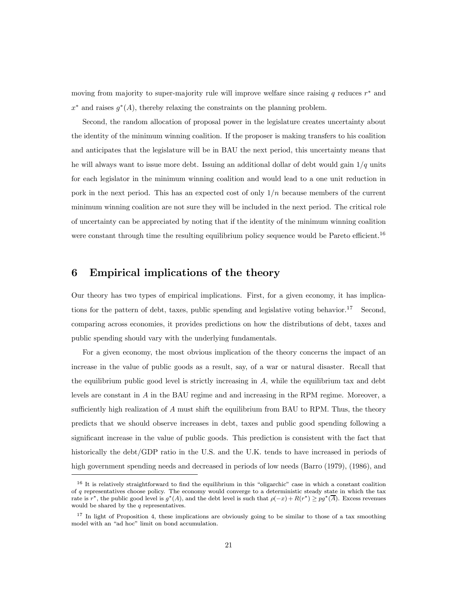moving from majority to super-majority rule will improve welfare since raising q reduces  $r^*$  and  $x^*$  and raises  $q^*(A)$ , thereby relaxing the constraints on the planning problem.

Second, the random allocation of proposal power in the legislature creates uncertainty about the identity of the minimum winning coalition. If the proposer is making transfers to his coalition and anticipates that the legislature will be in BAU the next period, this uncertainty means that he will always want to issue more debt. Issuing an additional dollar of debt would gain  $1/q$  units for each legislator in the minimum winning coalition and would lead to a one unit reduction in pork in the next period. This has an expected cost of only  $1/n$  because members of the current minimum winning coalition are not sure they will be included in the next period. The critical role of uncertainty can be appreciated by noting that if the identity of the minimum winning coalition were constant through time the resulting equilibrium policy sequence would be Pareto efficient.<sup>16</sup>

## 6 Empirical implications of the theory

Our theory has two types of empirical implications. First, for a given economy, it has implications for the pattern of debt, taxes, public spending and legislative voting behavior.<sup>17</sup> Second, comparing across economies, it provides predictions on how the distributions of debt, taxes and public spending should vary with the underlying fundamentals.

For a given economy, the most obvious implication of the theory concerns the impact of an increase in the value of public goods as a result, say, of a war or natural disaster. Recall that the equilibrium public good level is strictly increasing in A, while the equilibrium tax and debt levels are constant in A in the BAU regime and and increasing in the RPM regime. Moreover, a sufficiently high realization of  $A$  must shift the equilibrium from BAU to RPM. Thus, the theory predicts that we should observe increases in debt, taxes and public good spending following a significant increase in the value of public goods. This prediction is consistent with the fact that historically the debt/GDP ratio in the U.S. and the U.K. tends to have increased in periods of high government spending needs and decreased in periods of low needs (Barro (1979), (1986), and

<sup>&</sup>lt;sup>16</sup> It is relatively straightforward to find the equilibrium in this "oligarchic" case in which a constant coalition of q representatives choose policy. The economy would converge to a deterministic steady state in which the tax rate is r<sup>∗</sup>, the public good level is  $g^*(A)$ , and the debt level is such that  $\rho(-x) + R(r^*) \geq pg^*(\overline{A})$ . Excess revenues would be shared by the  $q$  representatives.

<sup>&</sup>lt;sup>17</sup> In light of Proposition 4, these implications are obviously going to be similar to those of a tax smoothing model with an "ad hoc" limit on bond accumulation.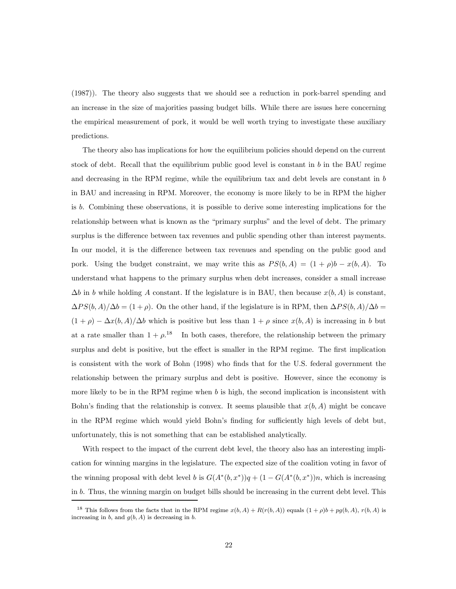(1987)). The theory also suggests that we should see a reduction in pork-barrel spending and an increase in the size of majorities passing budget bills. While there are issues here concerning the empirical measurement of pork, it would be well worth trying to investigate these auxiliary predictions.

The theory also has implications for how the equilibrium policies should depend on the current stock of debt. Recall that the equilibrium public good level is constant in b in the BAU regime and decreasing in the RPM regime, while the equilibrium tax and debt levels are constant in  $b$ in BAU and increasing in RPM. Moreover, the economy is more likely to be in RPM the higher is b. Combining these observations, it is possible to derive some interesting implications for the relationship between what is known as the "primary surplus" and the level of debt. The primary surplus is the difference between tax revenues and public spending other than interest payments. In our model, it is the difference between tax revenues and spending on the public good and pork. Using the budget constraint, we may write this as  $PS(b, A) = (1 + \rho)b - x(b, A)$ . To understand what happens to the primary surplus when debt increases, consider a small increase  $\Delta b$  in b while holding A constant. If the legislature is in BAU, then because  $x(b, A)$  is constant,  $\Delta PS(b, A)/\Delta b = (1 + \rho)$ . On the other hand, if the legislature is in RPM, then  $\Delta PS(b, A)/\Delta b =$  $(1 + \rho) - \Delta x(b, A)/\Delta b$  which is positive but less than  $1 + \rho$  since  $x(b, A)$  is increasing in b but at a rate smaller than  $1 + \rho^{18}$  In both cases, therefore, the relationship between the primary surplus and debt is positive, but the effect is smaller in the RPM regime. The first implication is consistent with the work of Bohn (1998) who finds that for the U.S. federal government the relationship between the primary surplus and debt is positive. However, since the economy is more likely to be in the RPM regime when  $b$  is high, the second implication is inconsistent with Bohn's finding that the relationship is convex. It seems plausible that  $x(b, A)$  might be concave in the RPM regime which would yield Bohn's finding for sufficiently high levels of debt but, unfortunately, this is not something that can be established analytically.

With respect to the impact of the current debt level, the theory also has an interesting implication for winning margins in the legislature. The expected size of the coalition voting in favor of the winning proposal with debt level b is  $G(A^*(b, x^*))q + (1 - G(A^*(b, x^*))n$ , which is increasing in b. Thus, the winning margin on budget bills should be increasing in the current debt level. This

<sup>&</sup>lt;sup>18</sup> This follows from the facts that in the RPM regime  $x(b, A) + R(r(b, A))$  equals  $(1 + \rho)b + pg(b, A)$ ,  $r(b, A)$  is increasing in  $b$ , and  $g(b, A)$  is decreasing in  $b$ .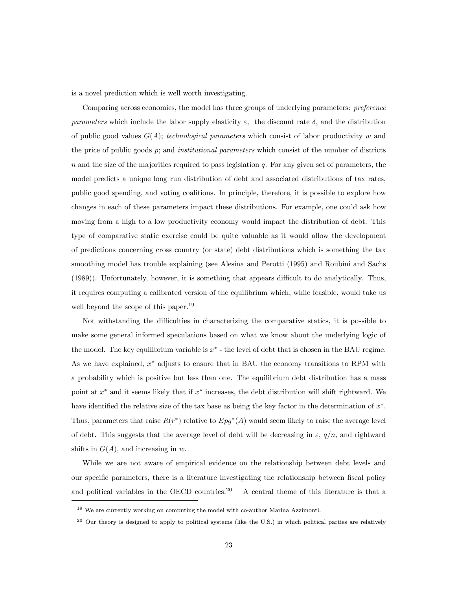is a novel prediction which is well worth investigating.

Comparing across economies, the model has three groups of underlying parameters: preference parameters which include the labor supply elasticity  $\varepsilon$ , the discount rate  $\delta$ , and the distribution of public good values  $G(A)$ ; technological parameters which consist of labor productivity w and the price of public goods  $p$ ; and *institutional parameters* which consist of the number of districts n and the size of the majorities required to pass legislation q. For any given set of parameters, the model predicts a unique long run distribution of debt and associated distributions of tax rates, public good spending, and voting coalitions. In principle, therefore, it is possible to explore how changes in each of these parameters impact these distributions. For example, one could ask how moving from a high to a low productivity economy would impact the distribution of debt. This type of comparative static exercise could be quite valuable as it would allow the development of predictions concerning cross country (or state) debt distributions which is something the tax smoothing model has trouble explaining (see Alesina and Perotti (1995) and Roubini and Sachs (1989)). Unfortunately, however, it is something that appears difficult to do analytically. Thus, it requires computing a calibrated version of the equilibrium which, while feasible, would take us well beyond the scope of this paper.<sup>19</sup>

Not withstanding the difficulties in characterizing the comparative statics, it is possible to make some general informed speculations based on what we know about the underlying logic of the model. The key equilibrium variable is  $x<sup>*</sup>$  - the level of debt that is chosen in the BAU regime. As we have explained,  $x^*$  adjusts to ensure that in BAU the economy transitions to RPM with a probability which is positive but less than one. The equilibrium debt distribution has a mass point at  $x^*$  and it seems likely that if  $x^*$  increases, the debt distribution will shift rightward. We have identified the relative size of the tax base as being the key factor in the determination of  $x^*$ . Thus, parameters that raise  $R(r^*)$  relative to  $Epg^*(A)$  would seem likely to raise the average level of debt. This suggests that the average level of debt will be decreasing in  $\varepsilon$ ,  $q/n$ , and rightward shifts in  $G(A)$ , and increasing in w.

While we are not aware of empirical evidence on the relationship between debt levels and our specific parameters, there is a literature investigating the relationship between fiscal policy and political variables in the OECD countries.<sup>20</sup> A central theme of this literature is that a

<sup>19</sup> We are currently working on computing the model with co-author Marina Azzimonti.

 $20$  Our theory is designed to apply to political systems (like the U.S.) in which political parties are relatively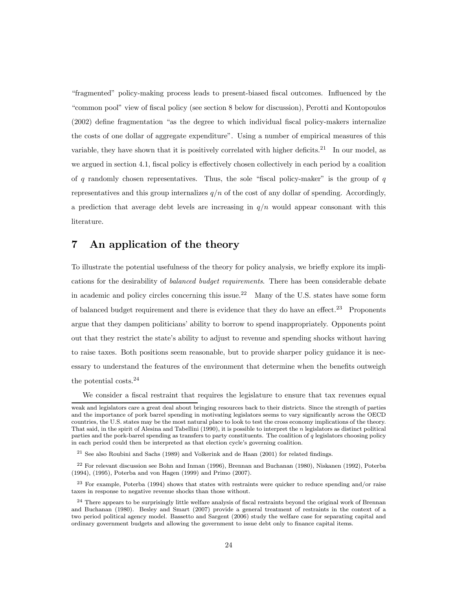"fragmented" policy-making process leads to present-biased fiscal outcomes. Influenced by the "common pool" view of fiscal policy (see section 8 below for discussion), Perotti and Kontopoulos (2002) define fragmentation "as the degree to which individual fiscal policy-makers internalize the costs of one dollar of aggregate expenditure". Using a number of empirical measures of this variable, they have shown that it is positively correlated with higher deficits.<sup>21</sup> In our model, as we argued in section 4.1, fiscal policy is effectively chosen collectively in each period by a coalition of q randomly chosen representatives. Thus, the sole "fiscal policy-maker" is the group of  $q$ representatives and this group internalizes  $q/n$  of the cost of any dollar of spending. Accordingly, a prediction that average debt levels are increasing in  $q/n$  would appear consonant with this literature.

## 7 An application of the theory

To illustrate the potential usefulness of the theory for policy analysis, we briefly explore its implications for the desirability of balanced budget requirements. There has been considerable debate in academic and policy circles concerning this issue.<sup>22</sup> Many of the U.S. states have some form of balanced budget requirement and there is evidence that they do have an effect.<sup>23</sup> Proponents argue that they dampen politicians' ability to borrow to spend inappropriately. Opponents point out that they restrict the state's ability to adjust to revenue and spending shocks without having to raise taxes. Both positions seem reasonable, but to provide sharper policy guidance it is necessary to understand the features of the environment that determine when the benefits outweigh the potential costs.<sup>24</sup>

We consider a fiscal restraint that requires the legislature to ensure that tax revenues equal

weak and legislators care a great deal about bringing resources back to their districts. Since the strength of parties and the importance of pork barrel spending in motivating legislators seems to vary significantly across the OECD countries, the U.S. states may be the most natural place to look to test the cross economy implications of the theory. That said, in the spirit of Alesina and Tabellini (1990), it is possible to interpret the *n* legislators as distinct political parties and the pork-barrel spending as transfers to party constituents. The coalition of q legislators choosing policy in each period could then be interpreted as that election cycle's governing coalition.

<sup>21</sup> See also Roubini and Sachs (1989) and Volkerink and de Haan (2001) for related findings.

<sup>22</sup> For relevant discussion see Bohn and Inman (1996), Brennan and Buchanan (1980), Niskanen (1992), Poterba (1994), (1995), Poterba and von Hagen (1999) and Primo (2007).

 $^{23}$  For example, Poterba (1994) shows that states with restraints were quicker to reduce spending and/or raise taxes in response to negative revenue shocks than those without.

 $^{24}$  There appears to be surprisingly little welfare analysis of fiscal restraints beyond the original work of Brennan and Buchanan (1980). Besley and Smart (2007) provide a general treatment of restraints in the context of a two period political agency model. Bassetto and Sargent (2006) study the welfare case for separating capital and ordinary government budgets and allowing the government to issue debt only to finance capital items.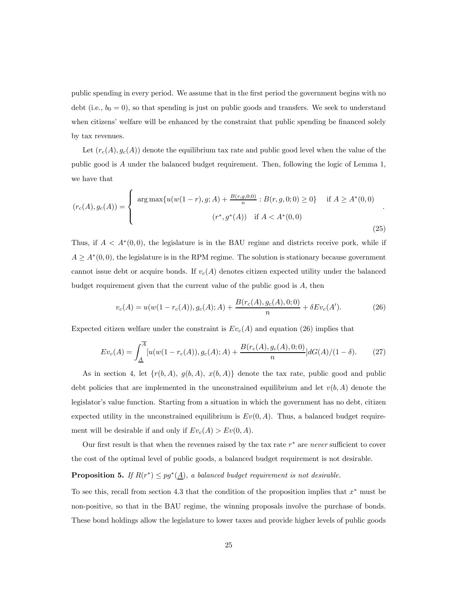public spending in every period. We assume that in the first period the government begins with no debt (i.e.,  $b_0 = 0$ ), so that spending is just on public goods and transfers. We seek to understand when citizens' welfare will be enhanced by the constraint that public spending be financed solely by tax revenues.

Let  $(r_c(A), g_c(A))$  denote the equilibrium tax rate and public good level when the value of the public good is A under the balanced budget requirement. Then, following the logic of Lemma 1, we have that

$$
(r_c(A), g_c(A)) = \begin{cases} \arg \max \{ u(w(1-r), g; A) + \frac{B(r, g, 0; 0)}{n} : B(r, g, 0; 0) \ge 0 \} & \text{if } A \ge A^*(0, 0) \\ & (r^*, g^*(A)) & \text{if } A < A^*(0, 0) \end{cases}
$$
(25)

Thus, if  $A < A^*(0, 0)$ , the legislature is in the BAU regime and districts receive pork, while if  $A \geq A^*(0,0)$ , the legislature is in the RPM regime. The solution is stationary because government cannot issue debt or acquire bonds. If  $v_c(A)$  denotes citizen expected utility under the balanced budget requirement given that the current value of the public good is A, then

$$
v_c(A) = u(w(1 - r_c(A)), g_c(A); A) + \frac{B(r_c(A), g_c(A), 0; 0)}{n} + \delta Ev_c(A').
$$
 (26)

Expected citizen welfare under the constraint is  $Ev<sub>c</sub>(A)$  and equation (26) implies that

$$
Ev_c(A) = \int_A^{\overline{A}} [u(w(1 - r_c(A)), g_c(A); A) + \frac{B(r_c(A), g_c(A), 0; 0)}{n}] dG(A) / (1 - \delta). \tag{27}
$$

As in section 4, let  $\{r(b, A), g(b, A), x(b, A)\}\$  denote the tax rate, public good and public debt policies that are implemented in the unconstrained equilibrium and let  $v(b, A)$  denote the legislator's value function. Starting from a situation in which the government has no debt, citizen expected utility in the unconstrained equilibrium is  $Ev(0, A)$ . Thus, a balanced budget requirement will be desirable if and only if  $Ev<sub>c</sub>(A) > Ev(0, A)$ .

Our first result is that when the revenues raised by the tax rate  $r^*$  are never sufficient to cover the cost of the optimal level of public goods, a balanced budget requirement is not desirable.

## **Proposition 5.** If  $R(r^*) \leq pg^*(\underline{A})$ , a balanced budget requirement is not desirable.

To see this, recall from section 4.3 that the condition of the proposition implies that  $x^*$  must be non-positive, so that in the BAU regime, the winning proposals involve the purchase of bonds. These bond holdings allow the legislature to lower taxes and provide higher levels of public goods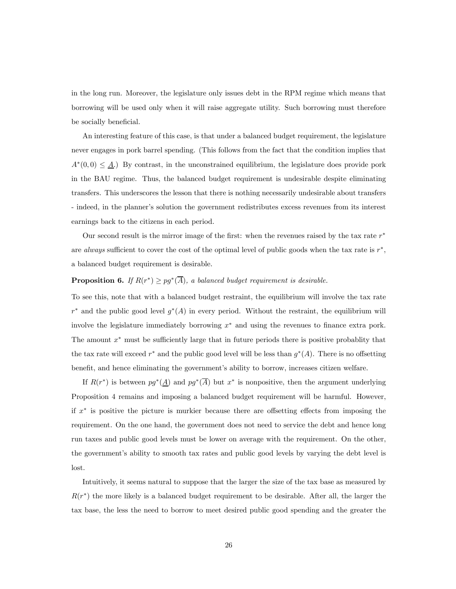in the long run. Moreover, the legislature only issues debt in the RPM regime which means that borrowing will be used only when it will raise aggregate utility. Such borrowing must therefore be socially beneficial.

An interesting feature of this case, is that under a balanced budget requirement, the legislature never engages in pork barrel spending. (This follows from the fact that the condition implies that  $A^*(0,0) \leq \underline{A}$ . By contrast, in the unconstrained equilibrium, the legislature does provide pork in the BAU regime. Thus, the balanced budget requirement is undesirable despite eliminating transfers. This underscores the lesson that there is nothing necessarily undesirable about transfers - indeed, in the planner's solution the government redistributes excess revenues from its interest earnings back to the citizens in each period.

Our second result is the mirror image of the first: when the revenues raised by the tax rate  $r^*$ are always sufficient to cover the cost of the optimal level of public goods when the tax rate is  $r^*$ , a balanced budget requirement is desirable.

## **Proposition 6.** If  $R(r^*) \geq pg^*(\overline{A})$ , a balanced budget requirement is desirable.

To see this, note that with a balanced budget restraint, the equilibrium will involve the tax rate  $r^*$  and the public good level  $g^*(A)$  in every period. Without the restraint, the equilibrium will involve the legislature immediately borrowing x<sup>∗</sup> and using the revenues to finance extra pork. The amount  $x^*$  must be sufficiently large that in future periods there is positive probability that the tax rate will exceed r<sup>∗</sup> and the public good level will be less than  $g^*(A)$ . There is no offsetting benefit, and hence eliminating the government's ability to borrow, increases citizen welfare.

If  $R(r^*)$  is between  $pg^*(\underline{A})$  and  $pg^*(\overline{A})$  but  $x^*$  is nonpositive, then the argument underlying Proposition 4 remains and imposing a balanced budget requirement will be harmful. However, if  $x^*$  is positive the picture is murkier because there are offsetting effects from imposing the requirement. On the one hand, the government does not need to service the debt and hence long run taxes and public good levels must be lower on average with the requirement. On the other, the government's ability to smooth tax rates and public good levels by varying the debt level is lost.

Intuitively, it seems natural to suppose that the larger the size of the tax base as measured by  $R(r<sup>*</sup>)$  the more likely is a balanced budget requirement to be desirable. After all, the larger the tax base, the less the need to borrow to meet desired public good spending and the greater the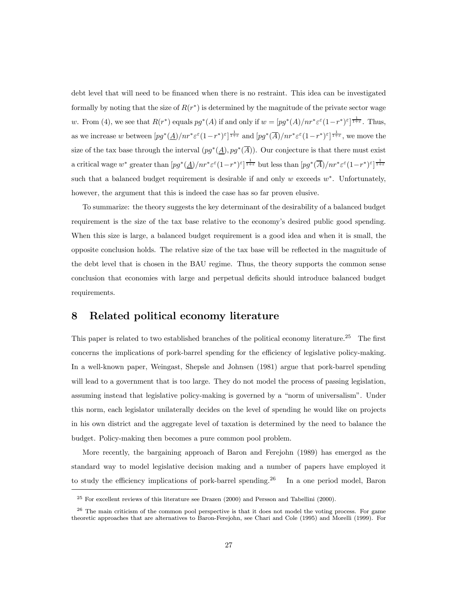debt level that will need to be financed when there is no restraint. This idea can be investigated formally by noting that the size of  $R(r^*)$  is determined by the magnitude of the private sector wage w. From (4), we see that  $R(r^*)$  equals  $pg^*(A)$  if and only if  $w = [pg^*(A)/nr^* \varepsilon^{\varepsilon}(1-r^*)^{\varepsilon}]^{\frac{1}{1+\varepsilon}}$ . Thus, as we increase w between  $[pg^*(\underline{A})/nr^*\varepsilon^{\varepsilon}(1-r^*)^{\varepsilon}]^{\frac{1}{1+\varepsilon}}$  and  $[pg^*(\overline{A})/nr^*\varepsilon^{\varepsilon}(1-r^*)^{\varepsilon}]^{\frac{1}{1+\varepsilon}}$ , we move the size of the tax base through the interval  $(pg<sup>*</sup>(\underline{A}), pg<sup>*</sup>(\overline{A}))$ . Our conjecture is that there must exist a critical wage  $w^*$  greater than  $[pg^*(\underline{A})/nr^*\varepsilon^{\varepsilon}(1-r^*)^{\varepsilon}]^{\frac{1}{1+\varepsilon}}$  but less than  $[pg^*(\overline{A})/nr^*\varepsilon^{\varepsilon}(1-r^*)^{\varepsilon}]^{\frac{1}{1+\varepsilon}}$ such that a balanced budget requirement is desirable if and only w exceeds  $w^*$ . Unfortunately, however, the argument that this is indeed the case has so far proven elusive.

To summarize: the theory suggests the key determinant of the desirability of a balanced budget requirement is the size of the tax base relative to the economy's desired public good spending. When this size is large, a balanced budget requirement is a good idea and when it is small, the opposite conclusion holds. The relative size of the tax base will be reflected in the magnitude of the debt level that is chosen in the BAU regime. Thus, the theory supports the common sense conclusion that economies with large and perpetual deficits should introduce balanced budget requirements.

## 8 Related political economy literature

This paper is related to two established branches of the political economy literature.<sup>25</sup> The first concerns the implications of pork-barrel spending for the efficiency of legislative policy-making. In a well-known paper, Weingast, Shepsle and Johnsen (1981) argue that pork-barrel spending will lead to a government that is too large. They do not model the process of passing legislation, assuming instead that legislative policy-making is governed by a "norm of universalism". Under this norm, each legislator unilaterally decides on the level of spending he would like on projects in his own district and the aggregate level of taxation is determined by the need to balance the budget. Policy-making then becomes a pure common pool problem.

More recently, the bargaining approach of Baron and Ferejohn (1989) has emerged as the standard way to model legislative decision making and a number of papers have employed it to study the efficiency implications of pork-barrel spending.<sup>26</sup> In a one period model, Baron

<sup>&</sup>lt;sup>25</sup> For excellent reviews of this literature see Drazen (2000) and Persson and Tabellini (2000).

<sup>&</sup>lt;sup>26</sup> The main criticism of the common pool perspective is that it does not model the voting process. For game theoretic approaches that are alternatives to Baron-Ferejohn, see Chari and Cole (1995) and Morelli (1999). For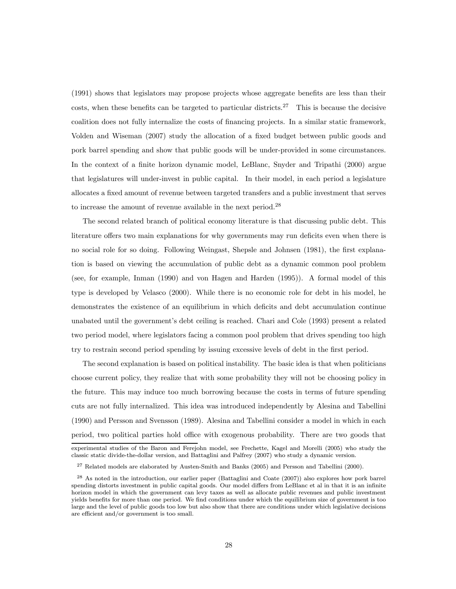(1991) shows that legislators may propose projects whose aggregate benefits are less than their costs, when these benefits can be targeted to particular districts.<sup>27</sup> This is because the decisive coalition does not fully internalize the costs of financing projects. In a similar static framework, Volden and Wiseman (2007) study the allocation of a fixed budget between public goods and pork barrel spending and show that public goods will be under-provided in some circumstances. In the context of a finite horizon dynamic model, LeBlanc, Snyder and Tripathi (2000) argue that legislatures will under-invest in public capital. In their model, in each period a legislature allocates a fixed amount of revenue between targeted transfers and a public investment that serves to increase the amount of revenue available in the next period.<sup>28</sup>

The second related branch of political economy literature is that discussing public debt. This literature offers two main explanations for why governments may run deficits even when there is no social role for so doing. Following Weingast, Shepsle and Johnsen (1981), the first explanation is based on viewing the accumulation of public debt as a dynamic common pool problem (see, for example, Inman (1990) and von Hagen and Harden (1995)). A formal model of this type is developed by Velasco (2000). While there is no economic role for debt in his model, he demonstrates the existence of an equilibrium in which deficits and debt accumulation continue unabated until the government's debt ceiling is reached. Chari and Cole (1993) present a related two period model, where legislators facing a common pool problem that drives spending too high try to restrain second period spending by issuing excessive levels of debt in the first period.

The second explanation is based on political instability. The basic idea is that when politicians choose current policy, they realize that with some probability they will not be choosing policy in the future. This may induce too much borrowing because the costs in terms of future spending cuts are not fully internalized. This idea was introduced independently by Alesina and Tabellini (1990) and Persson and Svensson (1989). Alesina and Tabellini consider a model in which in each period, two political parties hold office with exogenous probability. There are two goods that

experimental studies of the Baron and Ferejohn model, see Frechette, Kagel and Morelli (2005) who study the classic static divide-the-dollar version, and Battaglini and Palfrey (2007) who study a dynamic version.

<sup>27</sup> Related models are elaborated by Austen-Smith and Banks (2005) and Persson and Tabellini (2000).

<sup>28</sup> As noted in the introduction, our earlier paper (Battaglini and Coate (2007)) also explores how pork barrel spending distorts investment in public capital goods. Our model differs from LeBlanc et al in that it is an infinite horizon model in which the government can levy taxes as well as allocate public revenues and public investment yields benefits for more than one period. We find conditions under which the equilibrium size of government is too large and the level of public goods too low but also show that there are conditions under which legislative decisions are efficient and/or government is too small.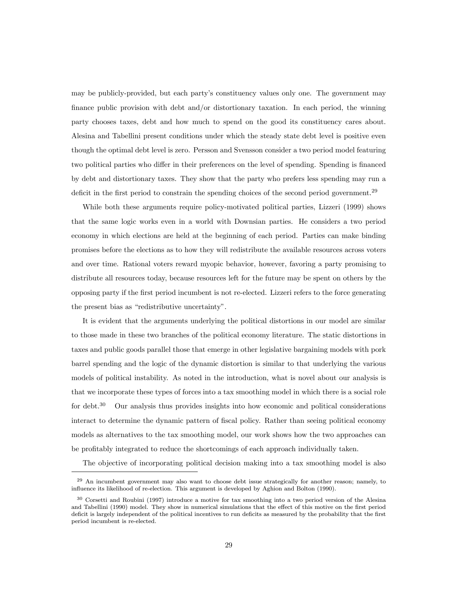may be publicly-provided, but each party's constituency values only one. The government may finance public provision with debt and/or distortionary taxation. In each period, the winning party chooses taxes, debt and how much to spend on the good its constituency cares about. Alesina and Tabellini present conditions under which the steady state debt level is positive even though the optimal debt level is zero. Persson and Svensson consider a two period model featuring two political parties who differ in their preferences on the level of spending. Spending is financed by debt and distortionary taxes. They show that the party who prefers less spending may run a deficit in the first period to constrain the spending choices of the second period government.<sup>29</sup>

While both these arguments require policy-motivated political parties, Lizzeri (1999) shows that the same logic works even in a world with Downsian parties. He considers a two period economy in which elections are held at the beginning of each period. Parties can make binding promises before the elections as to how they will redistribute the available resources across voters and over time. Rational voters reward myopic behavior, however, favoring a party promising to distribute all resources today, because resources left for the future may be spent on others by the opposing party if the first period incumbent is not re-elected. Lizzeri refers to the force generating the present bias as "redistributive uncertainty".

It is evident that the arguments underlying the political distortions in our model are similar to those made in these two branches of the political economy literature. The static distortions in taxes and public goods parallel those that emerge in other legislative bargaining models with pork barrel spending and the logic of the dynamic distortion is similar to that underlying the various models of political instability. As noted in the introduction, what is novel about our analysis is that we incorporate these types of forces into a tax smoothing model in which there is a social role for debt.<sup>30</sup> Our analysis thus provides insights into how economic and political considerations interact to determine the dynamic pattern of fiscal policy. Rather than seeing political economy models as alternatives to the tax smoothing model, our work shows how the two approaches can be profitably integrated to reduce the shortcomings of each approach individually taken.

The objective of incorporating political decision making into a tax smoothing model is also

<sup>&</sup>lt;sup>29</sup> An incumbent government may also want to choose debt issue strategically for another reason; namely, to influence its likelihood of re-election. This argument is developed by Aghion and Bolton (1990).

<sup>30</sup> Corsetti and Roubini (1997) introduce a motive for tax smoothing into a two period version of the Alesina and Tabellini (1990) model. They show in numerical simulations that the effect of this motive on the first period deficit is largely independent of the political incentives to run deficits as measured by the probability that the first period incumbent is re-elected.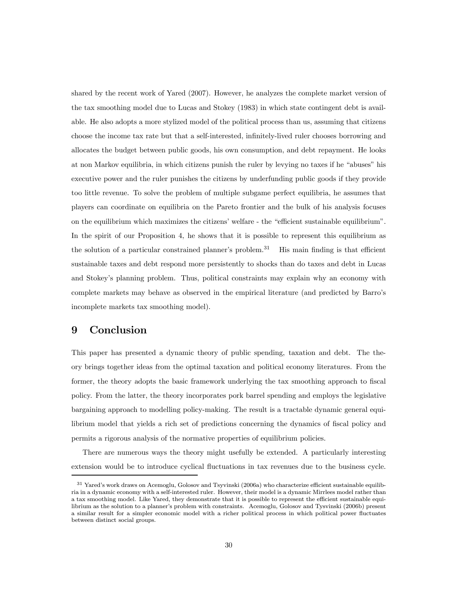shared by the recent work of Yared (2007). However, he analyzes the complete market version of the tax smoothing model due to Lucas and Stokey (1983) in which state contingent debt is available. He also adopts a more stylized model of the political process than us, assuming that citizens choose the income tax rate but that a self-interested, infinitely-lived ruler chooses borrowing and allocates the budget between public goods, his own consumption, and debt repayment. He looks at non Markov equilibria, in which citizens punish the ruler by levying no taxes if he "abuses" his executive power and the ruler punishes the citizens by underfunding public goods if they provide too little revenue. To solve the problem of multiple subgame perfect equilibria, he assumes that players can coordinate on equilibria on the Pareto frontier and the bulk of his analysis focuses on the equilibrium which maximizes the citizens' welfare - the "efficient sustainable equilibrium". In the spirit of our Proposition 4, he shows that it is possible to represent this equilibrium as the solution of a particular constrained planner's problem.<sup>31</sup> His main finding is that efficient sustainable taxes and debt respond more persistently to shocks than do taxes and debt in Lucas and Stokey's planning problem. Thus, political constraints may explain why an economy with complete markets may behave as observed in the empirical literature (and predicted by Barro's incomplete markets tax smoothing model).

## 9 Conclusion

This paper has presented a dynamic theory of public spending, taxation and debt. The theory brings together ideas from the optimal taxation and political economy literatures. From the former, the theory adopts the basic framework underlying the tax smoothing approach to fiscal policy. From the latter, the theory incorporates pork barrel spending and employs the legislative bargaining approach to modelling policy-making. The result is a tractable dynamic general equilibrium model that yields a rich set of predictions concerning the dynamics of fiscal policy and permits a rigorous analysis of the normative properties of equilibrium policies.

There are numerous ways the theory might usefully be extended. A particularly interesting extension would be to introduce cyclical fluctuations in tax revenues due to the business cycle.

<sup>&</sup>lt;sup>31</sup> Yared's work draws on Acemoglu, Golosov and Tsyvinski (2006a) who characterize efficient sustainable equilibria in a dynamic economy with a self-interested ruler. However, their model is a dynamic Mirrlees model rather than a tax smoothing model. Like Yared, they demonstrate that it is possible to represent the efficient sustainable equilibrium as the solution to a planner's problem with constraints. Acemoglu, Golosov and Tysvinski (2006b) present a similar result for a simpler economic model with a richer political process in which political power fluctuates between distinct social groups.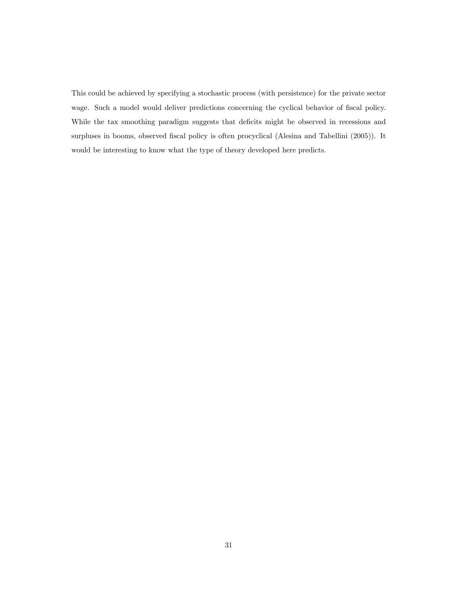This could be achieved by specifying a stochastic process (with persistence) for the private sector wage. Such a model would deliver predictions concerning the cyclical behavior of fiscal policy. While the tax smoothing paradigm suggests that deficits might be observed in recessions and surpluses in booms, observed fiscal policy is often procyclical (Alesina and Tabellini (2005)). It would be interesting to know what the type of theory developed here predicts.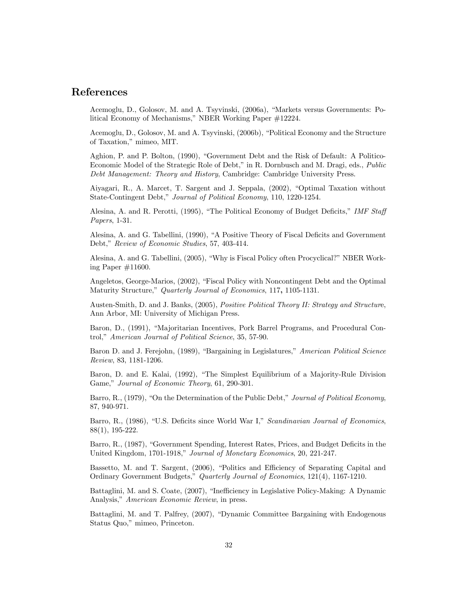## References

Acemoglu, D., Golosov, M. and A. Tsyvinski, (2006a), "Markets versus Governments: Political Economy of Mechanisms," NBER Working Paper #12224.

Acemoglu, D., Golosov, M. and A. Tsyvinski, (2006b), "Political Economy and the Structure of Taxation," mimeo, MIT.

Aghion, P. and P. Bolton, (1990), "Government Debt and the Risk of Default: A Politico-Economic Model of the Strategic Role of Debt," in R. Dornbusch and M. Dragi, eds., Public Debt Management: Theory and History, Cambridge: Cambridge University Press.

Aiyagari, R., A. Marcet, T. Sargent and J. Seppala, (2002), "Optimal Taxation without State-Contingent Debt," Journal of Political Economy, 110, 1220-1254.

Alesina, A. and R. Perotti, (1995), "The Political Economy of Budget Deficits," IMF Staff Papers, 1-31.

Alesina, A. and G. Tabellini, (1990), "A Positive Theory of Fiscal Deficits and Government Debt," Review of Economic Studies, 57, 403-414.

Alesina, A. and G. Tabellini, (2005), "Why is Fiscal Policy often Procyclical?" NBER Working Paper #11600.

Angeletos, George-Marios, (2002), "Fiscal Policy with Noncontingent Debt and the Optimal Maturity Structure," Quarterly Journal of Economics, 117, 1105-1131.

Austen-Smith, D. and J. Banks, (2005), Positive Political Theory II: Strategy and Structure, Ann Arbor, MI: University of Michigan Press.

Baron, D., (1991), "Majoritarian Incentives, Pork Barrel Programs, and Procedural Control," American Journal of Political Science, 35, 57-90.

Baron D. and J. Ferejohn, (1989), "Bargaining in Legislatures," American Political Science Review, 83, 1181-1206.

Baron, D. and E. Kalai, (1992), "The Simplest Equilibrium of a Majority-Rule Division Game," Journal of Economic Theory, 61, 290-301.

Barro, R., (1979), "On the Determination of the Public Debt," Journal of Political Economy, 87, 940-971.

Barro, R., (1986), "U.S. Deficits since World War I," Scandinavian Journal of Economics, 88(1), 195-222.

Barro, R., (1987), "Government Spending, Interest Rates, Prices, and Budget Deficits in the United Kingdom, 1701-1918," Journal of Monetary Economics, 20, 221-247.

Bassetto, M. and T. Sargent, (2006), "Politics and Efficiency of Separating Capital and Ordinary Government Budgets," Quarterly Journal of Economics, 121(4), 1167-1210.

Battaglini, M. and S. Coate, (2007), "Inefficiency in Legislative Policy-Making: A Dynamic Analysis," American Economic Review, in press.

Battaglini, M. and T. Palfrey, (2007), "Dynamic Committee Bargaining with Endogenous Status Quo," mimeo, Princeton.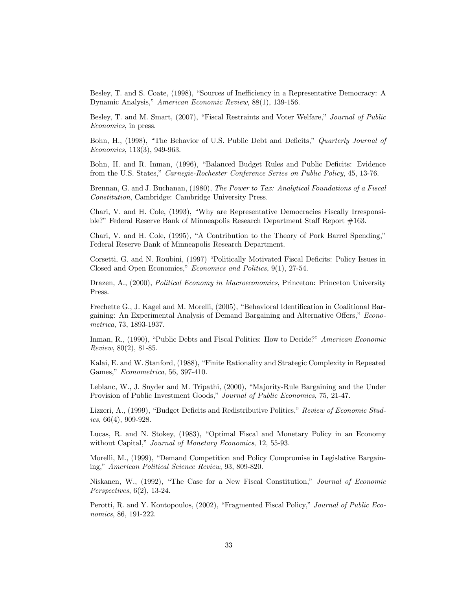Besley, T. and S. Coate, (1998), "Sources of Inefficiency in a Representative Democracy: A Dynamic Analysis," American Economic Review, 88(1), 139-156.

Besley, T. and M. Smart, (2007), "Fiscal Restraints and Voter Welfare," Journal of Public Economics, in press.

Bohn, H., (1998), "The Behavior of U.S. Public Debt and Deficits," *Quarterly Journal of* Economics, 113(3), 949-963.

Bohn, H. and R. Inman, (1996), "Balanced Budget Rules and Public Deficits: Evidence from the U.S. States," Carnegie-Rochester Conference Series on Public Policy, 45, 13-76.

Brennan, G. and J. Buchanan, (1980), The Power to Tax: Analytical Foundations of a Fiscal Constitution, Cambridge: Cambridge University Press.

Chari, V. and H. Cole, (1993), "Why are Representative Democracies Fiscally Irresponsible?" Federal Reserve Bank of Minneapolis Research Department Staff Report #163.

Chari, V. and H. Cole, (1995), "A Contribution to the Theory of Pork Barrel Spending," Federal Reserve Bank of Minneapolis Research Department.

Corsetti, G. and N. Roubini, (1997) "Politically Motivated Fiscal Deficits: Policy Issues in Closed and Open Economies," Economics and Politics, 9(1), 27-54.

Drazen, A., (2000), *Political Economy in Macroeconomics*, Princeton: Princeton University Press.

Frechette G., J. Kagel and M. Morelli, (2005), "Behavioral Identification in Coalitional Bargaining: An Experimental Analysis of Demand Bargaining and Alternative Offers," Econometrica, 73, 1893-1937.

Inman, R., (1990), "Public Debts and Fiscal Politics: How to Decide?" American Economic Review, 80(2), 81-85.

Kalai, E. and W. Stanford, (1988), "Finite Rationality and Strategic Complexity in Repeated Games," Econometrica, 56, 397-410.

Leblanc, W., J. Snyder and M. Tripathi, (2000), "Majority-Rule Bargaining and the Under Provision of Public Investment Goods," Journal of Public Economics, 75, 21-47.

Lizzeri, A., (1999), "Budget Deficits and Redistributive Politics," Review of Economic Studies,  $66(4)$ , 909-928.

Lucas, R. and N. Stokey, (1983), "Optimal Fiscal and Monetary Policy in an Economy without Capital," *Journal of Monetary Economics*, 12, 55-93.

Morelli, M., (1999), "Demand Competition and Policy Compromise in Legislative Bargaining," American Political Science Review, 93, 809-820.

Niskanen, W., (1992), "The Case for a New Fiscal Constitution," Journal of Economic Perspectives, 6(2), 13-24.

Perotti, R. and Y. Kontopoulos,  $(2002)$ , "Fragmented Fiscal Policy," Journal of Public Economics, 86, 191-222.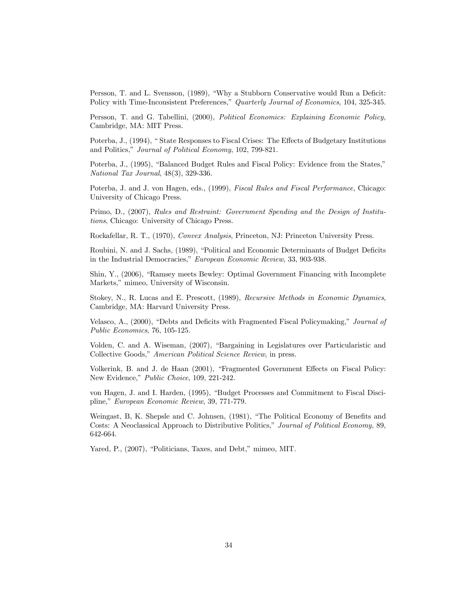Persson, T. and L. Svensson, (1989), "Why a Stubborn Conservative would Run a Deficit: Policy with Time-Inconsistent Preferences," Quarterly Journal of Economics, 104, 325-345.

Persson, T. and G. Tabellini, (2000), *Political Economics: Explaining Economic Policy*, Cambridge, MA: MIT Press.

Poterba, J., (1994), " State Responses to Fiscal Crises: The Effects of Budgetary Institutions and Politics," Journal of Political Economy, 102, 799-821.

Poterba, J., (1995), "Balanced Budget Rules and Fiscal Policy: Evidence from the States," National Tax Journal, 48(3), 329-336.

Poterba, J. and J. von Hagen, eds., (1999), Fiscal Rules and Fiscal Performance, Chicago: University of Chicago Press.

Primo, D., (2007), Rules and Restraint: Government Spending and the Design of Institutions, Chicago: University of Chicago Press.

Rockafellar, R. T., (1970), Convex Analysis, Princeton, NJ: Princeton University Press.

Roubini, N. and J. Sachs, (1989), "Political and Economic Determinants of Budget Deficits in the Industrial Democracies," European Economic Review, 33, 903-938.

Shin, Y., (2006), "Ramsey meets Bewley: Optimal Government Financing with Incomplete Markets," mimeo, University of Wisconsin.

Stokey, N., R. Lucas and E. Prescott, (1989), Recursive Methods in Economic Dynamics, Cambridge, MA: Harvard University Press.

Velasco, A., (2000), "Debts and Deficits with Fragmented Fiscal Policymaking," Journal of Public Economics, 76, 105-125.

Volden, C. and A. Wiseman, (2007), "Bargaining in Legislatures over Particularistic and Collective Goods," American Political Science Review, in press.

Volkerink, B. and J. de Haan (2001), "Fragmented Government Effects on Fiscal Policy: New Evidence," Public Choice, 109, 221-242.

von Hagen, J. and I. Harden, (1995), "Budget Processes and Commitment to Fiscal Discipline," European Economic Review, 39, 771-779.

Weingast, B, K. Shepsle and C. Johnsen, (1981), "The Political Economy of Benefits and Costs: A Neoclassical Approach to Distributive Politics," Journal of Political Economy, 89, 642-664.

Yared, P.,  $(2007)$ , "Politicians, Taxes, and Debt," mimeo, MIT.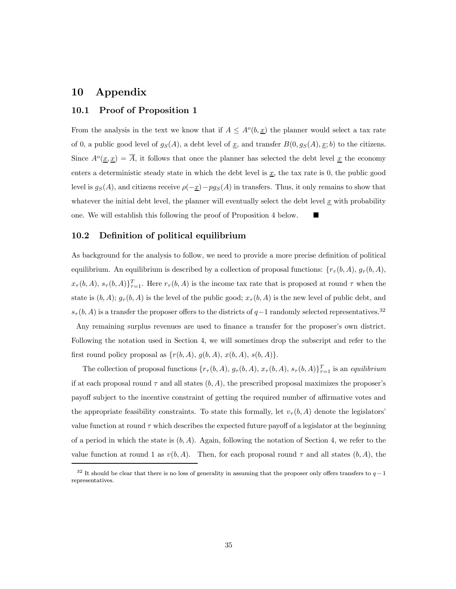## 10 Appendix

### 10.1 Proof of Proposition 1

From the analysis in the text we know that if  $A \leq A^o(b, \underline{x})$  the planner would select a tax rate of 0, a public good level of  $g_S(A)$ , a debt level of <u>x</u>, and transfer  $B(0, g_S(A), \underline{x}; b)$  to the citizens. Since  $A^o(\underline{x}, \underline{x}) = \overline{A}$ , it follows that once the planner has selected the debt level  $\underline{x}$  the economy enters a deterministic steady state in which the debt level is  $\underline{x}$ , the tax rate is 0, the public good level is  $g_S(A)$ , and citizens receive  $\rho(-\underline{x})-pg_S(A)$  in transfers. Thus, it only remains to show that whatever the initial debt level, the planner will eventually select the debt level  $\underline{x}$  with probability one. We will establish this following the proof of Proposition 4 below.

### 10.2 Definition of political equilibrium

As background for the analysis to follow, we need to provide a more precise definition of political equilibrium. An equilibrium is described by a collection of proposal functions:  $\{r_{\tau}(b, A), g_{\tau}(b, A)\}$  $x_{\tau}(b, A), s_{\tau}(b, A)\}_{\tau=1}^T$ . Here  $r_{\tau}(b, A)$  is the income tax rate that is proposed at round  $\tau$  when the state is  $(b, A)$ ;  $g_{\tau}(b, A)$  is the level of the public good;  $x_{\tau}(b, A)$  is the new level of public debt, and  $s_{\tau}(b, A)$  is a transfer the proposer offers to the districts of  $q-1$  randomly selected representatives.<sup>32</sup>

Any remaining surplus revenues are used to finance a transfer for the proposer's own district. Following the notation used in Section 4, we will sometimes drop the subscript and refer to the first round policy proposal as  $\{r(b, A), g(b, A), x(b, A), s(b, A)\}.$ 

The collection of proposal functions  $\{r_{\tau}(b, A), g_{\tau}(b, A), x_{\tau}(b, A), s_{\tau}(b, A)\}_{\tau=1}^T$  is an *equilibrium* if at each proposal round  $\tau$  and all states  $(b, A)$ , the prescribed proposal maximizes the proposer's payoff subject to the incentive constraint of getting the required number of affirmative votes and the appropriate feasibility constraints. To state this formally, let  $v_\tau(b, A)$  denote the legislators' value function at round  $\tau$  which describes the expected future payoff of a legislator at the beginning of a period in which the state is  $(b, A)$ . Again, following the notation of Section 4, we refer to the value function at round 1 as  $v(b, A)$ . Then, for each proposal round  $\tau$  and all states  $(b, A)$ , the

<sup>&</sup>lt;sup>32</sup> It should be clear that there is no loss of generality in assuming that the proposer only offers transfers to  $q-1$ representatives.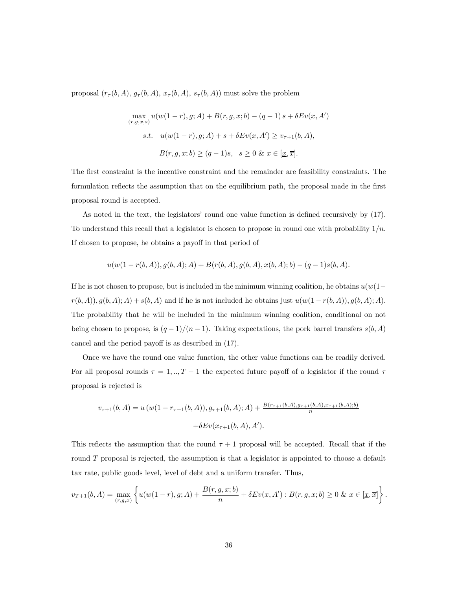proposal  $(r_{\tau}(b, A), g_{\tau}(b, A), x_{\tau}(b, A), s_{\tau}(b, A))$  must solve the problem

$$
\max_{(r,g,x,s)} u(w(1-r), g; A) + B(r, g, x; b) - (q-1) s + \delta Ev(x, A')
$$
  
s.t.  $u(w(1-r), g; A) + s + \delta Ev(x, A') \ge v_{\tau+1}(b, A),$   
 $B(r, g, x; b) \ge (q-1)s, s \ge 0 \& x \in [\underline{x}, \overline{x}].$ 

The first constraint is the incentive constraint and the remainder are feasibility constraints. The formulation reflects the assumption that on the equilibrium path, the proposal made in the first proposal round is accepted.

As noted in the text, the legislators' round one value function is defined recursively by (17). To understand this recall that a legislator is chosen to propose in round one with probability  $1/n$ . If chosen to propose, he obtains a payoff in that period of

$$
u(w(1-r(b,A)), g(b,A); A) + B(r(b,A), g(b,A), x(b,A); b) - (q-1)s(b,A).
$$

If he is not chosen to propose, but is included in the minimum winning coalition, he obtains  $u(w(1$  $r(b, A), g(b, A); A) + s(b, A)$  and if he is not included he obtains just  $u(w(1 - r(b, A)), g(b, A); A)$ . The probability that he will be included in the minimum winning coalition, conditional on not being chosen to propose, is  $(q-1)/(n-1)$ . Taking expectations, the pork barrel transfers  $s(b, A)$ cancel and the period payoff is as described in (17).

Once we have the round one value function, the other value functions can be readily derived. For all proposal rounds  $\tau = 1, ..., T - 1$  the expected future payoff of a legislator if the round  $\tau$ proposal is rejected is

$$
v_{\tau+1}(b,A) = u(w(1 - r_{\tau+1}(b,A)), g_{\tau+1}(b,A); A) + \frac{B(r_{\tau+1}(b,A), g_{\tau+1}(b,A), x_{\tau+1}(b,A); b)}{n}
$$

$$
+ \delta Ev(x_{\tau+1}(b,A), A').
$$

This reflects the assumption that the round  $\tau + 1$  proposal will be accepted. Recall that if the round  $T$  proposal is rejected, the assumption is that a legislator is appointed to choose a default tax rate, public goods level, level of debt and a uniform transfer. Thus,

$$
v_{T+1}(b, A) = \max_{(r, g, x)} \left\{ u(w(1-r), g; A) + \frac{B(r, g, x; b)}{n} + \delta Ev(x, A') : B(r, g, x; b) \ge 0 \& x \in [\underline{x}, \overline{x}] \right\}.
$$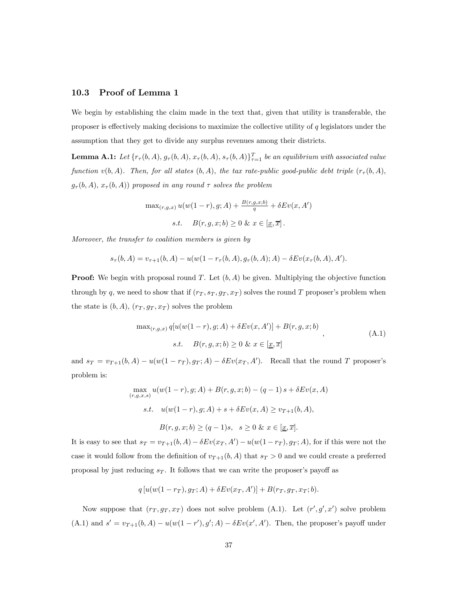#### 10.3 Proof of Lemma 1

We begin by establishing the claim made in the text that, given that utility is transferable, the proposer is effectively making decisions to maximize the collective utility of q legislators under the assumption that they get to divide any surplus revenues among their districts.

**Lemma A.1:** Let  $\{r_{\tau}(b, A), g_{\tau}(b, A), x_{\tau}(b, A), s_{\tau}(b, A)\}_{\tau=1}^T$  be an equilibrium with associated value function  $v(b, A)$ . Then, for all states  $(b, A)$ , the tax rate-public good-public debt triple  $(r_\tau(b, A),$  $g_{\tau}(b, A), x_{\tau}(b, A)$ ) proposed in any round  $\tau$  solves the problem

$$
\max_{(r,g,x)} u(w(1-r), g; A) + \frac{B(r,g,x;b)}{q} + \delta Ev(x, A')
$$
  
s.t.  $B(r, g, x; b) \ge 0$  &  $x \in [\underline{x}, \overline{x}].$ 

Moreover, the transfer to coalition members is given by

$$
s_{\tau}(b, A) = v_{\tau+1}(b, A) - u(w(1 - r_{\tau}(b, A), g_{\tau}(b, A); A) - \delta Ev(x_{\tau}(b, A), A').
$$

**Proof:** We begin with proposal round T. Let  $(b, A)$  be given. Multiplying the objective function through by q, we need to show that if  $(r_T, s_T, g_T, x_T)$  solves the round T proposer's problem when the state is  $(b, A), (r_T, g_T, x_T)$  solves the problem

$$
\max_{(r,g,x)} q[u(w(1-r),g;A) + \delta Ev(x,A')] + B(r,g,x;b)
$$
  
s.t. 
$$
B(r,g,x;b) \ge 0 \& x \in [\underline{x},\overline{x}]
$$
 (A.1)

and  $s_T = v_{T+1}(b, A) - u(w(1 - r_T), g_T; A) - \delta Ev(x_T, A')$ . Recall that the round T proposer's problem is:

$$
\max_{(r,g,x,s)} u(w(1-r), g; A) + B(r, g, x; b) - (q-1) s + \delta Ev(x, A)
$$
  
s.t.  $u(w(1-r), g; A) + s + \delta Ev(x, A) \ge v_{T+1}(b, A),$   
 $B(r, g, x; b) \ge (q-1)s, s \ge 0 \& x \in [\underline{x}, \overline{x}].$ 

It is easy to see that  $s_T = v_{T+1}(b, A) - \delta Ev(x_T, A') - u(w(1 - r_T), g_T; A)$ , for if this were not the case it would follow from the definition of  $v_{T+1}(b, A)$  that  $s_T > 0$  and we could create a preferred proposal by just reducing  $s<sub>T</sub>$ . It follows that we can write the proposer's payoff as

$$
q [u(w(1 - r_T), g_T; A) + \delta Ev(x_T, A')] + B(r_T, g_T, x_T; b).
$$

Now suppose that  $(r_T, g_T, x_T)$  does not solve problem  $(A.1)$ . Let  $(r', g', x')$  solve problem  $(A.1)$  and  $s' = v_{T+1}(b, A) - u(w(1 - r'), g'; A) - \delta Ev(x', A')$ . Then, the proposer's payoff under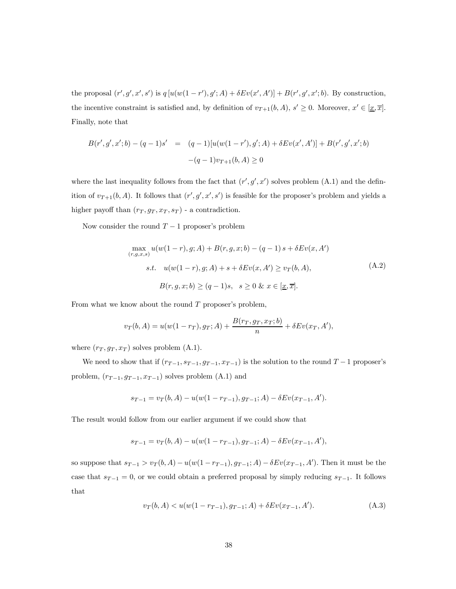the proposal  $(r', g', x', s')$  is  $q [u(w(1 - r'), g'; A) + \delta Ev(x', A')] + B(r', g', x'; b)$ . By construction, the incentive constraint is satisfied and, by definition of  $v_{T+1}(b, A)$ ,  $s' \geq 0$ . Moreover,  $x' \in [\underline{x}, \overline{x}]$ . Finally, note that

$$
B(r', g', x'; b) - (q - 1)s' = (q - 1)[u(w(1 - r'), g'; A) + \delta Ev(x', A')] + B(r', g', x'; b)-(q - 1)v_{T+1}(b, A) \ge 0
$$

where the last inequality follows from the fact that  $(r', g', x')$  solves problem (A.1) and the definition of  $v_{T+1}(b, A)$ . It follows that  $(r', g', x', s')$  is feasible for the proposer's problem and yields a higher payoff than  $(r_T, g_T, x_T, s_T)$  - a contradiction.

Now consider the round  $T-1$  proposer's problem

$$
\max_{(r,g,x,s)} u(w(1-r), g; A) + B(r, g, x; b) - (q-1) s + \delta Ev(x, A')
$$
  
s.t.  $u(w(1-r), g; A) + s + \delta Ev(x, A') \ge v_T(b, A),$   

$$
B(r, g, x; b) \ge (q-1)s, \quad s \ge 0 \& x \in [\underline{x}, \overline{x}].
$$
 (A.2)

From what we know about the round  $T$  proposer's problem,

$$
v_T(b, A) = u(w(1 - r_T), g_T; A) + \frac{B(r_T, g_T, x_T; b)}{n} + \delta Ev(x_T, A'),
$$

where  $(r_T, g_T, x_T)$  solves problem (A.1).

We need to show that if  $(r_{T-1}, s_{T-1}, g_{T-1}, x_{T-1})$  is the solution to the round  $T-1$  proposer's problem,  $(r_{T-1}, g_{T-1}, x_{T-1})$  solves problem (A.1) and

$$
s_{T-1} = v_T(b, A) - u(w(1 - r_{T-1}), g_{T-1}; A) - \delta Ev(x_{T-1}, A').
$$

The result would follow from our earlier argument if we could show that

$$
s_{T-1} = v_T(b, A) - u(w(1 - r_{T-1}), g_{T-1}; A) - \delta Ev(x_{T-1}, A'),
$$

so suppose that  $s_{T-1} > v_T(b, A) - u(w(1 - r_{T-1}), g_{T-1}; A) - \delta Ev(x_{T-1}, A')$ . Then it must be the case that  $s_{T-1} = 0$ , or we could obtain a preferred proposal by simply reducing  $s_{T-1}$ . It follows that

$$
v_T(b, A) < u(w(1 - r_{T-1}), g_{T-1}; A) + \delta Ev(x_{T-1}, A'). \tag{A.3}
$$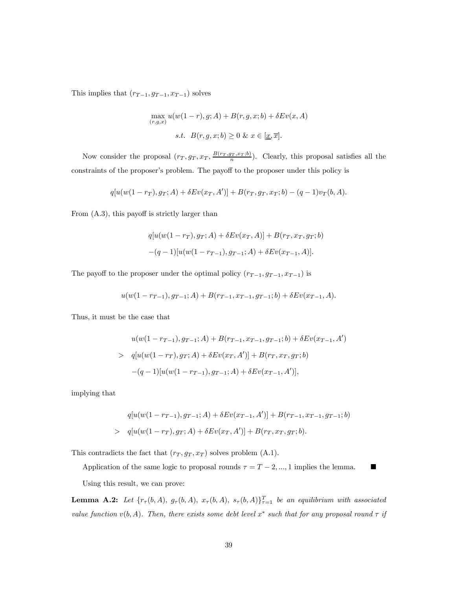This implies that  $(r_{T-1}, g_{T-1}, x_{T-1})$  solves

$$
\max_{(r,g,x)} u(w(1-r), g; A) + B(r, g, x; b) + \delta Ev(x, A)
$$
  
s.t.  $B(r, g, x; b) \ge 0 \& x \in [\underline{x}, \overline{x}].$ 

Now consider the proposal  $(r_T, g_T, x_T, \frac{B(r_T, g_T, x_T; b)}{n})$ . Clearly, this proposal satisfies all the constraints of the proposer's problem. The payoff to the proposer under this policy is

$$
q[u(w(1-r_T), g_T; A) + \delta Ev(x_T, A')] + B(r_T, g_T, x_T; b) - (q-1)v_T(b, A).
$$

From (A.3), this payoff is strictly larger than

$$
q[u(w(1-r_T), g_T; A) + \delta Ev(x_T, A)] + B(r_T, x_T, g_T; b)
$$

$$
-(q-1)[u(w(1-r_{T-1}), g_{T-1}; A) + \delta Ev(x_{T-1}, A)].
$$

The payoff to the proposer under the optimal policy  $(r_{T-1}, g_{T-1}, x_{T-1})$  is

$$
u(w(1-r_{T-1}), g_{T-1}; A) + B(r_{T-1}, x_{T-1}, g_{T-1}; b) + \delta Ev(x_{T-1}, A).
$$

Thus, it must be the case that

$$
u(w(1 - r_{T-1}), g_{T-1}; A) + B(r_{T-1}, x_{T-1}, g_{T-1}; b) + \delta Ev(x_{T-1}, A')
$$
  
> 
$$
q[u(w(1 - r_T), g_T; A) + \delta Ev(x_T, A')] + B(r_T, x_T, g_T; b)
$$

$$
-(q-1)[u(w(1 - r_{T-1}), g_{T-1}; A) + \delta Ev(x_{T-1}, A')],
$$

implying that

$$
q[u(w(1-r_{T-1}), g_{T-1}; A) + \delta Ev(x_{T-1}, A')] + B(r_{T-1}, x_{T-1}, g_{T-1}; b)
$$
  
> 
$$
q[u(w(1-r_T), g_T; A) + \delta Ev(x_T, A')] + B(r_T, x_T, g_T; b).
$$

This contradicts the fact that  $(r_T, g_T, x_T)$  solves problem (A.1).

Application of the same logic to proposal rounds  $\tau = T - 2, ..., 1$  implies the lemma. Using this result, we can prove:

**Lemma A.2:** Let  $\{r_{\tau}(b, A), g_{\tau}(b, A), x_{\tau}(b, A), s_{\tau}(b, A)\}_{\tau=1}^T$  be an equilibrium with associated value function  $v(b, A)$ . Then, there exists some debt level  $x^*$  such that for any proposal round  $\tau$  if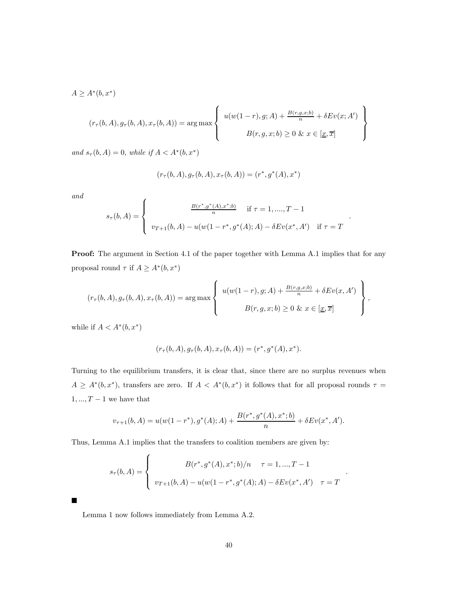$$
A \ge A^*(b, x^*)
$$
  

$$
(r_{\tau}(b, A), g_{\tau}(b, A), x_{\tau}(b, A)) = \arg \max \left\{ u(w(1-r), g; A) + \frac{B(r, g, x; b)}{n} + \delta Ev(x; A') \atop B(r, g, x; b) \ge 0 \& x \in [\underline{x}, \overline{x}] \right\}
$$

and  $s_{\tau}(b, A) = 0$ , while if  $A < A^*(b, x^*)$ 

$$
(r_{\tau}(b, A), g_{\tau}(b, A), x_{\tau}(b, A)) = (r^*, g^*(A), x^*)
$$

and

 $\blacksquare$ 

$$
s_{\tau}(b, A) = \begin{cases} \frac{B(r^*, g^*(A), x^*; b)}{n} & \text{if } \tau = 1, \dots, T - 1 \\ v_{T+1}(b, A) - u(w(1 - r^*, g^*(A); A) - \delta Ev(x^*, A') & \text{if } \tau = T \end{cases}
$$

.

.

Proof: The argument in Section 4.1 of the paper together with Lemma A.1 implies that for any proposal round  $\tau$  if  $A\geq A^*(b,x^*)$ 

$$
(r_{\tau}(b,A), g_{\tau}(b,A), x_{\tau}(b,A)) = \arg \max \left\{ u(w(1-r), g; A) + \frac{B(r, g, x; b)}{n} + \delta Ev(x, A') \atop B(r, g, x; b) \ge 0 \& x \in [\underline{x}, \overline{x}] \right\},
$$

while if  $A < A^*(b, x^*)$ 

$$
(r_{\tau}(b, A), g_{\tau}(b, A), x_{\tau}(b, A)) = (r^*, g^*(A), x^*).
$$

Turning to the equilibrium transfers, it is clear that, since there are no surplus revenues when  $A \geq A^*(b, x^*)$ , transfers are zero. If  $A \lt A^*(b, x^*)$  it follows that for all proposal rounds  $\tau =$  $1,...,T-1$  we have that

$$
v_{\tau+1}(b, A) = u(w(1 - r^*), g^*(A); A) + \frac{B(r^*, g^*(A), x^*; b)}{n} + \delta Ev(x^*, A').
$$

Thus, Lemma A.1 implies that the transfers to coalition members are given by:

$$
s_{\tau}(b, A) = \begin{cases} B(r^*, g^*(A), x^*; b)/n & \tau = 1, ..., T - 1 \\ v_{T+1}(b, A) - u(w(1 - r^*, g^*(A); A) - \delta Ev(x^*, A') & \tau = T \end{cases}
$$

Lemma 1 now follows immediately from Lemma A.2.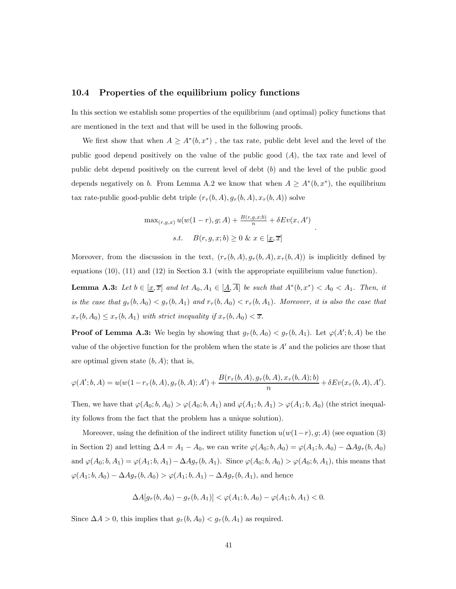### 10.4 Properties of the equilibrium policy functions

In this section we establish some properties of the equilibrium (and optimal) policy functions that are mentioned in the text and that will be used in the following proofs.

We first show that when  $A \geq A^*(b, x^*)$ , the tax rate, public debt level and the level of the public good depend positively on the value of the public good  $(A)$ , the tax rate and level of public debt depend positively on the current level of debt (b) and the level of the public good depends negatively on b. From Lemma A.2 we know that when  $A \geq A^*(b, x^*)$ , the equilibrium tax rate-public good-public debt triple  $(r_\tau(b, A), g_\tau(b, A), x_\tau(b, A))$  solve

$$
\max_{(r,g,x)} u(w(1-r), g; A) + \frac{B(r,g,x;b)}{n} + \delta Ev(x, A')
$$
  
s.t.  $B(r, g, x; b) \ge 0 \& x \in [\underline{x}, \overline{x}]$ 

.

Moreover, from the discussion in the text,  $(r_{\tau}(b, A), g_{\tau}(b, A), x_{\tau}(b, A))$  is implicitly defined by equations (10), (11) and (12) in Section 3.1 (with the appropriate equilibrium value function).

**Lemma A.3:** Let  $b \in [\underline{x}, \overline{x}]$  and let  $A_0, A_1 \in [\underline{A}, \overline{A}]$  be such that  $A^*(b, x^*) < A_0 < A_1$ . Then, it is the case that  $g_{\tau}(b, A_0) < g_{\tau}(b, A_1)$  and  $r_{\tau}(b, A_0) < r_{\tau}(b, A_1)$ . Moreover, it is also the case that  $x_{\tau}(b, A_0) \le x_{\tau}(b, A_1)$  with strict inequality if  $x_{\tau}(b, A_0) < \overline{x}$ .

**Proof of Lemma A.3:** We begin by showing that  $g_{\tau}(b, A_0) < g_{\tau}(b, A_1)$ . Let  $\varphi(A'; b, A)$  be the value of the objective function for the problem when the state is  $A<sup>'</sup>$  and the policies are those that are optimal given state  $(b, A)$ ; that is,

$$
\varphi(A';b,A) = u(w(1 - r_{\tau}(b,A), g_{\tau}(b,A);A') + \frac{B(r_{\tau}(b,A), g_{\tau}(b,A), x_{\tau}(b,A);b)}{n} + \delta Ev(x_{\tau}(b,A), A').
$$

Then, we have that  $\varphi(A_0; b, A_0) > \varphi(A_0; b, A_1)$  and  $\varphi(A_1; b, A_1) > \varphi(A_1; b, A_0)$  (the strict inequality follows from the fact that the problem has a unique solution).

Moreover, using the definition of the indirect utility function  $u(w(1-r), g; A)$  (see equation (3) in Section 2) and letting  $\Delta A = A_1 - A_0$ , we can write  $\varphi(A_0; b, A_0) = \varphi(A_1; b, A_0) - \Delta A g_\tau(b, A_0)$ and  $\varphi(A_0; b, A_1) = \varphi(A_1; b, A_1) - \Delta Ag_{\tau}(b, A_1)$ . Since  $\varphi(A_0; b, A_0) > \varphi(A_0; b, A_1)$ , this means that  $\varphi(A_1; b, A_0) - \Delta A g_{\tau}(b, A_0) > \varphi(A_1; b, A_1) - \Delta A g_{\tau}(b, A_1)$ , and hence

$$
\Delta A[g_{\tau}(b, A_0) - g_{\tau}(b, A_1)] < \varphi(A_1; b, A_0) - \varphi(A_1; b, A_1) < 0.
$$

Since  $\Delta A > 0$ , this implies that  $g_{\tau}(b, A_0) < g_{\tau}(b, A_1)$  as required.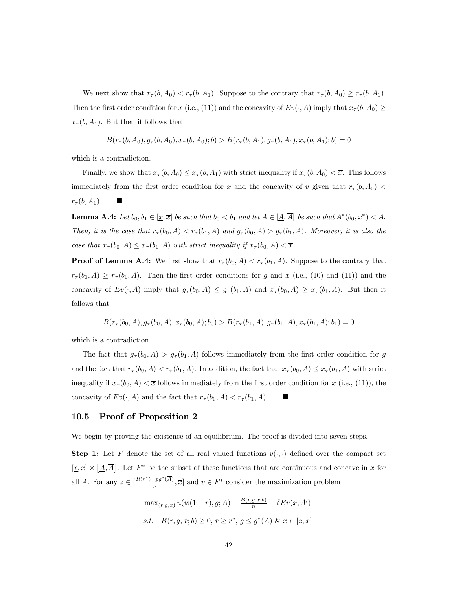We next show that  $r_{\tau}(b, A_0) < r_{\tau}(b, A_1)$ . Suppose to the contrary that  $r_{\tau}(b, A_0) \ge r_{\tau}(b, A_1)$ . Then the first order condition for x (i.e., (11)) and the concavity of  $Ev(\cdot, A)$  imply that  $x_7(b, A_0) \ge$  $x_{\tau}(b, A_1)$ . But then it follows that

$$
B(r_{\tau}(b, A_0), g_{\tau}(b, A_0), x_{\tau}(b, A_0); b) > B(r_{\tau}(b, A_1), g_{\tau}(b, A_1), x_{\tau}(b, A_1); b) = 0
$$

which is a contradiction.

Finally, we show that  $x_{\tau}(b, A_0) \le x_{\tau}(b, A_1)$  with strict inequality if  $x_{\tau}(b, A_0) < \overline{x}$ . This follows immediately from the first order condition for x and the concavity of v given that  $r_{\tau}(b, A_0)$  $r_\tau(b, A_1)$ .

**Lemma A.4:** Let  $b_0, b_1 \in [\underline{x}, \overline{x}]$  be such that  $b_0 < b_1$  and let  $A \in [\underline{A}, \overline{A}]$  be such that  $A^*(b_0, x^*) < A$ . Then, it is the case that  $r_{\tau}(b_0, A) < r_{\tau}(b_1, A)$  and  $g_{\tau}(b_0, A) > g_{\tau}(b_1, A)$ . Moreover, it is also the case that  $x_{\tau}(b_0, A) \le x_{\tau}(b_1, A)$  with strict inequality if  $x_{\tau}(b_0, A) < \overline{x}$ .

**Proof of Lemma A.4:** We first show that  $r_{\tau}(b_0, A) < r_{\tau}(b_1, A)$ . Suppose to the contrary that  $r_{\tau}(b_0, A) \geq r_{\tau}(b_1, A)$ . Then the first order conditions for g and x (i.e., (10) and (11)) and the concavity of  $Ev(\cdot, A)$  imply that  $g_{\tau}(b_0, A) \leq g_{\tau}(b_1, A)$  and  $x_{\tau}(b_0, A) \geq x_{\tau}(b_1, A)$ . But then it follows that

$$
B(r_{\tau}(b_0, A), g_{\tau}(b_0, A), x_{\tau}(b_0, A); b_0) > B(r_{\tau}(b_1, A), g_{\tau}(b_1, A), x_{\tau}(b_1, A); b_1) = 0
$$

which is a contradiction.

The fact that  $g_{\tau}(b_0, A) > g_{\tau}(b_1, A)$  follows immediately from the first order condition for g and the fact that  $r_{\tau}(b_0, A) < r_{\tau}(b_1, A)$ . In addition, the fact that  $x_{\tau}(b_0, A) \leq x_{\tau}(b_1, A)$  with strict inequality if  $x_\tau(b_0, A) < \overline{x}$  follows immediately from the first order condition for x (i.e., (11)), the concavity of  $Ev(\cdot, A)$  and the fact that  $r_{\tau}(b_0, A) < r_{\tau}(b_1, A)$ .

### 10.5 Proof of Proposition 2

We begin by proving the existence of an equilibrium. The proof is divided into seven steps.

**Step 1:** Let F denote the set of all real valued functions  $v(\cdot, \cdot)$  defined over the compact set  $[\underline{x}, \overline{x}] \times [\underline{A}, \overline{A}]$ . Let  $F^*$  be the subset of these functions that are continuous and concave in x for all A. For any  $z \in \left[\frac{R(r^*) - pg^*(A)}{\rho}, \overline{x}\right]$  and  $v \in F^*$  consider the maximization problem

$$
\max_{(r,g,x)} u(w(1-r), g; A) + \frac{B(r,g,x;b)}{n} + \delta Ev(x, A')
$$
  
s.t.  $B(r, g, x; b) \ge 0, r \ge r^*, g \le g^*(A) \& x \in [z, \overline{x}]$ 

.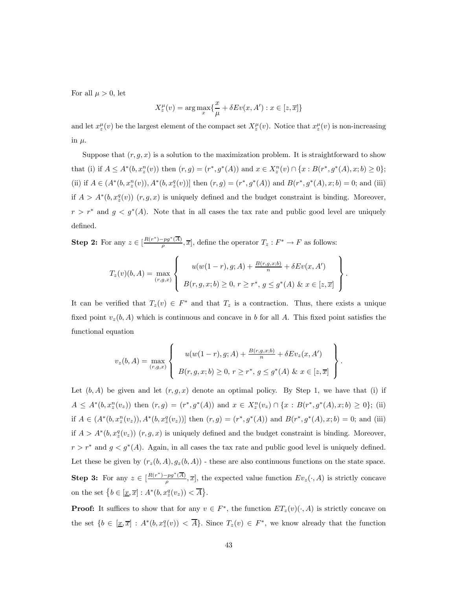For all  $\mu > 0$ , let

$$
X_z^{\mu}(v) = \arg\max_x \{ \frac{x}{\mu} + \delta Ev(x, A') : x \in [z, \overline{x}] \}
$$

and let  $x_z^{\mu}(v)$  be the largest element of the compact set  $X_z^{\mu}(v)$ . Notice that  $x_z^{\mu}(v)$  is non-increasing in  $\mu$ .

Suppose that  $(r, g, x)$  is a solution to the maximization problem. It is straightforward to show that (i) if  $A \leq A^*(b, x_z^n(v))$  then  $(r, g) = (r^*, g^*(A))$  and  $x \in X_z^n(v) \cap \{x : B(r^*, g^*(A), x; b) \geq 0\};$ (ii) if  $A \in (A^*(b, x_i^n(v)), A^*(b, x_i^q(v))]$  then  $(r, g) = (r^*, g^*(A))$  and  $B(r^*, g^*(A), x; b) = 0$ ; and (iii) if  $A > A^*(b, x^q_z(v))$   $(r, g, x)$  is uniquely defined and the budget constraint is binding. Moreover,  $r>r^*$  and  $g < g^*(A)$ . Note that in all cases the tax rate and public good level are uniquely defined.

**Step 2:** For any  $z \in \left[\frac{R(r^*) - pg^*(A)}{\rho}, \overline{x}\right]$ , define the operator  $T_z : F^* \to F$  as follows:

$$
T_z(v)(b, A) = \max_{(r, g, x)} \left\{ u(w(1-r), g; A) + \frac{B(r, g, x; b)}{n} + \delta Ev(x, A') \atop B(r, g, x; b) \ge 0, r \ge r^*, g \le g^*(A) \& x \in [z, \overline{x}] \right\}.
$$

It can be verified that  $T_z(v) \in F^*$  and that  $T_z$  is a contraction. Thus, there exists a unique fixed point  $v_z(b, A)$  which is continuous and concave in b for all A. This fixed point satisfies the functional equation

$$
v_z(b, A) = \max_{(r, g, x)} \left\{ u(w(1 - r), g; A) + \frac{B(r, g, x; b)}{n} + \delta Ev_z(x, A') \atop B(r, g, x; b) \ge 0, r \ge r^*, g \le g^*(A) \& x \in [z, \overline{x}] \right\}.
$$

Let  $(b, A)$  be given and let  $(r, g, x)$  denote an optimal policy. By Step 1, we have that (i) if  $A \leq A^*(b, x_z^n(v_z))$  then  $(r, g) = (r^*, g^*(A))$  and  $x \in X_z^n(v_z) \cap \{x : B(r^*, g^*(A), x; b) \geq 0\};$  (ii) if  $A \in (A^*(b, x_z^n(v_z)), A^*(b, x_z^q(v_z))]$  then  $(r, g) = (r^*, g^*(A))$  and  $B(r^*, g^*(A), x; b) = 0$ ; and (iii) if  $A > A<sup>*</sup>(b, x<sub>z</sub><sup>q</sup>(v<sub>z</sub>)) (r, g, x)$  is uniquely defined and the budget constraint is binding. Moreover,  $r>r^*$  and  $g < g^*(A)$ . Again, in all cases the tax rate and public good level is uniquely defined. Let these be given by  $(r_z(b, A), g_z(b, A))$  - these are also continuous functions on the state space. **Step 3:** For any  $z \in \left[\frac{R(r^*) - pg^*(A)}{\rho}, \overline{x}\right]$ , the expected value function  $Ev_z(\cdot, A)$  is strictly concave on the set  $\{b \in [\underline{x}, \overline{x}] : A^*(b, x^q_z(v_z)) < \overline{A}\}.$ 

**Proof:** It suffices to show that for any  $v \in F^*$ , the function  $ET_z(v)(\cdot, A)$  is strictly concave on the set  $\{b \in [\underline{x}, \overline{x}] : A^*(b, x^q_z(v)) < \overline{A}\}$ . Since  $T_z(v) \in F^*$ , we know already that the function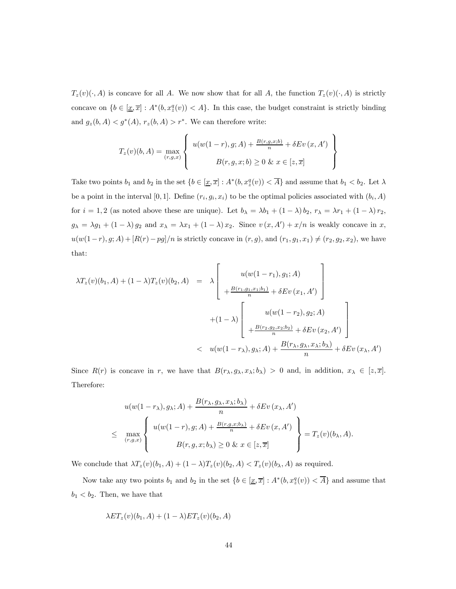$T_z(v)(\cdot, A)$  is concave for all A. We now show that for all A, the function  $T_z(v)(\cdot, A)$  is strictly concave on  $\{b \in [\underline{x}, \overline{x}] : A^*(b, x^q_z(v)) < A\}$ . In this case, the budget constraint is strictly binding and  $g_z(b, A) < g^*(A), r_z(b, A) > r^*$ . We can therefore write:

$$
T_z(v)(b, A) = \max_{(r, g, x)} \left\{ u(w(1 - r), g; A) + \frac{B(r, g, x; b)}{n} + \delta Ev(x, A') \right\}
$$
  

$$
B(r, g, x; b) \ge 0 \& x \in [z, \overline{x}]
$$

Take two points  $b_1$  and  $b_2$  in the set  $\{b \in [\underline{x}, \overline{x}] : A^*(b, x^q_z(v)) < \overline{A}\}\$ and assume that  $b_1 < b_2$ . Let  $\lambda$ be a point in the interval [0, 1]. Define  $(r_i, g_i, x_i)$  to be the optimal policies associated with  $(b_i, A)$ for  $i = 1, 2$  (as noted above these are unique). Let  $b_{\lambda} = \lambda b_1 + (1 - \lambda) b_2$ ,  $r_{\lambda} = \lambda r_1 + (1 - \lambda) r_2$ ,  $g_{\lambda} = \lambda g_1 + (1 - \lambda) g_2$  and  $x_{\lambda} = \lambda x_1 + (1 - \lambda) x_2$ . Since  $v(x, A') + x/n$  is weakly concave in x,  $u(w(1-r), g; A) + [R(r) - pg]/n$  is strictly concave in  $(r, g)$ , and  $(r_1, g_1, x_1) \neq (r_2, g_2, x_2)$ , we have that:

$$
\lambda T_z(v)(b_1, A) + (1 - \lambda)T_z(v)(b_2, A) = \lambda \left[ u(w(1 - r_1), g_1; A) + (1 - \lambda) \left[ u(w(1 - r_2), g_2; A) + (1 - \lambda) \left[ u(w(1 - r_2), g_2; A) + \frac{B(r_2, g_2, x_2; b_2)}{n} + \delta Ev(x_2, A') \right] \right] \times u(w(1 - r_\lambda), g_\lambda; A) + \frac{B(r_\lambda, g_\lambda, x_\lambda; b_\lambda)}{n} + \delta Ev(x_\lambda, A')
$$

Since  $R(r)$  is concave in r, we have that  $B(r_{\lambda}, g_{\lambda}, x_{\lambda}; b_{\lambda}) > 0$  and, in addition,  $x_{\lambda} \in [z, \overline{x}]$ . Therefore:

$$
u(w(1 - r_{\lambda}), g_{\lambda}; A) + \frac{B(r_{\lambda}, g_{\lambda}, x_{\lambda}; b_{\lambda})}{n} + \delta Ev(x_{\lambda}, A')
$$
  
\n
$$
\leq \max_{(r, g, x)} \left\{ u(w(1 - r), g; A) + \frac{B(r, g, x; b_{\lambda})}{n} + \delta Ev(x, A') \atop B(r, g, x; b_{\lambda}) \geq 0 \& x \in [z, \overline{x}] \right\} = T_z(v)(b_{\lambda}, A).
$$

We conclude that  $\lambda T_z(v)(b_1, A) + (1 - \lambda)T_z(v)(b_2, A) < T_z(v)(b_\lambda, A)$  as required.

Now take any two points  $b_1$  and  $b_2$  in the set  $\{b \in [\underline{x}, \overline{x}] : A^*(b, x^q_z(v)) < \overline{A}\}\$ and assume that  $b_1 < b_2$ . Then, we have that

$$
\lambda ET_z(v)(b_1, A) + (1 - \lambda)ET_z(v)(b_2, A)
$$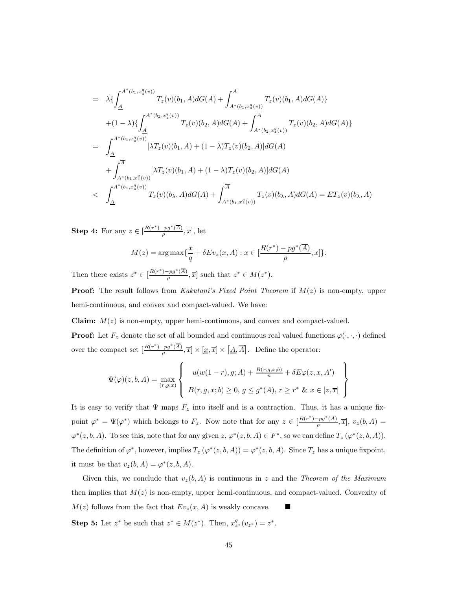$$
= \lambda \{ \int_{\underline{A}}^{A^*(b_1, x_z^q(v))} T_z(v)(b_1, A) dG(A) + \int_{A^*(b_1, x_z^q(v))}^{\overline{A}} T_z(v)(b_1, A) dG(A) \}
$$
  
+  $(1 - \lambda) \{ \int_{\underline{A}}^{A^*(b_2, x_z^q(v))} T_z(v)(b_2, A) dG(A) + \int_{A^*(b_2, x_z^q(v))}^{\overline{A}} T_z(v)(b_2, A) dG(A) \}$   
=  $\int_{\underline{A}}^{A^*(b_1, x_z^q(v))} [\lambda T_z(v)(b_1, A) + (1 - \lambda) T_z(v)(b_2, A)] dG(A)$   
+  $\int_{A^*(b_1, x_z^q(v))}^{\overline{A}} [\lambda T_z(v)(b_1, A) + (1 - \lambda) T_z(v)(b_2, A)] dG(A)$   
 $< \int_{\underline{A}}^{A^*(b_1, x_z^q(v))} T_z(v)(b_\lambda, A) dG(A) + \int_{A^*(b_1, x_z^q(v))}^{\overline{A}} T_z(v)(b_\lambda, A) dG(A) = ET_z(v)(b_\lambda, A)$ 

**Step 4:** For any  $z \in [\frac{R(r^*)-pg^*(A)}{\rho}, \overline{x}]$ , let

$$
M(z) = \arg \max \{ \frac{x}{q} + \delta Ev_z(x, A) : x \in [\frac{R(r^*) - pg^*(\overline{A})}{\rho}, \overline{x}]\}.
$$

Then there exists  $z^* \in \left[\frac{R(r^*) - ps^*(A)}{\rho}, \overline{x}\right]$  such that  $z^* \in M(z^*)$ .

**Proof:** The result follows from *Kakutani's Fixed Point Theorem* if  $M(z)$  is non-empty, upper hemi-continuous, and convex and compact-valued. We have:

**Claim:**  $M(z)$  is non-empty, upper hemi-continuous, and convex and compact-valued.

**Proof:** Let  $F_z$  denote the set of all bounded and continuous real valued functions  $\varphi(\cdot, \cdot, \cdot)$  defined over the compact set  $\left[\frac{R(r^*)-pg^*(A)}{\rho}, \overline{x}\right] \times \left[\underline{x}, \overline{x}\right] \times \left[\underline{A}, \overline{A}\right]$ . Define the operator:

$$
\Psi(\varphi)(z, b, A) = \max_{(r, g, x)} \left\{ \begin{array}{c} u(w(1-r), g; A) + \frac{B(r, g, x; b)}{n} + \delta E \varphi(z, x, A') \\ B(r, g, x; b) \ge 0, g \le g^*(A), r \ge r^* \& x \in [z, \overline{x}] \end{array} \right\}
$$

It is easy to verify that  $\Psi$  maps  $F_z$  into itself and is a contraction. Thus, it has a unique fixpoint  $\varphi^* = \Psi(\varphi^*)$  which belongs to  $F_z$ . Now note that for any  $z \in \left[\frac{R(r^*) - pg^*(A)}{\rho}, \overline{x}\right]$ ,  $v_z(b, A) =$  $\varphi^*(z, b, A)$ . To see this, note that for any given  $z, \varphi^*(z, b, A) \in F^*$ , so we can define  $T_z(\varphi^*(z, b, A))$ . The definition of  $\varphi^*$ , however, implies  $T_z(\varphi^*(z, b, A)) = \varphi^*(z, b, A)$ . Since  $T_z$  has a unique fixpoint, it must be that  $v_z(b, A) = \varphi^*(z, b, A)$ .

Given this, we conclude that  $v_z(b, A)$  is continuous in z and the Theorem of the Maximum then implies that  $M(z)$  is non-empty, upper hemi-continuous, and compact-valued. Convexity of  $M(z)$  follows from the fact that  $Ev_z(x, A)$  is weakly concave.

**Step 5:** Let  $z^*$  be such that  $z^* \in M(z^*)$ . Then,  $x_{z^*}^q(v_{z^*}) = z^*$ .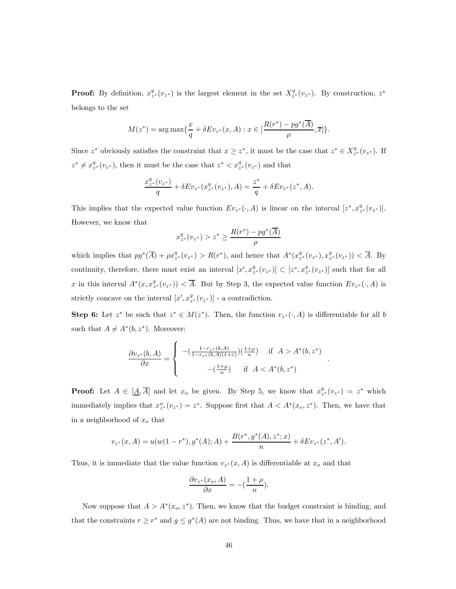**Proof:** By definition,  $x_{z^*}^q(v_{z^*})$  is the largest element in the set  $X_{z^*}^q(v_{z^*})$ . By construction,  $z^*$ belongs to the set

$$
M(z^*) = \arg \max \{ \frac{x}{q} + \delta Ev_{z^*}(x, A) : x \in [\frac{R(r^*) - pg^*(\overline{A})}{\rho}, \overline{x}] \}.
$$

Since  $z^*$  obviously satisfies the constraint that  $x \geq z^*$ , it must be the case that  $z^* \in X_{z^*}^q(v_{z^*})$ . If  $z^* \neq x_{z^*}^q(v_{z^*})$ , then it must be the case that  $z^* < x_{z^*}^q(v_{z^*})$  and that

$$
\frac{x_{z^*}^q(v_{z^*})}{q} + \delta Ev_{z^*}(x_{z^*}^q(v_{z^*}), A) = \frac{z^*}{q} + \delta Ev_{z^*}(z^*, A).
$$

This implies that the expected value function  $Ev_{z^*}(\cdot, A)$  is linear on the interval  $[z^*, x_{z^*}^q(v_{z^*})]$ . However, we know that

$$
x_{z^*}^q(v_{z^*}) > z^* \ge \frac{R(r^*) - pg^*(\overline{A})}{\rho}
$$

which implies that  $pg^*(\overline{A}) + \rho x_{z^*}^q(v_{z^*}) > R(r^*)$ , and hence that  $A^*(x_{z^*}^q(v_{z^*}), x_{z^*}^q(v_{z^*})) < \overline{A}$ . By continuity, therefore, there must exist an interval  $[x', x_{z^*}^q (v_{z^*})] \subset [z^*, x_{z^*}^q (v_{z^*})]$  such that for all x in this interval  $A^*(x, x_{z^*}^q(v_{z^*})) < \overline{A}$ . But by Step 3, the expected value function  $Ev_{z^*}(\cdot, A)$  is strictly concave on the interval  $[x', x_{z^*}^q(v_{z^*})]$  - a contradiction.

**Step 6:** Let  $z^*$  be such that  $z^* \in M(z^*)$ . Then, the function  $v_{z^*}(\cdot, A)$  is differentiable for all b such that  $A \neq A^*(b, z^*)$ . Moreover:

$$
\frac{\partial v_{z^*}(b, A)}{\partial x} = \begin{cases}\n-(\frac{1 - r_{z^*}(b, A)}{1 - r_{z^*}(b, A)(1 + \varepsilon)})(\frac{1 + \rho}{n}) & \text{if } A > A^*(b, z^*) \\
-(\frac{1 + \rho}{n}) & \text{if } A < A^*(b, z^*)\n\end{cases}
$$

.

**Proof:** Let  $A \in [\underline{A}, \overline{A}]$  and let  $x_o$  be given. By Step 5, we know that  $x_s^q(x_{z^*}) = z^*$  which immediately implies that  $x_{z^*}^n(v_{z^*}) = z^*$ . Suppose first that  $A < A^*(x_o, z^*)$ . Then, we have that in a neighborhood of  $x<sub>o</sub>$  that

$$
v_{z^*}(x, A) = u(w(1 - r^*), g^*(A); A) + \frac{B(r^*, g^*(A), z^*; x)}{n} + \delta Ev_{z^*}(z^*, A').
$$

Thus, it is immediate that the value function  $v_{z^*}(x, A)$  is differentiable at  $x_o$  and that

$$
\frac{\partial v_{z^*}(x_o, A)}{\partial x} = -(\frac{1+\rho}{n}).
$$

Now suppose that  $A > A^*(x_o, z^*)$ . Then, we know that the budget constraint is binding, and that the constraints  $r \geq r^*$  and  $g \leq g^*(A)$  are not binding. Thus, we have that in a neighborhood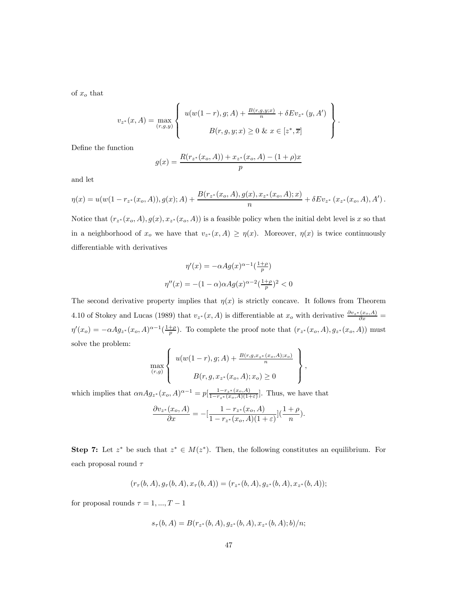of  $x_o$  that

$$
v_{z^*}(x, A) = \max_{(r, g, y)} \left\{ u(w(1-r), g; A) + \frac{B(r, g, y; x)}{n} + \delta Ev_{z^*}(y, A') \atop B(r, g, y; x) \ge 0 \& x \in [z^*, \overline{x}] \right\}.
$$

Define the function

$$
g(x) = \frac{R(r_{z^*}(x_o, A)) + x_{z^*}(x_o, A) - (1 + \rho)x}{p}
$$

and let

$$
\eta(x) = u(w(1 - r_{z^*}(x_o, A)), g(x); A) + \frac{B(r_{z^*}(x_o, A), g(x), x_{z^*}(x_o, A); x)}{n} + \delta Ev_{z^*}(x_{z^*}(x_o, A), A').
$$

Notice that  $(r_{z^*}(x_o, A), g(x), x_{z^*}(x_o, A))$  is a feasible policy when the initial debt level is x so that in a neighborhood of  $x_o$  we have that  $v_{z^*}(x, A) \geq \eta(x)$ . Moreover,  $\eta(x)$  is twice continuously differentiable with derivatives

$$
\eta'(x) = -\alpha A g(x)^{\alpha - 1} \left(\frac{1+\rho}{p}\right)
$$

$$
\eta''(x) = -(1-\alpha)\alpha A g(x)^{\alpha - 2} \left(\frac{1+\rho}{p}\right)^2 < 0
$$

The second derivative property implies that  $\eta(x)$  is strictly concave. It follows from Theorem 4.10 of Stokey and Lucas (1989) that  $v_{z^*}(x, A)$  is differentiable at  $x_o$  with derivative  $\frac{\partial v_{z^*}(x_o, A)}{\partial x}$  $\eta'(x_o) = -\alpha A g_{z^*}(x_o, A)^{\alpha-1}(\frac{1+\rho}{p})$ . To complete the proof note that  $(r_{z^*}(x_o, A), g_{z^*}(x_o, A))$  must solve the problem:

$$
\max_{(r,g)} \left\{ u(w(1-r), g; A) + \frac{B(r, g, x_{z^*}(x_o, A); x_o)}{n} \right\},
$$
  

$$
B(r, g, x_{z^*}(x_o, A); x_o) \ge 0
$$

which implies that  $\alpha n A g_z \cdot (x_o, A)^{\alpha - 1} = p \left[ \frac{1 - r_z \cdot (x_o, A)}{1 - r_z \cdot (x_o, A)(1 + \varepsilon)} \right]$ . Thus, we have that

$$
\frac{\partial v_{z^*}(x_o, A)}{\partial x} = -[\frac{1 - r_{z^*}(x_o, A)}{1 - r_{z^*}(x_o, A)(1 + \varepsilon)}](\frac{1 + \rho}{n}).
$$

Step 7: Let  $z^*$  be such that  $z^* \in M(z^*)$ . Then, the following constitutes an equilibrium. For each proposal round  $\tau$ 

$$
(r_{\tau}(b, A), g_{\tau}(b, A), x_{\tau}(b, A)) = (r_{z^*}(b, A), g_{z^*}(b, A), x_{z^*}(b, A));
$$

for proposal rounds  $\tau = 1, ..., T - 1$ 

$$
s_{\tau}(b, A) = B(r_{z^*}(b, A), g_{z^*}(b, A), x_{z^*}(b, A); b)/n;
$$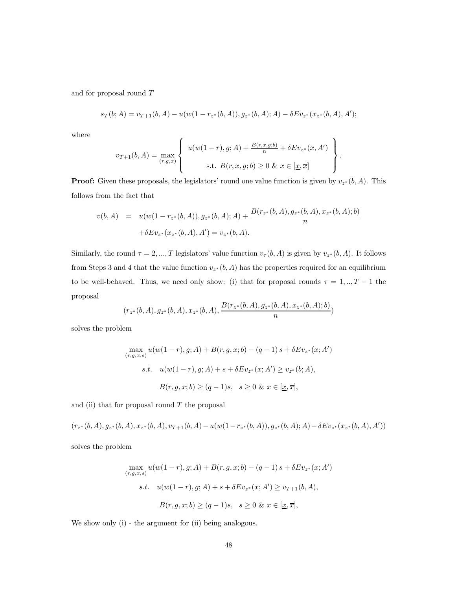and for proposal round  ${\cal T}$ 

$$
s_T(b;A) = v_{T+1}(b,A) - u(w(1 - r_{z^*}(b,A)), g_{z^*}(b,A);A) - \delta Ev_{z^*}(x_{z^*}(b,A),A');
$$

where

$$
v_{T+1}(b, A) = \max_{(r, g, x)} \left\{ u(w(1-r), g; A) + \frac{B(r, x, g; b)}{n} + \delta Ev_{z^*}(x, A') \atop \text{s.t. } B(r, x, g; b) \ge 0 \& x \in [\underline{x}, \overline{x}] \right\}
$$

.

**Proof:** Given these proposals, the legislators' round one value function is given by  $v_{z}*(b, A)$ . This follows from the fact that

$$
v(b, A) = u(w(1 - r_{z^*}(b, A)), g_{z^*}(b, A); A) + \frac{B(r_{z^*}(b, A), g_{z^*}(b, A), x_{z^*}(b, A); b)}{n}
$$

$$
+ \delta Ev_{z^*}(x_{z^*}(b, A), A') = v_{z^*}(b, A).
$$

Similarly, the round  $\tau = 2, ..., T$  legislators' value function  $v_{\tau}(b, A)$  is given by  $v_{z^*}(b, A)$ . It follows from Steps 3 and 4 that the value function  $v_{z*}(b, A)$  has the properties required for an equilibrium to be well-behaved. Thus, we need only show: (i) that for proposal rounds  $\tau = 1, ..., T - 1$  the proposal

$$
(r_{z^*}(b, A), g_{z^*}(b, A), x_{z^*}(b, A), \frac{B(r_{z^*}(b, A), g_{z^*}(b, A), x_{z^*}(b, A); b)}{n})
$$

solves the problem

$$
\max_{(r,g,x,s)} u(w(1-r), g; A) + B(r, g, x; b) - (q-1) s + \delta Ev_{z^*}(x; A')
$$
  
s.t.  $u(w(1-r), g; A) + s + \delta Ev_{z^*}(x; A') \ge v_{z^*}(b; A),$   
 $B(r, g, x; b) \ge (q-1)s, \quad s \ge 0 \& x \in [\underline{x}, \overline{x}],$ 

and (ii) that for proposal round  $T$  the proposal

$$
(r_{z^*}(b,A), g_{z^*}(b,A), x_{z^*}(b,A), v_{T+1}(b,A) - u(w(1-r_{z^*}(b,A)), g_{z^*}(b,A);A) - \delta Ev_{z^*}(x_{z^*}(b,A),A'))
$$

solves the problem

$$
\max_{(r,g,x,s)} u(w(1-r), g; A) + B(r, g, x; b) - (q-1) s + \delta Ev_{z^*}(x; A')
$$
  
s.t.  $u(w(1-r), g; A) + s + \delta Ev_{z^*}(x; A') \ge v_{T+1}(b, A),$   
 $B(r, g, x; b) \ge (q-1)s, s \ge 0 \& x \in [\underline{x}, \overline{x}],$ 

We show only (i) - the argument for (ii) being analogous.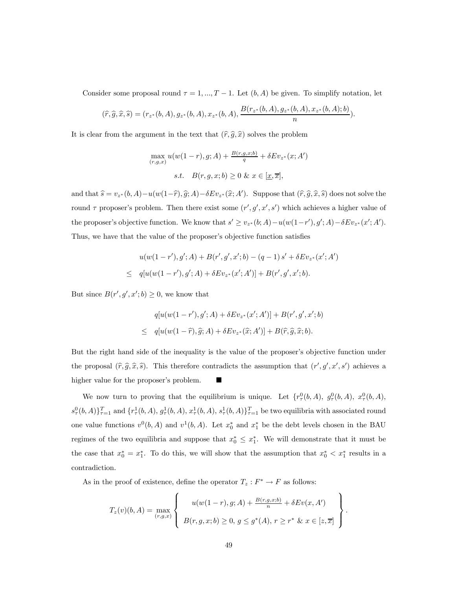Consider some proposal round  $\tau = 1, ..., T - 1$ . Let  $(b, A)$  be given. To simplify notation, let

$$
(\widehat{r}, \widehat{g}, \widehat{x}, \widehat{s}) = (r_{z^*}(b, A), g_{z^*}(b, A), x_{z^*}(b, A), \frac{B(r_{z^*}(b, A), g_{z^*}(b, A), x_{z^*}(b, A); b)}{n}).
$$

It is clear from the argument in the text that  $(\hat{r}, \hat{g}, \hat{x})$  solves the problem

$$
\max_{(r,g,x)} u(w(1-r),g;A) + \frac{B(r,g,x;b)}{q} + \delta Ev_{z^*}(x;A')
$$
  
s.t.  $B(r,g,x;b) \ge 0$  &  $x \in [\underline{x},\overline{x}],$ 

and that  $\widehat{s} = v_{z^*}(b, A) - u(w(1-\widehat{r}), \widehat{g}; A) - \delta Ev_{z^*}(\widehat{x}; A')$ . Suppose that  $(\widehat{r}, \widehat{g}, \widehat{x}, \widehat{s})$  does not solve the round  $\tau$  proposer's problem. Then there exist some  $(r', g', x', s')$  which achieves a higher value of the proposer's objective function. We know that  $s' \ge v_{z^*}(b; A) - u(w(1-r'), g'; A) - \delta Ev_{z^*}(x'; A').$ Thus, we have that the value of the proposer's objective function satisfies

$$
u(w(1-r'), g'; A) + B(r', g', x'; b) - (q-1) s' + \delta Ev_{z^*}(x'; A')
$$
  
\n
$$
\leq q[u(w(1-r'), g'; A) + \delta Ev_{z^*}(x'; A')] + B(r', g', x'; b).
$$

But since  $B(r', g', x'; b) \geq 0$ , we know that

$$
q[u(w(1 - r'), g'; A) + \delta Ev_{z^*}(x'; A')] + B(r', g', x'; b)
$$
  
\n
$$
\leq q[u(w(1 - \hat{r}), \hat{g}; A) + \delta Ev_{z^*}(\hat{x}; A')] + B(\hat{r}, \hat{g}, \hat{x}; b).
$$

But the right hand side of the inequality is the value of the proposer's objective function under the proposal  $(\hat{r}, \hat{g}, \hat{x}, \hat{s})$ . This therefore contradicts the assumption that  $(r', g', x', s')$  achieves a higher value for the proposer's problem.

We now turn to proving that the equilibrium is unique. Let  $\{r^0_\tau(b, A), g^0_\tau(b, A), x^0_\tau(b, A),$  $s_{\tau}^0(b, A) \}_{\tau=1}^T$  and  $\{r_{\tau}^1(b, A), g_{\tau}^1(b, A), x_{\tau}^1(b, A), s_{\tau}^1(b, A) \}_{\tau=1}^T$  be two equilibria with associated round one value functions  $v^0(b, A)$  and  $v^1(b, A)$ . Let  $x_0^*$  and  $x_1^*$  be the debt levels chosen in the BAU regimes of the two equilibria and suppose that  $x_0^* \leq x_1^*$ . We will demonstrate that it must be the case that  $x_0^* = x_1^*$ . To do this, we will show that the assumption that  $x_0^* < x_1^*$  results in a contradiction.

As in the proof of existence, define the operator  $T_z : F^* \to F$  as follows:

$$
T_z(v)(b, A) = \max_{(r, g, x)} \left\{ u(w(1 - r), g; A) + \frac{B(r, g, x; b)}{n} + \delta Ev(x, A') \atop B(r, g, x; b) \ge 0, g \le g^*(A), r \ge r^* \& x \in [z, \overline{x}] \right\}.
$$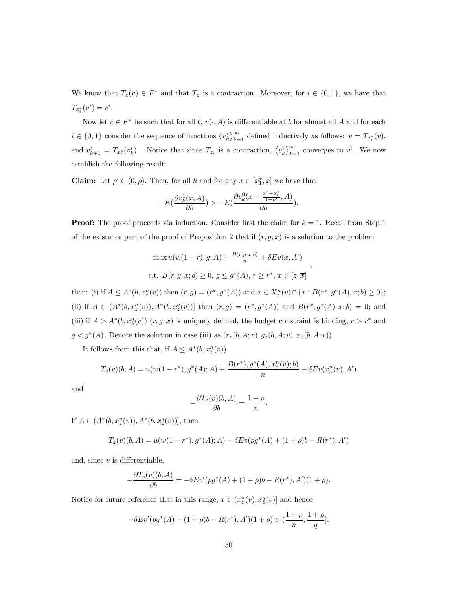We know that  $T_z(v) \in F^*$  and that  $T_z$  is a contraction. Moreover, for  $i \in \{0,1\}$ , we have that  $T_{x_i^*}(v^i) = v^i.$ 

Now let  $v \in F^*$  be such that for all b,  $v(\cdot, A)$  is differentiable at b for almost all A and for each  $i \in \{0,1\}$  consider the sequence of functions  $\langle v_k^i \rangle_{k=1}^{\infty}$  defined inductively as follows:  $v = T_{x_i^*}(v)$ , and  $v_{k+1}^i = T_{x_i^*}(v_k^i)$ . Notice that since  $T_{z_i}$  is a contraction,  $\langle v_k^i \rangle_{k=1}^{\infty}$  converges to  $v^i$ . We now establish the following result:

**Claim:** Let  $\rho' \in (0, \rho)$ . Then, for all k and for any  $x \in [x_1^*, \overline{x}]$  we have that

$$
-E\left(\frac{\partial v_k^1(x,A)}{\partial b}\right) > -E\left(\frac{\partial v_k^0(x - \frac{x_1^* - x_0^*}{1 + \rho'}, A)}{\partial b}\right).
$$

**Proof:** The proof proceeds via induction. Consider first the claim for  $k = 1$ . Recall from Step 1 of the existence part of the proof of Proposition 2 that if  $(r, g, x)$  is a solution to the problem

$$
\max u(w(1-r), g; A) + \frac{B(r, g, x; b)}{n} + \delta Ev(x, A')
$$
  
s.t.  $B(r, g, x; b) \ge 0, g \le g^*(A), r \ge r^*, x \in [z, \overline{x}]$ 

,

then: (i) if  $A \leq A^*(b, x_z^n(v))$  then  $(r, g) = (r^*, g^*(A))$  and  $x \in X_z^n(v) \cap \{x : B(r^*, g^*(A), x; b) \geq 0\};$ (ii) if  $A \in (A^*(b, x_z^n(v)), A^*(b, x_z^q(v))]$  then  $(r, g) = (r^*, g^*(A))$  and  $B(r^*, g^*(A), x; b) = 0$ ; and (iii) if  $A > A^*(b, x^q_{z}(v))$   $(r, g, x)$  is uniquely defined, the budget constraint is binding,  $r > r^*$  and  $g < g<sup>*</sup>(A)$ . Denote the solution in case (iii) as  $(r<sub>z</sub>(b, A; v), g<sub>z</sub>(b, A; v), x<sub>z</sub>(b, A; v))$ .

It follows from this that, if  $A \leq A^*(b, x_z^n(v))$ 

$$
T_z(v)(b, A) = u(w(1 - r^*), g^*(A); A) + \frac{B(r^*), g^*(A), x_z^n(v); b)}{n} + \delta Ev(x_z^n(v), A')
$$

and

$$
-\frac{\partial T_z(v)(b,A)}{\partial b} = \frac{1+\rho}{n}.
$$

If  $A \in (A^*(b, x_z^n(v)), A^*(b, x_z^q(v))]$ , then

$$
T_z(v)(b, A) = u(w(1 - r^*), g^*(A); A) + \delta Ev(pg^*(A) + (1 + \rho)b - R(r^*), A')
$$

and, since  $v$  is differentiable,

$$
-\frac{\partial T_z(v)(b,A)}{\partial b} = -\delta Ev'(pg^*(A) + (1+\rho)b - R(r^*), A')(1+\rho).
$$

Notice for future reference that in this range,  $x \in (x_z^n(v), x_z^n(v)]$  and hence

$$
-\delta Ev'(pg^*(A) + (1+\rho)b - R(r^*), A')(1+\rho) \in (\frac{1+\rho}{n}, \frac{1+\rho}{q}].
$$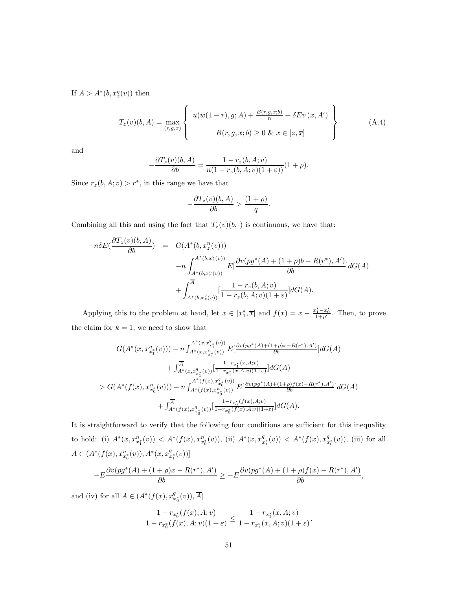If  $A > A^*(b, x^q_z(v))$  then

$$
T_z(v)(b, A) = \max_{(r, g, x)} \left\{ u(w(1 - r), g; A) + \frac{B(r, g, x; b)}{n} + \delta Ev(x, A') \atop B(r, g, x; b) \ge 0 \& x \in [z, \overline{x}] \right\}
$$
(A.4)

and

$$
-\frac{\partial T_z(v)(b,A)}{\partial b} = \frac{1 - r_z(b,A;v)}{n(1 - r_z(b,A;v)(1+\varepsilon))}(1+\rho).
$$

Since  $r_z(b, A; v) > r^*$ , in this range we have that

$$
-\frac{\partial T_z(v)(b,A)}{\partial b} > \frac{(1+\rho)}{q}.
$$

Combining all this and using the fact that  $T_z(v)(b, \cdot)$  is continuous, we have that:

$$
-n\delta E(\frac{\partial T_z(v)(b,A)}{\partial b}) = G(A^*(b, x_z^n(v)))
$$
  

$$
-n\int_{A^*(b, x_z^n(v))}^{A^*(b, x_z^n(v))} E[\frac{\partial v(pg^*(A) + (1+\rho)b - R(r^*), A')}{\partial b}] dG(A)
$$
  

$$
+ \int_{A^*(b, x_z^n(v))}^{A} [\frac{1 - r_z(b, A; v)}{1 - r_z(b, A; v)(1 + \varepsilon)}] dG(A).
$$

Applying this to the problem at hand, let  $x \in [x_1^*, \overline{x}]$  and  $f(x) = x - \frac{x_1^* - x_0^*}{1 + \rho'}$ . Then, to prove the claim for  $k = 1$ , we need to show that

$$
G(A^*(x, x_{x_1^*}^{n}(v))) - n \int_{A^*(x, x_{x_1^*}^{n}(v))}^{A^*(x, x_{x_1^*}^{n}(v))} E[\frac{\partial v(pg^*(A) + (1+\rho)x - R(r^*), A')}{\partial b}] dG(A)
$$
  
+ 
$$
\int_{A^*(x, x_{x_1^*}^{n}(v))}^{A^*(x, x_{x_1^*}^{n}(v))} [\frac{1-r_{x_1^*}(x, A; v)}{1-r_{x_1^*}(x, A; v)(1+\varepsilon)}] dG(A)
$$
  
> 
$$
G(A^*(f(x), x_{x_0^*}^{n}(v))) - n \int_{A^*(f(x), x_{x_0^*}^{n}(v))}^{A^*(f(x), x_{x_0^*}^{n}(v))} E[\frac{\partial v(pg^*(A) + (1+\rho)f(x) - R(r^*), A')}{\partial b}] dG(A)
$$
  
+ 
$$
\int_{A^*(f(x), x_{x_0^*}^{n}(v))}^{A^*(f(x), x_{x_0^*}^{n}(v))} [\frac{1-r_{x_0^*}(f(x), A; v)}{1-r_{x_0^*}(f(x), A; v)(1+\varepsilon)}] dG(A).
$$

It is straightforward to verify that the following four conditions are sufficient for this inequality to hold: (i)  $A^*(x, x_{x_1^*}^n(v)) < A^*(f(x), x_{x_0^*}^n(v))$ , (ii)  $A^*(x, x_{x_1^*}^q(v)) < A^*(f(x), x_{x_0^*}^q(v))$ , (iii) for all  $A \in (A^*(f(x), x_{x_0^*}^n(v)), A^*(x, x_{x_1^*}^q(v))]$ 

$$
-E\frac{\partial v(pg^*(A)+(1+\rho)x-R(r^*),A')}{\partial b}\geq -E\frac{\partial v(pg^*(A)+(1+\rho)f(x)-R(r^*),A')}{\partial b},
$$

and (iv) for all  $A \in (A^*(f(x), x_{x_0^*}^q(v)), \overline{A}]$ 

$$
\frac{1-r_{x_0^*}(f(x),A;v)}{1-r_{x_0^*}(f(x),A;v)(1+\varepsilon)} \leq \frac{1-r_{x_1^*}(x,A;v)}{1-r_{x_1^*}(x,A;v)(1+\varepsilon)}.
$$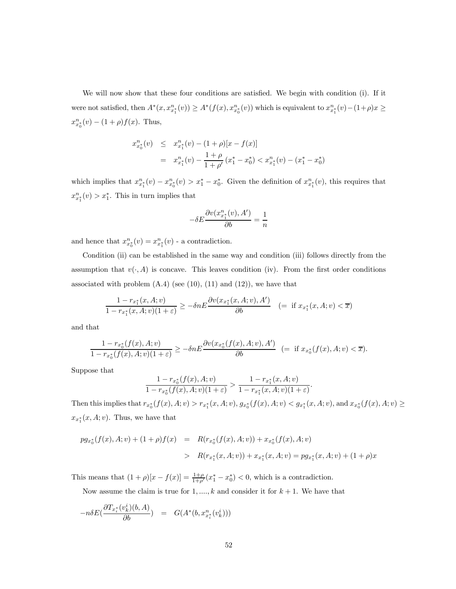We will now show that these four conditions are satisfied. We begin with condition (i). If it were not satisfied, then  $A^*(x, x_{x_1^*}^n(v)) \ge A^*(f(x), x_{x_0^*}^n(v))$  which is equivalent to  $x_{x_1^*}^n(v) - (1+\rho)x \ge$  $x_{x_0}^n(v) - (1+\rho)f(x)$ . Thus,

$$
x_{x_0^*}^n(v) \leq x_{x_1^*}^n(v) - (1+\rho)[x - f(x)]
$$
  
=  $x_{x_1^*}^n(v) - \frac{1+\rho}{1+\rho'}(x_1^* - x_0^*) < x_{x_1^*}^n(v) - (x_1^* - x_0^*)$ 

which implies that  $x_{x_1^*}^n(v) - x_{x_0^*}^n(v) > x_1^* - x_0^*$ . Given the definition of  $x_{x_1^*}^n(v)$ , this requires that  $x_{x_1}^n(v) > x_1^*$ . This in turn implies that

$$
-\delta E \frac{\partial v(x^n_{x_1^*}(v), A')}{\partial b} = \frac{1}{n}
$$

and hence that  $x_{x_0}^n(v) = x_{x_1}^n(v)$  - a contradiction.

Condition (ii) can be established in the same way and condition (iii) follows directly from the assumption that  $v(\cdot, A)$  is concave. This leaves condition (iv). From the first order conditions associated with problem  $(A.4)$  (see  $(10)$ ,  $(11)$  and  $(12)$ ), we have that

$$
\frac{1 - r_{x_1^*}(x, A; v)}{1 - r_{x_1^*}(x, A; v)(1 + \varepsilon)} \ge -\delta n E \frac{\partial v(x_{x_1^*}(x, A; v), A')}{\partial b} \quad (= \text{ if } x_{x_1^*}(x, A; v) < \overline{x})
$$

and that

$$
\frac{1 - r_{x_0^*}(f(x), A; v)}{1 - r_{x_0^*}(f(x), A; v)(1 + \varepsilon)} \ge -\delta n E \frac{\partial v(x_{x_0^*}(f(x), A; v), A')}{\partial b} \quad (= \text{if } x_{x_0^*}(f(x), A; v) < \overline{x}).
$$

Suppose that

$$
\frac{1 - r_{x_0^*}(f(x), A; v)}{1 - r_{x_0^*}(f(x), A; v)(1 + \varepsilon)} > \frac{1 - r_{x_1^*}(x, A; v)}{1 - r_{x_1^*}(x, A; v)(1 + \varepsilon)}
$$

Then this implies that  $r_{x_0^*}(f(x), A; v) > r_{x_1^*}(x, A; v), g_{x_0^*}(f(x), A; v) < g_{x_1^*}(x, A; v)$ , and  $x_{x_0^*}(f(x), A; v) \ge$  $x_{x_1^*}(x, A; v)$ . Thus, we have that

.

$$
pg_{x_0^*}(f(x), A; v) + (1 + \rho)f(x) = R(r_{x_0^*}(f(x), A; v)) + x_{x_0^*}(f(x), A; v)
$$
  
> 
$$
R(r_{x_1^*}(x, A; v)) + x_{x_1^*}(x, A; v) = pg_{x_1^*}(x, A; v) + (1 + \rho)x
$$

This means that  $(1+\rho)[x-f(x)] = \frac{1+\rho}{1+\rho'}(x_1^* - x_0^*) < 0$ , which is a contradiction.

Now assume the claim is true for  $1, \ldots, k$  and consider it for  $k + 1$ . We have that

$$
-n\delta E(\frac{\partial T_{x_i^*}(v_k^i)(b,A)}{\partial b}) = G(A^*(b,x_{x_i^*}^n(v_k^i)))
$$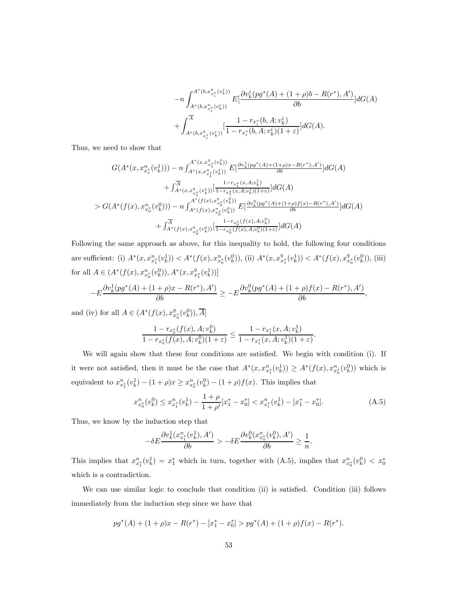$$
-n \int_{A^*(b,x_{x_i^*}^q(v_k^i))}^{A^*(b,x_{x_i^*}^q(v_k^i))} E[\frac{\partial v_k^i(pg^*(A) + (1+\rho)b - R(r^*), A')}{\partial b}] dG(A)
$$
  
+ 
$$
\int_{A^*(b,x_{x_i^*}^q(v_k^i))}^{A} \left[\frac{1 - r_{x_i^*}(b, A; v_k^i)}{1 - r_{x_i^*}(b, A; v_k^i)(1+\varepsilon)}\right] dG(A).
$$

Thus, we need to show that

$$
G(A^*(x, x_{x_1}^n(v_k^1))) - n \int_{A^*(x, x_{x_1}^n(v_k^1))}^{A^*(x, x_{x_1}^q(v_k^1))} E[\frac{\partial v_k^1(pg^*(A) + (1+\rho)x - R(r^*), A')}{\partial b}] dG(A)
$$
  
+ 
$$
\int_{A^*(x, x_{x_1}^q(v_k^1))}^{A^*(x, x_{x_1}^q(v_k^1))} \left[\frac{1 - r_{x_1^*(x, A; v_k^1)}}{1 - r_{x_1^*(x, A; v_k^1)(1+\varepsilon)}}\right] dG(A)
$$
  
> 
$$
G(A^*(f(x), x_{x_0^*}^n(v_k^0))) - n \int_{A^*(f(x), x_{x_0^*}^n(v_k^0))}^{A^*(f(x), x_{x_0^*}^q(v_k^0))} E[\frac{\partial v_k^0(pg^*(A) + (1+\rho)f(x) - R(r^*), A')}{\partial b}] dG(A)
$$
  
+ 
$$
\int_{A^*(f(x), x_{x_0^*}^q(v_k^0))}^{1 - r_{x_0^*}(f(x), A; v_k^0)} \left[\frac{1 - r_{x_0^*}(f(x), A; v_k^0)}{1 - r_{x_0^*}(f(x), A; v_k^0)(1+\varepsilon)}\right] dG(A)
$$

Following the same approach as above, for this inequality to hold, the following four conditions are sufficient: (i)  $A^*(x, x_{x_1^*}^n(v_k^1)) < A^*(f(x), x_{x_0^*}^n(v_k^0))$ , (ii)  $A^*(x, x_{x_1^*}^q(v_k^1)) < A^*(f(x), x_{x_0^*}^q(v_k^0))$ , (iii) for all  $A \in (A^*(f(x), x_{x_0^*}^n(v_k^0)), A^*(x, x_{x_1^*}^q(v_k^1))]$ 

$$
-E\frac{\partial v_k^1(pg^*(A) + (1+\rho)x - R(r^*), A')}{\partial b} \ge -E\frac{\partial v_k^0(pg^*(A) + (1+\rho)f(x) - R(r^*), A')}{\partial b},
$$

and (iv) for all  $A \in (A^*(f(x), x_{x_0}^q(v_k^0)), \overline{A}]$ 

$$
\frac{1 - r_{x_0^*}(f(x), A; v_k^0)}{1 - r_{x_0^*}(f(x), A; v_k^0)(1 + \varepsilon)} \le \frac{1 - r_{x_1^*}(x, A; v_k^1)}{1 - r_{x_1^*}(x, A; v_k^1)(1 + \varepsilon)}
$$

We will again show that these four conditions are satisfied. We begin with condition (i). If it were not satisfied, then it must be the case that  $A^*(x, x_{x_1^*}^n(v_k^1)) \ge A^*(f(x), x_{x_0^*}^n(v_k^0))$  which is equivalent to  $x_{x_1^*}^n(v_k^1) - (1+\rho)x \ge x_{x_0^*}^n(v_k^0) - (1+\rho)f(x)$ . This implies that

$$
x_{x_0^*}^n(v_k^0) \le x_{x_1^*}^n(v_k^1) - \frac{1+\rho}{1+\rho'}[x_1^*-x_0^*] < x_{x_1^*}^n(v_k^1) - [x_1^*-x_0^*].\tag{A.5}
$$

.

Thus, we know by the induction step that

$$
-\delta E \frac{\partial v^1_k(x^n_{x^*_1}(v^1_k),A')}{\partial b} > -\delta E \frac{\partial v^0_k(x^n_{x^*_0}(v^0_k),A')}{\partial b} \geq \frac{1}{n}.
$$

This implies that  $x_{x_1^*}^n(v_k^1) = x_1^*$  which in turn, together with (A.5), implies that  $x_{x_0^*}^n(v_k^0) < x_0^*$ which is a contradiction.

We can use similar logic to conclude that condition (ii) is satisfied. Condition (iii) follows immediately from the induction step since we have that

$$
pg^*(A) + (1+\rho)x - R(r^*) - [x_1^*-x_0^*] > pg^*(A) + (1+\rho)f(x) - R(r^*).
$$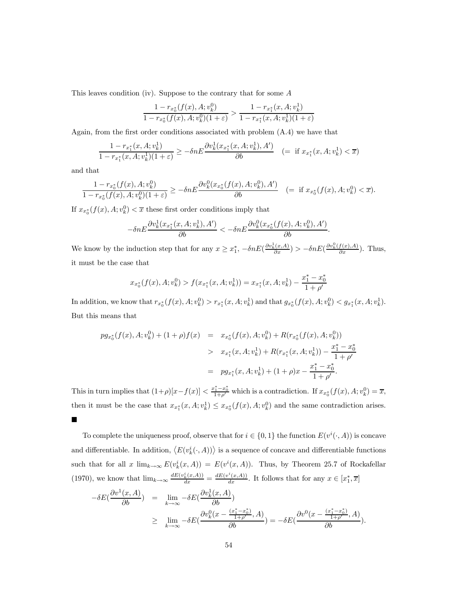This leaves condition (iv). Suppose to the contrary that for some A

$$
\frac{1 - r_{x_0^*}(f(x), A; v_k^0)}{1 - r_{x_0^*}(f(x), A; v_k^0)(1 + \varepsilon)} > \frac{1 - r_{x_1^*}(x, A; v_k^1)}{1 - r_{x_1^*}(x, A; v_k^1)(1 + \varepsilon)}
$$

Again, from the first order conditions associated with problem (A.4) we have that

$$
\frac{1 - r_{x_1^*}(x, A; v_k^1)}{1 - r_{x_1^*}(x, A; v_k^1)(1 + \varepsilon)} \ge -\delta n E \frac{\partial v_k^1(x_{x_1^*}(x, A; v_k^1), A')}{\partial b} \quad (= \text{if } x_{x_1^*}(x, A; v_k^1) < \overline{x})
$$

and that

$$
\frac{1 - r_{x_0^*}(f(x), A; v_k^0)}{1 - r_{x_0^*}(f(x), A; v_k^0)(1 + \varepsilon)} \ge -\delta n E \frac{\partial v_k^0(x_{x_0^*}(f(x), A; v_k^0), A')}{\partial b} \quad (= \text{ if } x_{x_0^*}(f(x), A; v_k^0) < \overline{x}).
$$

If  $x_{x_0^*}(f(x), A; v_k^0) < \overline{x}$  these first order conditions imply that

$$
-\delta n E \frac{\partial v_k^1(x_{x_1^*}(x, A; v_k^1), A')}{\partial b} < -\delta n E \frac{\partial v_k^0(x_{x_0^*}(f(x), A; v_k^0), A')}{\partial b}.
$$

We know by the induction step that for any  $x \ge x_1^*$ ,  $-\delta n E(\frac{\partial v_k^1(x,A)}{\partial x}) > -\delta n E(\frac{\partial v_k^0(f(x),A)}{\partial x})$ . Thus, it must be the case that

$$
x_{x_0^*}(f(x), A; v_k^0) > f(x_{x_1^*}(x, A; v_k^1)) = x_{x_1^*}(x, A; v_k^1) - \frac{x_1^* - x_0^*}{1 + \rho'}
$$

In addition, we know that  $r_{x_0^*}(f(x), A; v_k^0) > r_{x_1^*}(x, A; v_k^1)$  and that  $g_{x_0^*}(f(x), A; v_k^0) < g_{x_1^*}(x, A; v_k^1)$ . But this means that

$$
pg_{x_0^*}(f(x), A; v_k^0) + (1 + \rho)f(x) = x_{x_0^*}(f(x), A; v_k^0) + R(r_{x_0^*}(f(x), A; v_k^0))
$$
  
> 
$$
x_{x_1^*}(x, A; v_k^1) + R(r_{x_1^*}(x, A; v_k^1)) - \frac{x_1^* - x_0^*}{1 + \rho'}
$$
  
= 
$$
pg_{x_1^*}(x, A; v_k^1) + (1 + \rho)x - \frac{x_1^* - x_0^*}{1 + \rho'}.
$$

This in turn implies that  $(1+\rho)[x-f(x)] < \frac{x_1^*-x_0^*}{1+\rho'}$  which is a contradiction. If  $x_{x_0^*}(f(x), A; v_k^0) = \overline{x}$ , then it must be the case that  $x_{x_1^*}(x, A; v_k^1) \le x_{x_0^*}(f(x), A; v_k^0)$  and the same contradiction arises. ¥

To complete the uniqueness proof, observe that for  $i \in \{0,1\}$  the function  $E(v^i(\cdot, A))$  is concave and differentiable. In addition,  $\langle E(v_k^i(\cdot, A)) \rangle$  is a sequence of concave and differentiable functions such that for all x  $\lim_{k\to\infty} E(v_k^i(x, A)) = E(v^i(x, A))$ . Thus, by Theorem 25.7 of Rockafellar (1970), we know that  $\lim_{k\to\infty} \frac{dE(v_k^i(x,A))}{dx} = \frac{dE(v^i(x,A))}{dx}$ . It follows that for any  $x \in [x_1^*, \overline{x}]$ 

$$
-\delta E(\frac{\partial v^1(x,A)}{\partial b}) = \lim_{k \to \infty} -\delta E(\frac{\partial v_k^1(x,A)}{\partial b})
$$
  

$$
\geq \lim_{k \to \infty} -\delta E(\frac{\partial v_k^0(x - \frac{(x_1^* - x_0^*)}{1 + \rho'}, A)}{\partial b}) = -\delta E(\frac{\partial v^0(x - \frac{(x_1^* - x_0^*)}{1 + \rho'}, A)}{\partial b}).
$$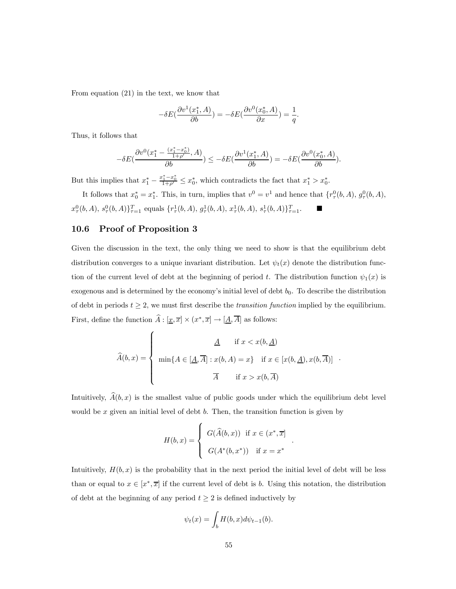From equation (21) in the text, we know that

$$
-\delta E(\frac{\partial v^1(x_1^*,A)}{\partial b}) = -\delta E(\frac{\partial v^0(x_0^*,A)}{\partial x}) = \frac{1}{q}.
$$

Thus, it follows that

$$
-\delta E\left(\frac{\partial v^0(x_1^* - \frac{(x_1^* - x_0^*)}{1 + \rho'}, A)}{\partial b}\right) \le -\delta E\left(\frac{\partial v^1(x_1^*, A)}{\partial b}\right) = -\delta E\left(\frac{\partial v^0(x_0^*, A)}{\partial b}\right).
$$

But this implies that  $x_1^* - \frac{x_1^* - x_0^*}{1 + \rho'} \leq x_0^*$ , which contradicts the fact that  $x_1^* > x_0^*$ .

It follows that  $x_0^* = x_1^*$ . This, in turn, implies that  $v^0 = v^1$  and hence that  $\{r^0_\tau(b, A), g^0_\tau(b, A),$  $x^0_\tau(b, A), s^0_\tau(b, A)\}_{\tau=1}^T$  equals  $\{r^1_\tau(b, A), g^1_\tau(b, A), x^1_\tau(b, A), s^1_\tau(b, A)\}_{\tau=1}^T$ .

## 10.6 Proof of Proposition 3

Given the discussion in the text, the only thing we need to show is that the equilibrium debt distribution converges to a unique invariant distribution. Let  $\psi_t(x)$  denote the distribution function of the current level of debt at the beginning of period t. The distribution function  $\psi_1(x)$  is exogenous and is determined by the economy's initial level of debt  $b_0$ . To describe the distribution of debt in periods  $t \geq 2$ , we must first describe the *transition function* implied by the equilibrium. First, define the function  $\widehat{A} : [\underline{x}, \overline{x}] \times (x^*, \overline{x}] \to [\underline{A}, \overline{A}]$  as follows:

$$
\widehat{A}(b,x) = \begin{cases}\n\frac{\underline{A}}{\overline{A}} & \text{if } x < x(b, \underline{A}) \\
\min\{A \in [\underline{A}, \overline{A}] : x(b, A) = x\} & \text{if } x \in [x(b, \underline{A}), x(b, \overline{A})] \\
\overline{A} & \text{if } x > x(b, \overline{A})\n\end{cases}
$$

Intuitively,  $\widehat{A}(b, x)$  is the smallest value of public goods under which the equilibrium debt level would be x given an initial level of debt  $b$ . Then, the transition function is given by

$$
H(b,x) = \begin{cases} G(\widehat{A}(b,x)) & \text{if } x \in (x^*, \overline{x}] \\ G(A^*(b,x^*)) & \text{if } x = x^* \end{cases}
$$

.

Intuitively,  $H(b, x)$  is the probability that in the next period the initial level of debt will be less than or equal to  $x \in [x^*, \overline{x}]$  if the current level of debt is b. Using this notation, the distribution of debt at the beginning of any period  $t \geq 2$  is defined inductively by

$$
\psi_t(x) = \int_b H(b, x) d\psi_{t-1}(b).
$$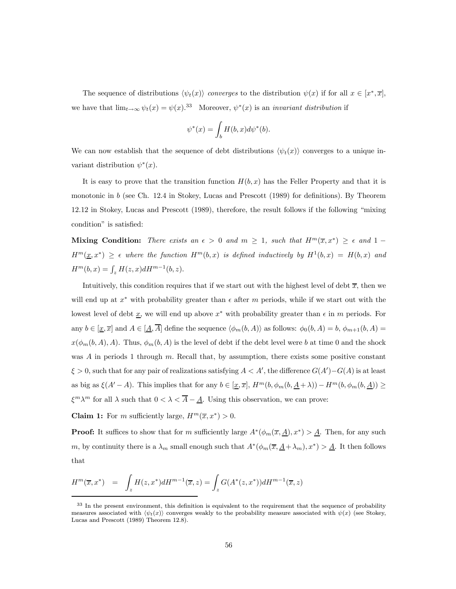The sequence of distributions  $\langle \psi_t(x) \rangle$  converges to the distribution  $\psi(x)$  if for all  $x \in [x^*, \overline{x}]$ , we have that  $\lim_{t\to\infty} \psi_t(x) = \psi(x).^{33}$  Moreover,  $\psi^*(x)$  is an *invariant distribution* if

$$
\psi^*(x) = \int_b H(b, x) d\psi^*(b).
$$

We can now establish that the sequence of debt distributions  $\langle \psi_t(x) \rangle$  converges to a unique invariant distribution  $\psi^*(x)$ .

It is easy to prove that the transition function  $H(b, x)$  has the Feller Property and that it is monotonic in b (see Ch. 12.4 in Stokey, Lucas and Prescott  $(1989)$  for definitions). By Theorem 12.12 in Stokey, Lucas and Prescott (1989), therefore, the result follows if the following "mixing condition" is satisfied:

Mixing Condition: There exists an  $\epsilon > 0$  and  $m \geq 1$ , such that  $H^m(\overline{x}, x^*) \geq \epsilon$  and  $1 - \epsilon$  $H^m(\underline{x}, x^*) \geq \epsilon$  where the function  $H^m(b, x)$  is defined inductively by  $H^1(b, x) = H(b, x)$  and  $H^m(b, x) = \int_z H(z, x)dH^{m-1}(b, z).$ 

Intuitively, this condition requires that if we start out with the highest level of debt  $\bar{x}$ , then we will end up at  $x^*$  with probability greater than  $\epsilon$  after m periods, while if we start out with the lowest level of debt  $\underline{x}$ , we will end up above  $x^*$  with probability greater than  $\epsilon$  in m periods. For any  $b \in [\underline{x}, \overline{x}]$  and  $A \in [\underline{A}, \overline{A}]$  define the sequence  $\langle \phi_m(b, A) \rangle$  as follows:  $\phi_0(b, A) = b$ ,  $\phi_{m+1}(b, A) =$  $x(\phi_m(b, A), A)$ . Thus,  $\phi_m(b, A)$  is the level of debt if the debt level were b at time 0 and the shock was A in periods 1 through m. Recall that, by assumption, there exists some positive constant  $\xi > 0$ , such that for any pair of realizations satisfying  $A < A'$ , the difference  $G(A') - G(A)$  is at least as big as  $\xi(A'-A)$ . This implies that for any  $b \in [\underline{x}, \overline{x}]$ ,  $H^m(b, \phi_m(b, \underline{A}+\lambda)) - H^m(b, \phi_m(b, \underline{A})) \ge$  $\xi^m \lambda^m$  for all  $\lambda$  such that  $0 < \lambda < \overline{A} - \underline{A}$ . Using this observation, we can prove:

**Claim 1:** For m sufficiently large,  $H^m(\overline{x}, x^*) > 0$ .

**Proof:** It suffices to show that for m sufficiently large  $A^*(\phi_m(\overline{x}, \underline{A}), x^*) > \underline{A}$ . Then, for any such m, by continuity there is a  $\lambda_m$  small enough such that  $A^*(\phi_m(\overline{x}, \underline{A}+\lambda_m), x^*) > \underline{A}$ . It then follows that

$$
H^m(\overline{x}, x^*) = \int_z H(z, x^*) dH^{m-1}(\overline{x}, z) = \int_z G(A^*(z, x^*)) dH^{m-1}(\overline{x}, z)
$$

<sup>&</sup>lt;sup>33</sup> In the present environment, this definition is equivalent to the requirement that the sequence of probability measures associated with  $\langle \psi_t(x) \rangle$  converges weakly to the probability measure associated with  $\psi(x)$  (see Stokey, Lucas and Prescott (1989) Theorem 12.8).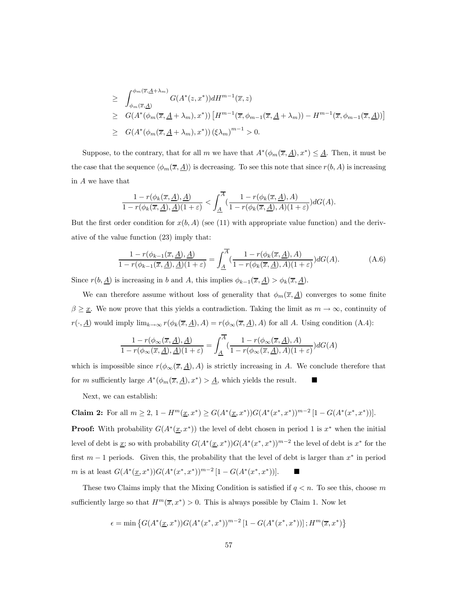$$
\geq \int_{\phi_m(\overline{x}, \underline{A} + \lambda_m)}^{\phi_m(\overline{x}, \underline{A} + \lambda_m)} G(A^*(z, x^*)) dH^{m-1}(\overline{x}, z)
$$
  
\n
$$
\geq G(A^*(\phi_m(\overline{x}, \underline{A} + \lambda_m), x^*)) [H^{m-1}(\overline{x}, \phi_{m-1}(\overline{x}, \underline{A} + \lambda_m)) - H^{m-1}(\overline{x}, \phi_{m-1}(\overline{x}, \underline{A}))]
$$
  
\n
$$
\geq G(A^*(\phi_m(\overline{x}, \underline{A} + \lambda_m), x^*)) (\xi \lambda_m)^{m-1} > 0.
$$

Suppose, to the contrary, that for all m we have that  $A^*(\phi_m(\overline{x}, \underline{A}), x^*) \leq \underline{A}$ . Then, it must be the case that the sequence  $\langle \phi_m(\overline{x}, \underline{A})\rangle$  is decreasing. To see this note that since  $r(b, A)$  is increasing in A we have that

$$
\frac{1-r(\phi_k(\overline{x},\underline{A}),\underline{A})}{1-r(\phi_k(\overline{x},\underline{A}),\underline{A})(1+\varepsilon)} < \int_{\underline{A}}^{\overline{A}}(\frac{1-r(\phi_k(\overline{x},\underline{A}),A)}{1-r(\phi_k(\overline{x},\underline{A}),A)(1+\varepsilon)})dG(A).
$$

But the first order condition for  $x(b, A)$  (see (11) with appropriate value function) and the derivative of the value function (23) imply that:

$$
\frac{1 - r(\phi_{k-1}(\overline{x}, \underline{A}), \underline{A})}{1 - r(\phi_{k-1}(\overline{x}, \underline{A}), \underline{A})(1 + \varepsilon)} = \int_{\underline{A}}^{\overline{A}} \left(\frac{1 - r(\phi_k(\overline{x}, \underline{A}), A)}{1 - r(\phi_k(\overline{x}, \underline{A}), A)(1 + \varepsilon)}\right) dG(A). \tag{A.6}
$$

Since  $r(b, \underline{A})$  is increasing in b and A, this implies  $\phi_{k-1}(\overline{x}, \underline{A}) > \phi_k(\overline{x}, \underline{A})$ .

We can therefore assume without loss of generality that  $\phi_m(\overline{x}, \underline{A})$  converges to some finite  $\beta \geq \underline{x}$ . We now prove that this yields a contradiction. Taking the limit as  $m \to \infty$ , continuity of  $r(\cdot, \underline{A})$  would imply  $\lim_{k\to\infty} r(\phi_k(\overline{x}, \underline{A}), A) = r(\phi_\infty(\overline{x}, \underline{A}), A)$  for all A. Using condition (A.4):

$$
\frac{1 - r(\phi_{\infty}(\overline{x}, \underline{A}), \underline{A})}{1 - r(\phi_{\infty}(\overline{x}, \underline{A}), \underline{A})(1 + \varepsilon)} = \int_{\underline{A}}^{\overline{A}} \left(\frac{1 - r(\phi_{\infty}(\overline{x}, \underline{A}), A)}{1 - r(\phi_{\infty}(\overline{x}, \underline{A}), A)(1 + \varepsilon)}\right) dG(A)
$$

which is impossible since  $r(\phi_{\infty}(\overline{x}, \underline{A}), A)$  is strictly increasing in A. We conclude therefore that for m sufficiently large  $A^*(\phi_m(\overline{x}, \underline{A}), x^*) > \underline{A}$ , which yields the result.

Next, we can establish:

**Claim 2:** For all 
$$
m \ge 2
$$
,  $1 - H^m(\underline{x}, x^*) \ge G(A^*(\underline{x}, x^*))G(A^*(x^*, x^*))^{m-2}[1 - G(A^*(x^*, x^*))]$ .

**Proof:** With probability  $G(A^*(\underline{x}, x^*))$  the level of debt chosen in period 1 is  $x^*$  when the initial level of debt is x; so with probability  $G(A^*(\underline{x}, x^*))G(A^*(x^*, x^*))^{m-2}$  the level of debt is  $x^*$  for the first  $m-1$  periods. Given this, the probability that the level of debt is larger than  $x^*$  in period m is at least  $G(A^*(\underline{x}, x^*))G(A^*(x^*, x^*))^{m-2} [1 - G(A^*(x^*, x^*))]$ .

These two Claims imply that the Mixing Condition is satisfied if  $q < n$ . To see this, choose m sufficiently large so that  $H^m(\overline{x}, x^*) > 0$ . This is always possible by Claim 1. Now let

$$
\epsilon = \min\left\{G(A^*(\underline{x},x^*))G(A^*(x^*,x^*))^{m-2}\left[1-G(A^*(x^*,x^*))\right];H^m(\overline{x},x^*)\right\}
$$